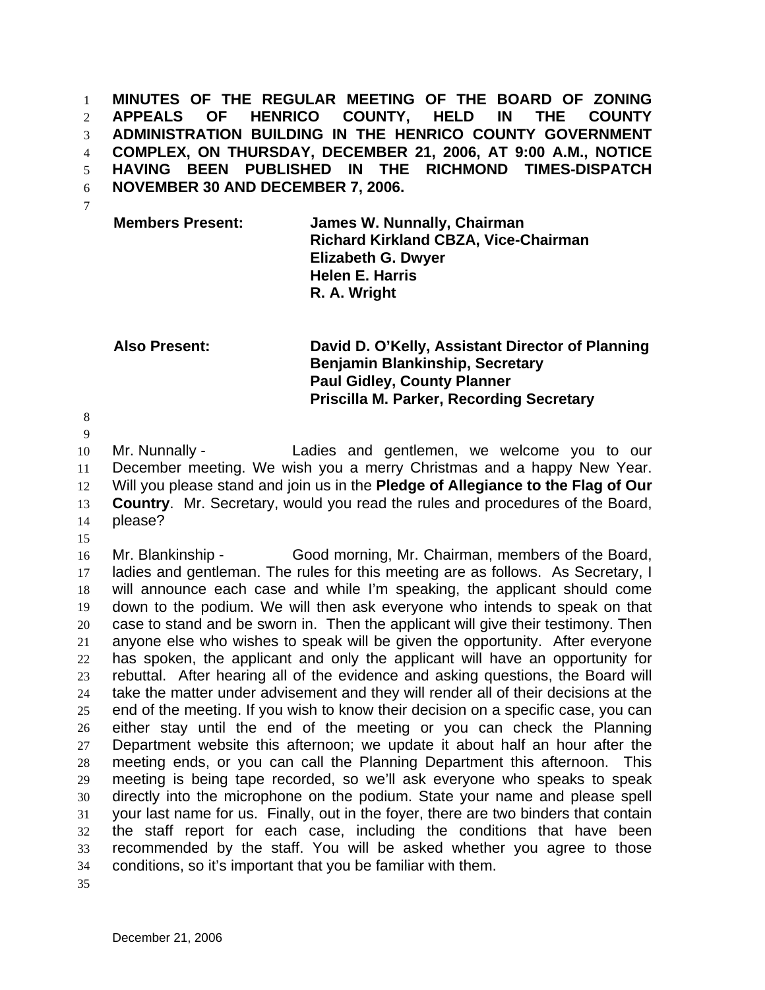**MINUTES OF THE REGULAR MEETING OF THE BOARD OF ZONING APPEALS OF HENRICO COUNTY, HELD IN THE COUNTY ADMINISTRATION BUILDING IN THE HENRICO COUNTY GOVERNMENT COMPLEX, ON THURSDAY, DECEMBER 21, 2006, AT 9:00 A.M., NOTICE HAVING BEEN PUBLISHED IN THE RICHMOND TIMES-DISPATCH NOVEMBER 30 AND DECEMBER 7, 2006.**  1 2 3 4 5 6 7

**Members Present: James W. Nunnally, Chairman Richard Kirkland CBZA, Vice-Chairman Elizabeth G. Dwyer Helen E. Harris R. A. Wright** 

## **Also Present: David D. O'Kelly, Assistant Director of Planning Benjamin Blankinship, Secretary Paul Gidley, County Planner Priscilla M. Parker, Recording Secretary**

8 9

10 11 12 13 14 Mr. Nunnally - Ladies and gentlemen, we welcome you to our December meeting. We wish you a merry Christmas and a happy New Year. Will you please stand and join us in the **Pledge of Allegiance to the Flag of Our Country**. Mr. Secretary, would you read the rules and procedures of the Board, please?

15

16 17 18 19 20 21 22 23 24 25 26 27 28 29 30 31 32 33 34 35 Mr. Blankinship - Good morning, Mr. Chairman, members of the Board, ladies and gentleman. The rules for this meeting are as follows. As Secretary, I will announce each case and while I'm speaking, the applicant should come down to the podium. We will then ask everyone who intends to speak on that case to stand and be sworn in. Then the applicant will give their testimony. Then anyone else who wishes to speak will be given the opportunity. After everyone has spoken, the applicant and only the applicant will have an opportunity for rebuttal. After hearing all of the evidence and asking questions, the Board will take the matter under advisement and they will render all of their decisions at the end of the meeting. If you wish to know their decision on a specific case, you can either stay until the end of the meeting or you can check the Planning Department website this afternoon; we update it about half an hour after the meeting ends, or you can call the Planning Department this afternoon. This meeting is being tape recorded, so we'll ask everyone who speaks to speak directly into the microphone on the podium. State your name and please spell your last name for us. Finally, out in the foyer, there are two binders that contain the staff report for each case, including the conditions that have been recommended by the staff. You will be asked whether you agree to those conditions, so it's important that you be familiar with them.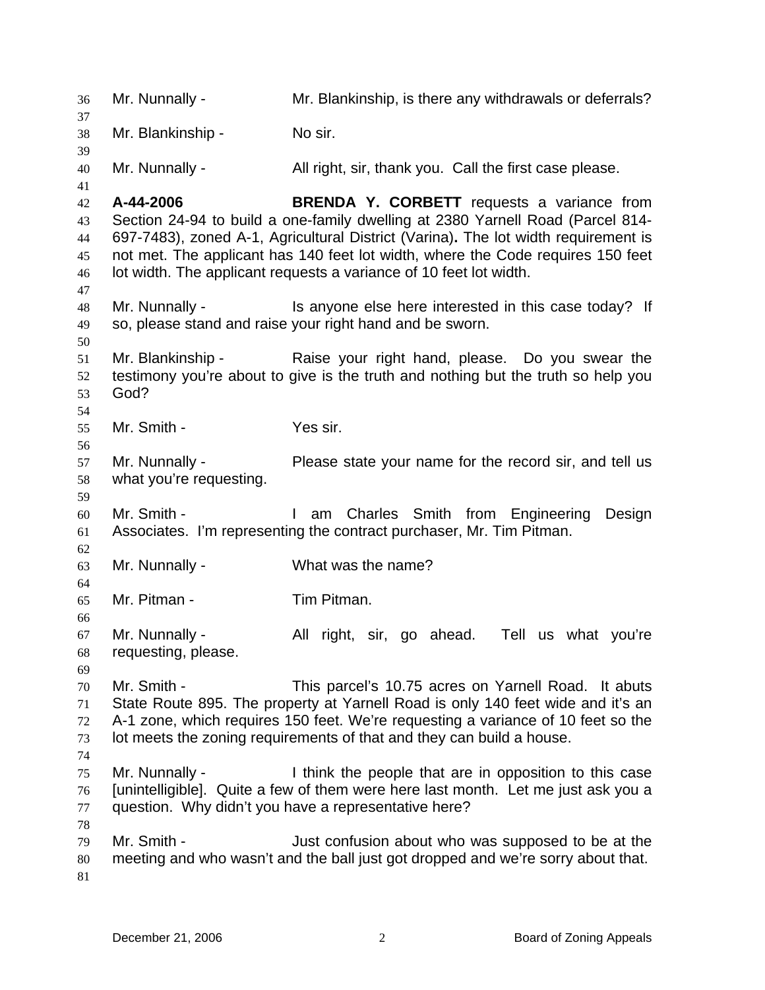36 Mr. Nunnally - Mr. Blankinship, is there any withdrawals or deferrals? 37 38 39 40 41 42 43 44 45 46 47 48 49 50 51 52 53 54 55 56 57 58 59 60 61 62 63 64 65 66 67 68 69 70 71 72 73 74 75 76 77 78 79 80 81 Mr. Blankinship - No sir. Mr. Nunnally - All right, sir, thank you. Call the first case please. **A-44-2006 BRENDA Y. CORBETT** requests a variance from Section 24-94 to build a one-family dwelling at 2380 Yarnell Road (Parcel 814- 697-7483), zoned A-1, Agricultural District (Varina)**.** The lot width requirement is not met. The applicant has 140 feet lot width, where the Code requires 150 feet lot width. The applicant requests a variance of 10 feet lot width. Mr. Nunnally - This anyone else here interested in this case today? If so, please stand and raise your right hand and be sworn. Mr. Blankinship - Raise your right hand, please. Do you swear the testimony you're about to give is the truth and nothing but the truth so help you God? Mr. Smith - Yes sir. Mr. Nunnally - Please state your name for the record sir, and tell us what you're requesting. Mr. Smith - The Muslim Charles Smith from Engineering Design Associates. I'm representing the contract purchaser, Mr. Tim Pitman. Mr. Nunnally - What was the name? Mr. Pitman - Tim Pitman. Mr. Nunnally - All right, sir, go ahead. Tell us what you're requesting, please. Mr. Smith - This parcel's 10.75 acres on Yarnell Road. It abuts State Route 895. The property at Yarnell Road is only 140 feet wide and it's an A-1 zone, which requires 150 feet. We're requesting a variance of 10 feet so the lot meets the zoning requirements of that and they can build a house. Mr. Nunnally - I think the people that are in opposition to this case [unintelligible]. Quite a few of them were here last month. Let me just ask you a question. Why didn't you have a representative here? Mr. Smith - Just confusion about who was supposed to be at the meeting and who wasn't and the ball just got dropped and we're sorry about that.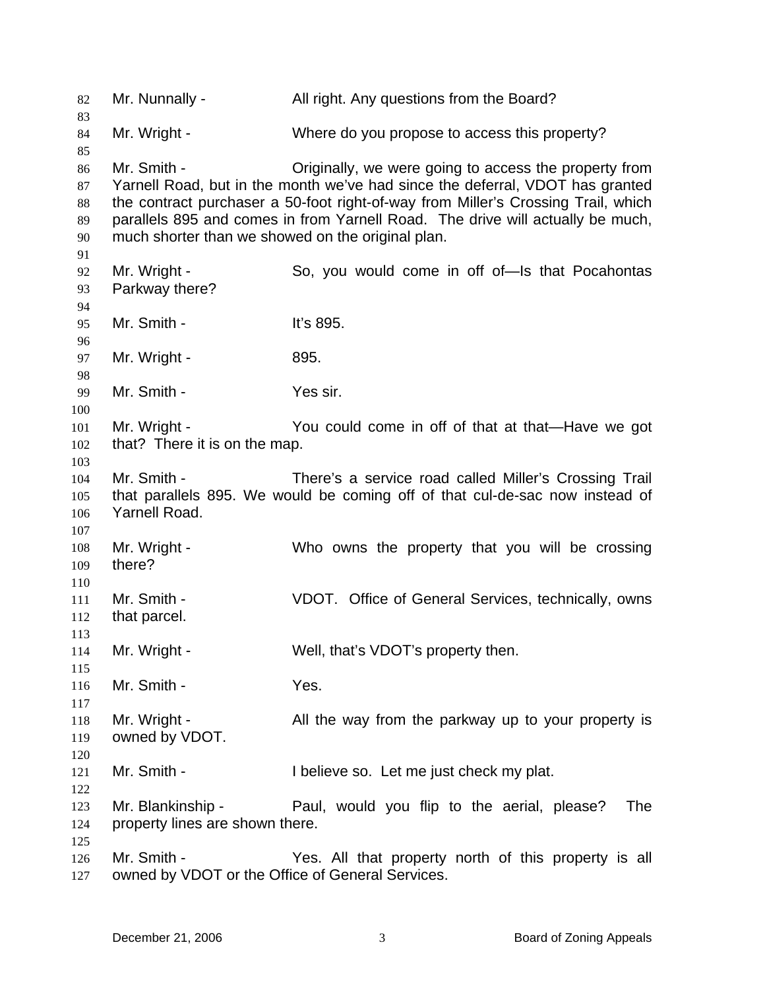82 Mr. Nunnally - All right. Any questions from the Board? 83 84 85 86 87 88 89 90 91 92 93 94 95 96 97 98 99 100 101 102 103 104 105 106 107 108 109 110 111 112 113 114 115 116 117 118 119 120 121 122 123 124 125 126 127 Mr. Wright - Where do you propose to access this property? Mr. Smith - Criginally, we were going to access the property from Yarnell Road, but in the month we've had since the deferral, VDOT has granted the contract purchaser a 50-foot right-of-way from Miller's Crossing Trail, which parallels 895 and comes in from Yarnell Road. The drive will actually be much, much shorter than we showed on the original plan. Mr. Wright - So, you would come in off of—Is that Pocahontas Parkway there? Mr. Smith - **It's 895.** Mr. Wright - 895. Mr. Smith - Yes sir. Mr. Wright - You could come in off of that at that—Have we got that? There it is on the map. Mr. Smith - There's a service road called Miller's Crossing Trail that parallels 895. We would be coming off of that cul-de-sac now instead of Yarnell Road. Mr. Wright - Who owns the property that you will be crossing there? Mr. Smith - VDOT. Office of General Services, technically, owns that parcel. Mr. Wright - Well, that's VDOT's property then. Mr. Smith - Yes. Mr. Wright - All the way from the parkway up to your property is owned by VDOT. Mr. Smith - I believe so. Let me just check my plat. Mr. Blankinship - Paul, would you flip to the aerial, please? The property lines are shown there. Mr. Smith - The Yes. All that property north of this property is all owned by VDOT or the Office of General Services.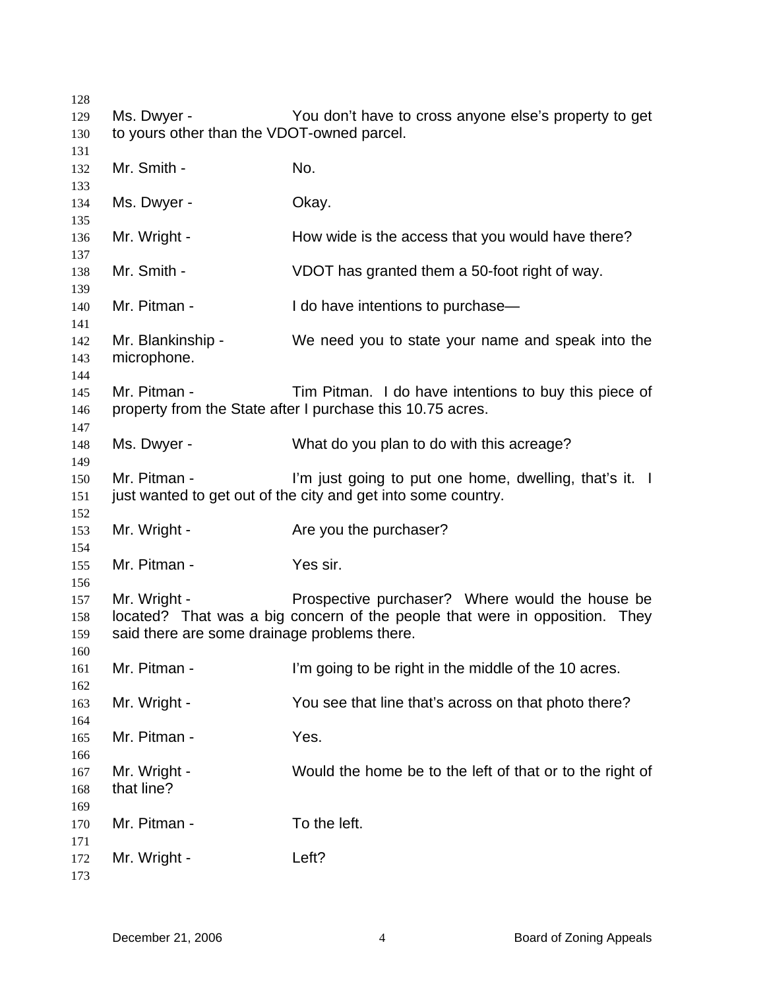| 128        |                                              |                                                                             |  |
|------------|----------------------------------------------|-----------------------------------------------------------------------------|--|
| 129        | Ms. Dwyer -                                  | You don't have to cross anyone else's property to get                       |  |
| 130        | to yours other than the VDOT-owned parcel.   |                                                                             |  |
| 131        |                                              |                                                                             |  |
| 132        | Mr. Smith -                                  | No.                                                                         |  |
| 133        |                                              |                                                                             |  |
| 134        | Ms. Dwyer -                                  | Okay.                                                                       |  |
| 135<br>136 | Mr. Wright -                                 | How wide is the access that you would have there?                           |  |
| 137        |                                              |                                                                             |  |
| 138        | Mr. Smith -                                  | VDOT has granted them a 50-foot right of way.                               |  |
| 139        | Mr. Pitman -                                 |                                                                             |  |
| 140<br>141 |                                              | I do have intentions to purchase-                                           |  |
| 142        | Mr. Blankinship -                            | We need you to state your name and speak into the                           |  |
| 143        | microphone.                                  |                                                                             |  |
| 144        |                                              |                                                                             |  |
| 145        | Mr. Pitman -                                 | Tim Pitman. I do have intentions to buy this piece of                       |  |
| 146        |                                              | property from the State after I purchase this 10.75 acres.                  |  |
| 147        |                                              |                                                                             |  |
| 148        | Ms. Dwyer -                                  | What do you plan to do with this acreage?                                   |  |
| 149        |                                              |                                                                             |  |
| 150        | Mr. Pitman -                                 | I'm just going to put one home, dwelling, that's it. I                      |  |
| 151        |                                              | just wanted to get out of the city and get into some country.               |  |
| 152        |                                              |                                                                             |  |
| 153        | Mr. Wright -                                 | Are you the purchaser?                                                      |  |
| 154        |                                              |                                                                             |  |
| 155        | Mr. Pitman -                                 | Yes sir.                                                                    |  |
| 156        |                                              |                                                                             |  |
| 157        | Mr. Wright -                                 | Prospective purchaser? Where would the house be                             |  |
| 158        |                                              | located? That was a big concern of the people that were in opposition. They |  |
| 159        | said there are some drainage problems there. |                                                                             |  |
| 160        |                                              |                                                                             |  |
| 161        | Mr. Pitman -                                 | I'm going to be right in the middle of the 10 acres.                        |  |
| 162        |                                              |                                                                             |  |
| 163        | Mr. Wright -                                 | You see that line that's across on that photo there?                        |  |
| 164        |                                              |                                                                             |  |
| 165        | Mr. Pitman -                                 | Yes.                                                                        |  |
| 166        |                                              |                                                                             |  |
| 167        | Mr. Wright -                                 | Would the home be to the left of that or to the right of                    |  |
| 168        | that line?                                   |                                                                             |  |
| 169        |                                              |                                                                             |  |
| 170        | Mr. Pitman -                                 | To the left.                                                                |  |
| 171        |                                              | Left?                                                                       |  |
| 172<br>173 | Mr. Wright -                                 |                                                                             |  |
|            |                                              |                                                                             |  |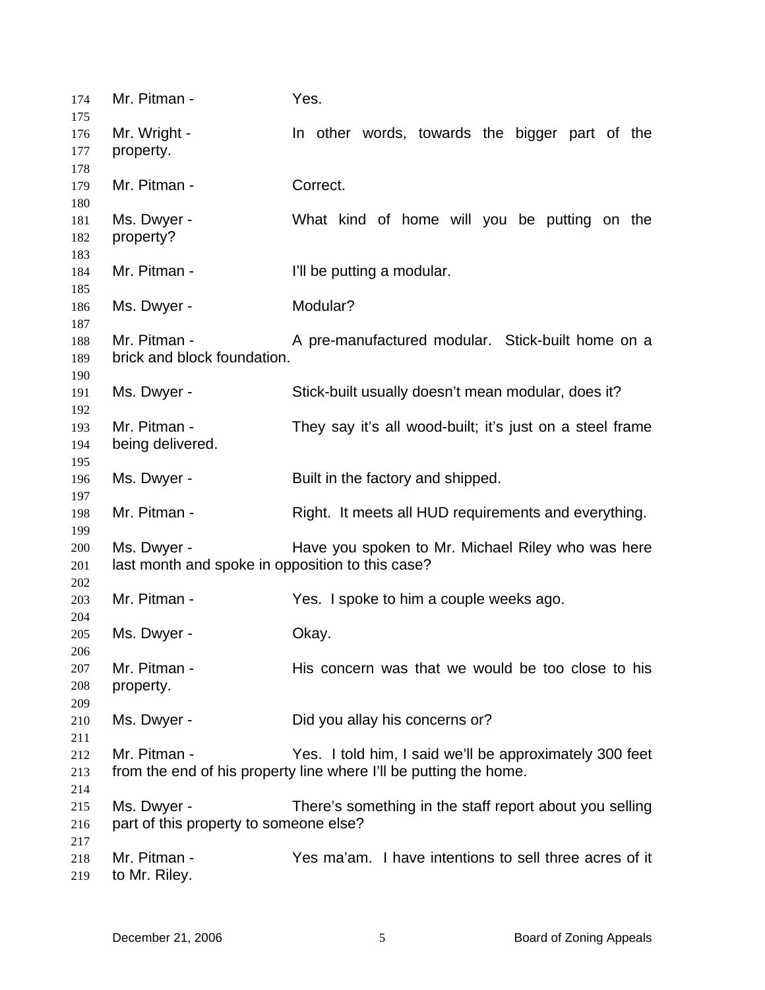| 174<br>175 | Mr. Pitman -                                     | Yes.                                                              |
|------------|--------------------------------------------------|-------------------------------------------------------------------|
| 176        | Mr. Wright -                                     | In other words, towards the bigger part of the                    |
| 177        | property.                                        |                                                                   |
| 178        |                                                  |                                                                   |
| 179        | Mr. Pitman -                                     | Correct.                                                          |
| 180        |                                                  |                                                                   |
| 181        | Ms. Dwyer -                                      | What kind of home will you be putting on the                      |
| 182        | property?                                        |                                                                   |
| 183        |                                                  |                                                                   |
| 184        | Mr. Pitman -                                     | I'll be putting a modular.                                        |
| 185        |                                                  |                                                                   |
| 186        | Ms. Dwyer -                                      | Modular?                                                          |
| 187        |                                                  |                                                                   |
| 188        | Mr. Pitman -                                     | A pre-manufactured modular. Stick-built home on a                 |
| 189        | brick and block foundation.                      |                                                                   |
| 190        |                                                  |                                                                   |
| 191        | Ms. Dwyer -                                      | Stick-built usually doesn't mean modular, does it?                |
| 192        |                                                  |                                                                   |
| 193        | Mr. Pitman -                                     | They say it's all wood-built; it's just on a steel frame          |
| 194        | being delivered.                                 |                                                                   |
| 195        |                                                  |                                                                   |
| 196        | Ms. Dwyer -                                      | Built in the factory and shipped.                                 |
| 197        |                                                  |                                                                   |
| 198        | Mr. Pitman -                                     | Right. It meets all HUD requirements and everything.              |
| 199        |                                                  |                                                                   |
| 200        | Ms. Dwyer -                                      | Have you spoken to Mr. Michael Riley who was here                 |
| 201        | last month and spoke in opposition to this case? |                                                                   |
| 202        |                                                  |                                                                   |
| 203        | Mr. Pitman -                                     | Yes. I spoke to him a couple weeks ago.                           |
| 204        |                                                  |                                                                   |
| 205        | Ms. Dwyer -                                      | Okay.                                                             |
| 206        |                                                  |                                                                   |
| 207        | Mr. Pitman -                                     | His concern was that we would be too close to his                 |
| 208        | property.                                        |                                                                   |
| 209        |                                                  |                                                                   |
| 210        | Ms. Dwyer -                                      | Did you allay his concerns or?                                    |
| 211        |                                                  |                                                                   |
| 212        | Mr. Pitman -                                     | Yes. I told him, I said we'll be approximately 300 feet           |
| 213        |                                                  | from the end of his property line where I'll be putting the home. |
| 214        |                                                  |                                                                   |
| 215        | Ms. Dwyer -                                      | There's something in the staff report about you selling           |
| 216        | part of this property to someone else?           |                                                                   |
| 217        |                                                  |                                                                   |
| 218        | Mr. Pitman -                                     | Yes ma'am. I have intentions to sell three acres of it            |
| 219        | to Mr. Riley.                                    |                                                                   |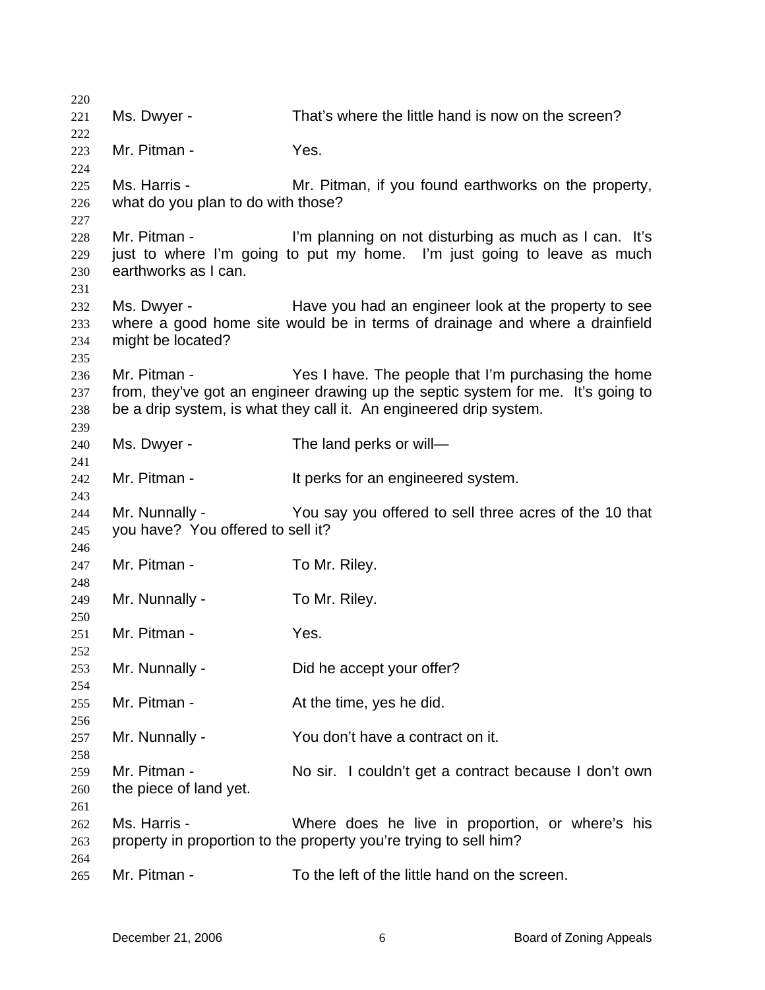| 220        |                                    |                                                                                  |
|------------|------------------------------------|----------------------------------------------------------------------------------|
| 221        | Ms. Dwyer -                        | That's where the little hand is now on the screen?                               |
| 222        |                                    |                                                                                  |
| 223        | Mr. Pitman -                       | Yes.                                                                             |
| 224        |                                    |                                                                                  |
| 225        | Ms. Harris -                       | Mr. Pitman, if you found earthworks on the property,                             |
| 226        | what do you plan to do with those? |                                                                                  |
| 227        |                                    |                                                                                  |
| 228        | Mr. Pitman -                       | I'm planning on not disturbing as much as I can. It's                            |
| 229        |                                    | just to where I'm going to put my home. I'm just going to leave as much          |
| 230        | earthworks as I can.               |                                                                                  |
| 231        |                                    |                                                                                  |
| 232        | Ms. Dwyer -                        | Have you had an engineer look at the property to see                             |
| 233        |                                    | where a good home site would be in terms of drainage and where a drainfield      |
| 234        | might be located?                  |                                                                                  |
| 235        |                                    |                                                                                  |
| 236        | Mr. Pitman -                       | Yes I have. The people that I'm purchasing the home                              |
| 237        |                                    | from, they've got an engineer drawing up the septic system for me. It's going to |
| 238        |                                    | be a drip system, is what they call it. An engineered drip system.               |
| 239        |                                    |                                                                                  |
| 240<br>241 | Ms. Dwyer -                        | The land perks or will-                                                          |
| 242        | Mr. Pitman -                       | It perks for an engineered system.                                               |
| 243        |                                    |                                                                                  |
| 244        | Mr. Nunnally -                     | You say you offered to sell three acres of the 10 that                           |
| 245        | you have? You offered to sell it?  |                                                                                  |
| 246        |                                    |                                                                                  |
| 247        | Mr. Pitman -                       | To Mr. Riley.                                                                    |
| 248        |                                    |                                                                                  |
| 249        | Mr. Nunnally -                     | To Mr. Riley.                                                                    |
| 250        |                                    |                                                                                  |
| 251        | Mr. Pitman -                       | Yes.                                                                             |
| 252        |                                    |                                                                                  |
| 253        | Mr. Nunnally -                     | Did he accept your offer?                                                        |
| 254        |                                    |                                                                                  |
| 255        | Mr. Pitman -                       | At the time, yes he did.                                                         |
| 256        |                                    |                                                                                  |
| 257        | Mr. Nunnally -                     | You don't have a contract on it.                                                 |
| 258        |                                    |                                                                                  |
| 259        | Mr. Pitman -                       | No sir. I couldn't get a contract because I don't own                            |
| 260        | the piece of land yet.             |                                                                                  |
| 261        |                                    |                                                                                  |
| 262        | Ms. Harris -                       | Where does he live in proportion, or where's his                                 |
| 263        |                                    | property in proportion to the property you're trying to sell him?                |
| 264        | Mr. Pitman -                       | To the left of the little hand on the screen.                                    |
| 265        |                                    |                                                                                  |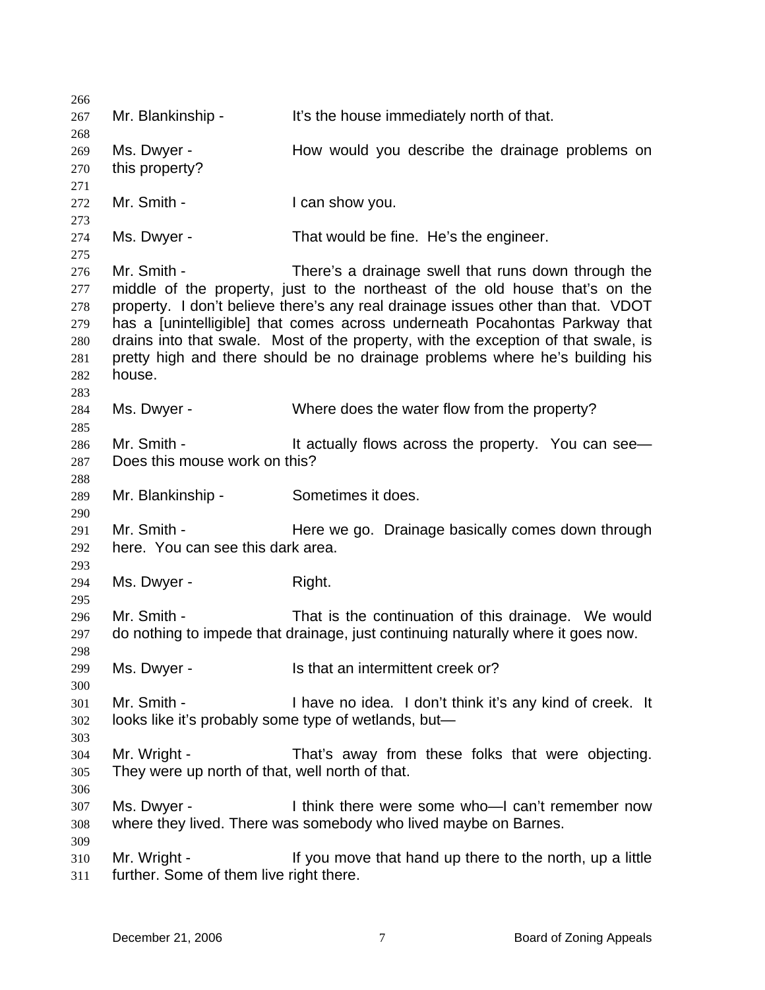266 267 268 269 270 271 272 273 274 275 276 277 278 279 280 281 282 283 284 285 286 287 288 289 290 291 292 293 294 295 296 297 298 299 300 301 302 303 304 305 306 307 308 309 310 311 Mr. Blankinship - It's the house immediately north of that. Ms. Dwyer - The How would you describe the drainage problems on this property? Mr. Smith - I can show you. Ms. Dwyer - That would be fine. He's the engineer. Mr. Smith - There's a drainage swell that runs down through the middle of the property, just to the northeast of the old house that's on the property. I don't believe there's any real drainage issues other than that. VDOT has a [unintelligible] that comes across underneath Pocahontas Parkway that drains into that swale. Most of the property, with the exception of that swale, is pretty high and there should be no drainage problems where he's building his house. Ms. Dwyer - Where does the water flow from the property? Mr. Smith - It actually flows across the property. You can see— Does this mouse work on this? Mr. Blankinship - Sometimes it does. Mr. Smith - Here we go. Drainage basically comes down through here. You can see this dark area. Ms. Dwyer - Right. Mr. Smith - That is the continuation of this drainage. We would do nothing to impede that drainage, just continuing naturally where it goes now. Ms. Dwyer - Is that an intermittent creek or? Mr. Smith - The I have no idea. I don't think it's any kind of creek. It looks like it's probably some type of wetlands, but— Mr. Wright - That's away from these folks that were objecting. They were up north of that, well north of that. Ms. Dwyer - I think there were some who—I can't remember now where they lived. There was somebody who lived maybe on Barnes. Mr. Wright - If you move that hand up there to the north, up a little further. Some of them live right there.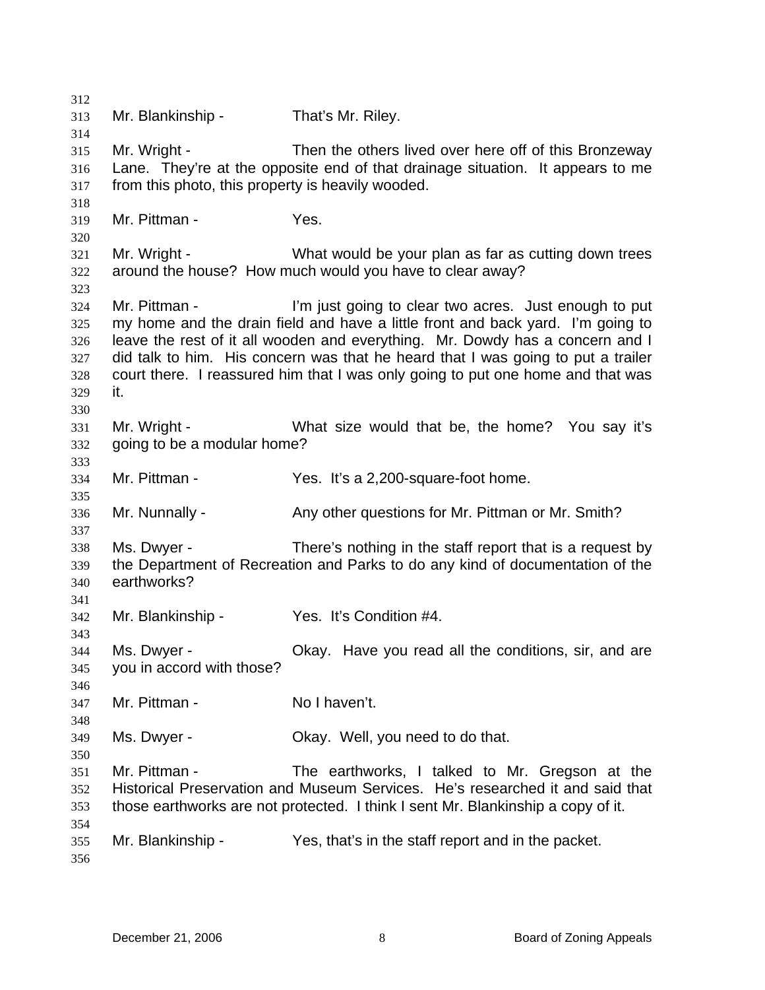312 313 314 315 316 317 318 319 320 321 322 323 324 325 326 327 328 329 330 331 332 333 334 335 336 337 338 339 340 341 342 343 344 345 346 347 348 349 350 351 352 353 354 355 356 Mr. Blankinship - That's Mr. Riley. Mr. Wright - Then the others lived over here off of this Bronzeway Lane. They're at the opposite end of that drainage situation. It appears to me from this photo, this property is heavily wooded. Mr. Pittman - Yes. Mr. Wright - What would be your plan as far as cutting down trees around the house? How much would you have to clear away? Mr. Pittman - I'm just going to clear two acres. Just enough to put my home and the drain field and have a little front and back yard. I'm going to leave the rest of it all wooden and everything. Mr. Dowdy has a concern and I did talk to him. His concern was that he heard that I was going to put a trailer court there. I reassured him that I was only going to put one home and that was it. Mr. Wright - What size would that be, the home? You say it's going to be a modular home? Mr. Pittman - Yes. It's a 2,200-square-foot home. Mr. Nunnally - Any other questions for Mr. Pittman or Mr. Smith? Ms. Dwyer - There's nothing in the staff report that is a request by the Department of Recreation and Parks to do any kind of documentation of the earthworks? Mr. Blankinship - Yes. It's Condition #4. Ms. Dwyer - Chay. Have you read all the conditions, sir, and are you in accord with those? Mr. Pittman - No I haven't. Ms. Dwyer - Chay. Well, you need to do that. Mr. Pittman - The earthworks, I talked to Mr. Gregson at the Historical Preservation and Museum Services. He's researched it and said that those earthworks are not protected. I think I sent Mr. Blankinship a copy of it. Mr. Blankinship - Yes, that's in the staff report and in the packet.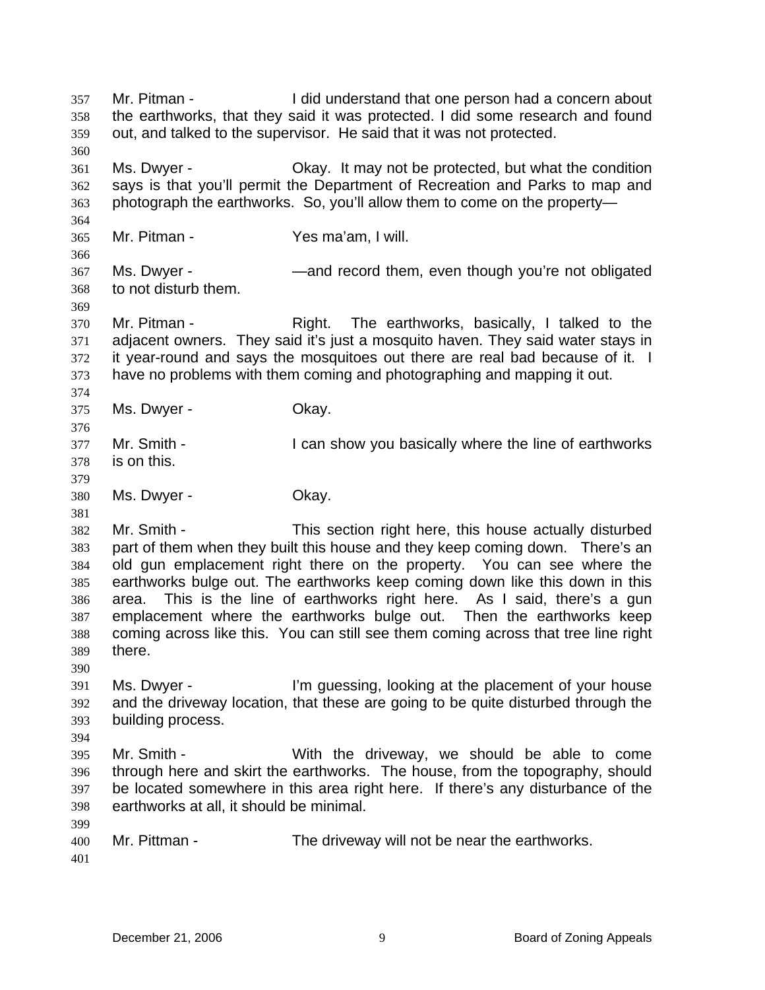Mr. Pitman - I did understand that one person had a concern about the earthworks, that they said it was protected. I did some research and found out, and talked to the supervisor. He said that it was not protected. 357 358 359 360 361 362 363 364 365 366 367 368 369 370 371 372 373 374 375 376 377 378 379 380 381 382 383 384 385 386 387 388 389 390 391 392 393 394 395 396 397 398 399 400 401 Ms. Dwyer - Okay. It may not be protected, but what the condition says is that you'll permit the Department of Recreation and Parks to map and photograph the earthworks. So, you'll allow them to come on the property— Mr. Pitman - Yes ma'am, I will. Ms. Dwyer - **Example 2** —and record them, even though you're not obligated to not disturb them. Mr. Pitman - The earthworks, basically, I talked to the adjacent owners. They said it's just a mosquito haven. They said water stays in it year-round and says the mosquitoes out there are real bad because of it. I have no problems with them coming and photographing and mapping it out. Ms. Dwyer - Chay. Mr. Smith - The I can show you basically where the line of earthworks is on this. Ms. Dwyer - Chay. Mr. Smith - This section right here, this house actually disturbed part of them when they built this house and they keep coming down. There's an old gun emplacement right there on the property. You can see where the earthworks bulge out. The earthworks keep coming down like this down in this area. This is the line of earthworks right here. As I said, there's a gun emplacement where the earthworks bulge out. Then the earthworks keep coming across like this. You can still see them coming across that tree line right there. Ms. Dwyer - I'm guessing, looking at the placement of your house and the driveway location, that these are going to be quite disturbed through the building process. Mr. Smith - With the driveway, we should be able to come through here and skirt the earthworks. The house, from the topography, should be located somewhere in this area right here. If there's any disturbance of the earthworks at all, it should be minimal. Mr. Pittman - The driveway will not be near the earthworks.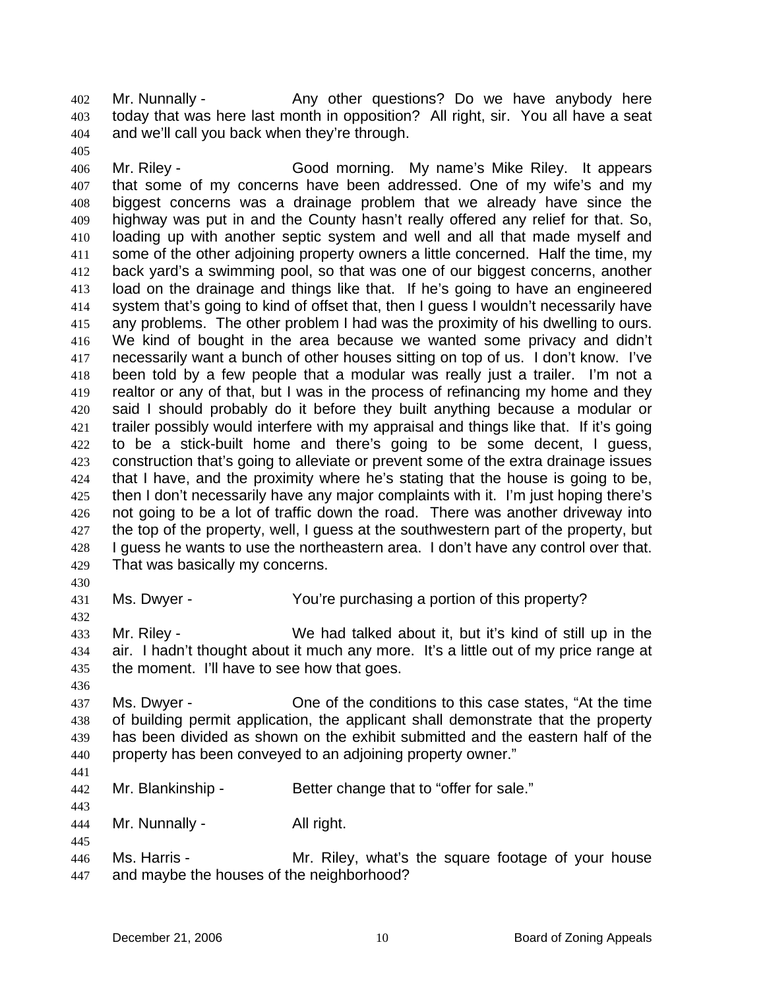Mr. Nunnally - Any other questions? Do we have anybody here today that was here last month in opposition? All right, sir. You all have a seat and we'll call you back when they're through. 402 403 404

406 407 408 409 410 411 412 413 414 415 416 417 418 419 420 421 422 423 424 425 426 427 428 429 Mr. Riley - Good morning. My name's Mike Riley. It appears that some of my concerns have been addressed. One of my wife's and my biggest concerns was a drainage problem that we already have since the highway was put in and the County hasn't really offered any relief for that. So, loading up with another septic system and well and all that made myself and some of the other adjoining property owners a little concerned. Half the time, my back yard's a swimming pool, so that was one of our biggest concerns, another load on the drainage and things like that. If he's going to have an engineered system that's going to kind of offset that, then I guess I wouldn't necessarily have any problems. The other problem I had was the proximity of his dwelling to ours. We kind of bought in the area because we wanted some privacy and didn't necessarily want a bunch of other houses sitting on top of us. I don't know. I've been told by a few people that a modular was really just a trailer. I'm not a realtor or any of that, but I was in the process of refinancing my home and they said I should probably do it before they built anything because a modular or trailer possibly would interfere with my appraisal and things like that. If it's going to be a stick-built home and there's going to be some decent, I guess, construction that's going to alleviate or prevent some of the extra drainage issues that I have, and the proximity where he's stating that the house is going to be, then I don't necessarily have any major complaints with it. I'm just hoping there's not going to be a lot of traffic down the road. There was another driveway into the top of the property, well, I guess at the southwestern part of the property, but I guess he wants to use the northeastern area. I don't have any control over that. That was basically my concerns.

430

432

405

431 Ms. Dwyer - The You're purchasing a portion of this property?

433 434 435 Mr. Riley - We had talked about it, but it's kind of still up in the air. I hadn't thought about it much any more. It's a little out of my price range at the moment. I'll have to see how that goes.

436

437 438 439 440 Ms. Dwyer - One of the conditions to this case states, "At the time of building permit application, the applicant shall demonstrate that the property has been divided as shown on the exhibit submitted and the eastern half of the property has been conveyed to an adjoining property owner."

441

445

442 443 Mr. Blankinship - Better change that to "offer for sale."

444 Mr. Nunnally - All right.

446 447 Ms. Harris - The Mr. Riley, what's the square footage of your house and maybe the houses of the neighborhood?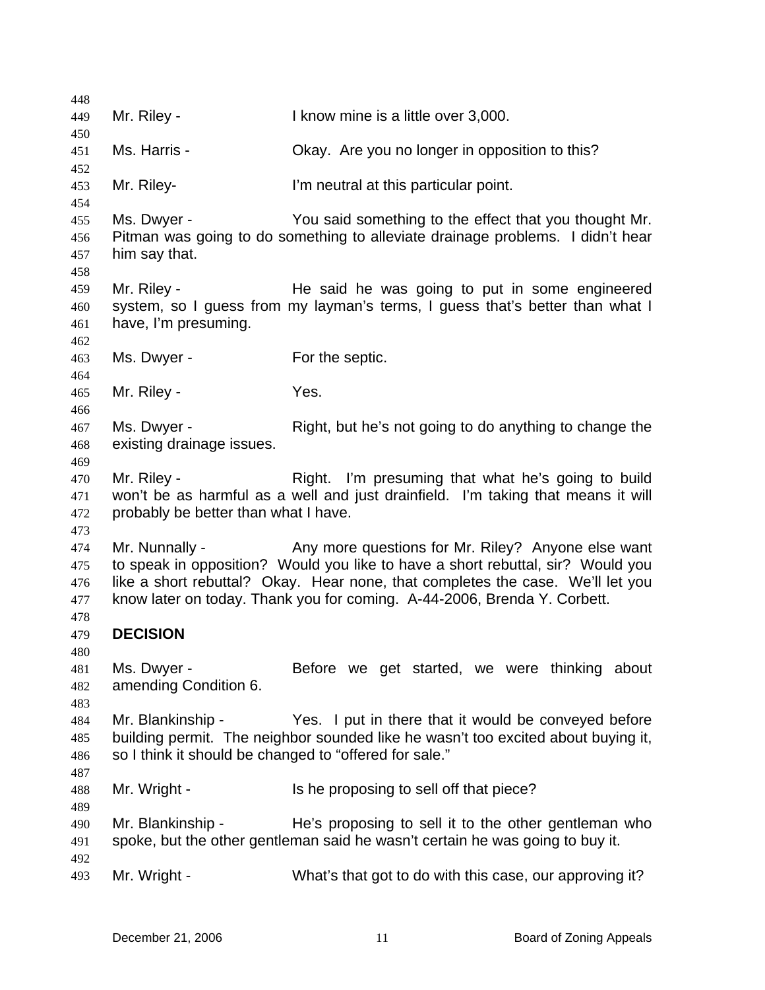| 448        |                                                        |                                                                                                                                       |
|------------|--------------------------------------------------------|---------------------------------------------------------------------------------------------------------------------------------------|
| 449        | Mr. Riley -                                            | I know mine is a little over 3,000.                                                                                                   |
| 450<br>451 | Ms. Harris -                                           | Okay. Are you no longer in opposition to this?                                                                                        |
| 452        |                                                        |                                                                                                                                       |
| 453<br>454 | Mr. Riley-                                             | I'm neutral at this particular point.                                                                                                 |
| 455        | Ms. Dwyer -                                            | You said something to the effect that you thought Mr.                                                                                 |
| 456        |                                                        | Pitman was going to do something to alleviate drainage problems. I didn't hear                                                        |
| 457<br>458 | him say that.                                          |                                                                                                                                       |
| 459        | Mr. Riley -                                            | He said he was going to put in some engineered                                                                                        |
| 460<br>461 | have, I'm presuming.                                   | system, so I guess from my layman's terms, I guess that's better than what I                                                          |
| 462        |                                                        |                                                                                                                                       |
| 463        | Ms. Dwyer -                                            | For the septic.                                                                                                                       |
| 464<br>465 | Mr. Riley -                                            | Yes.                                                                                                                                  |
| 466        |                                                        |                                                                                                                                       |
| 467        | Ms. Dwyer -                                            | Right, but he's not going to do anything to change the                                                                                |
| 468        | existing drainage issues.                              |                                                                                                                                       |
| 469        |                                                        |                                                                                                                                       |
| 470        | Mr. Riley -                                            | Right. I'm presuming that what he's going to build                                                                                    |
| 471        |                                                        | won't be as harmful as a well and just drainfield. I'm taking that means it will                                                      |
| 472        | probably be better than what I have.                   |                                                                                                                                       |
| 473        |                                                        |                                                                                                                                       |
| 474<br>475 | Mr. Nunnally -                                         | Any more questions for Mr. Riley? Anyone else want<br>to speak in opposition? Would you like to have a short rebuttal, sir? Would you |
| 476        |                                                        | like a short rebuttal? Okay. Hear none, that completes the case. We'll let you                                                        |
| 477        |                                                        | know later on today. Thank you for coming. A-44-2006, Brenda Y. Corbett.                                                              |
| 478        |                                                        |                                                                                                                                       |
| 479        | <b>DECISION</b>                                        |                                                                                                                                       |
| 480        |                                                        |                                                                                                                                       |
| 481        | Ms. Dwyer -                                            | Before we get started, we were thinking about                                                                                         |
| 482        | amending Condition 6.                                  |                                                                                                                                       |
| 483        |                                                        |                                                                                                                                       |
| 484        | Mr. Blankinship -                                      | Yes. I put in there that it would be conveyed before                                                                                  |
| 485        |                                                        | building permit. The neighbor sounded like he wasn't too excited about buying it,                                                     |
| 486        | so I think it should be changed to "offered for sale." |                                                                                                                                       |
| 487<br>488 | Mr. Wright -                                           | Is he proposing to sell off that piece?                                                                                               |
| 489        |                                                        |                                                                                                                                       |
| 490        | Mr. Blankinship -                                      | He's proposing to sell it to the other gentleman who                                                                                  |
| 491        |                                                        | spoke, but the other gentleman said he wasn't certain he was going to buy it.                                                         |
| 492        |                                                        |                                                                                                                                       |
| 493        | Mr. Wright -                                           | What's that got to do with this case, our approving it?                                                                               |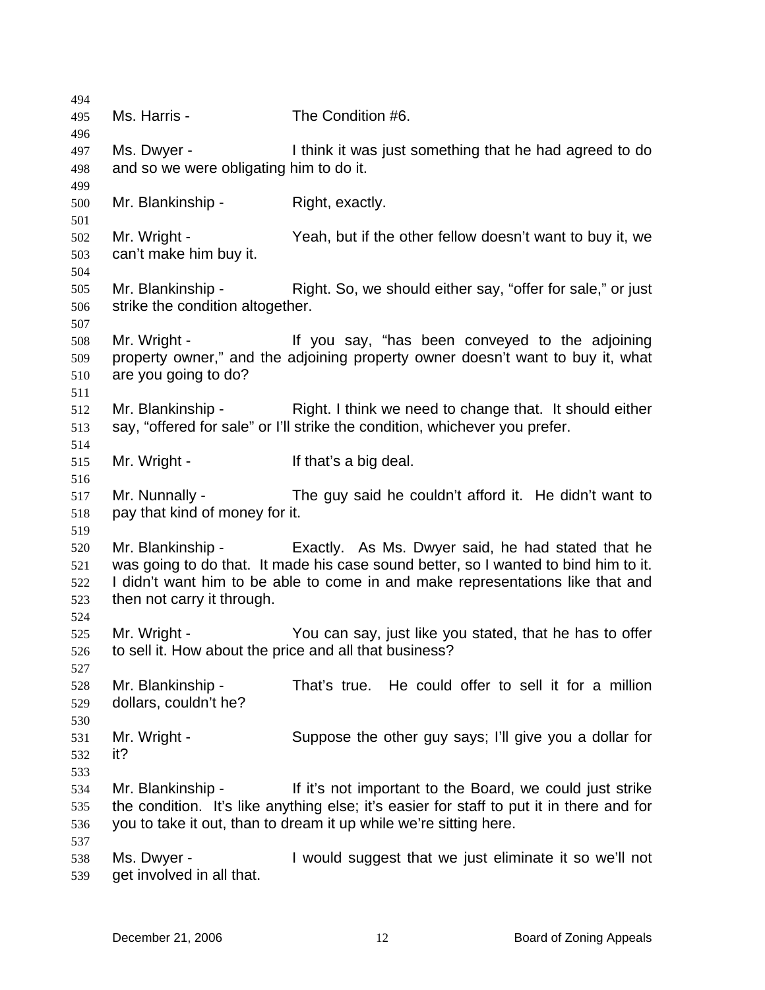| 494                             |                                                        |                                                                                                                                                                                                                                              |
|---------------------------------|--------------------------------------------------------|----------------------------------------------------------------------------------------------------------------------------------------------------------------------------------------------------------------------------------------------|
| 495                             | Ms. Harris -                                           | The Condition #6.                                                                                                                                                                                                                            |
| 496<br>497<br>498               | Ms. Dwyer -<br>and so we were obligating him to do it. | I think it was just something that he had agreed to do                                                                                                                                                                                       |
| 499                             |                                                        |                                                                                                                                                                                                                                              |
| 500<br>501                      | Mr. Blankinship -                                      | Right, exactly.                                                                                                                                                                                                                              |
| 502<br>503<br>504               | Mr. Wright -<br>can't make him buy it.                 | Yeah, but if the other fellow doesn't want to buy it, we                                                                                                                                                                                     |
| 505<br>506<br>507               | Mr. Blankinship -<br>strike the condition altogether.  | Right. So, we should either say, "offer for sale," or just                                                                                                                                                                                   |
| 508<br>509<br>510               | Mr. Wright -<br>are you going to do?                   | If you say, "has been conveyed to the adjoining<br>property owner," and the adjoining property owner doesn't want to buy it, what                                                                                                            |
| 511<br>512<br>513               |                                                        | Mr. Blankinship - Right. I think we need to change that. It should either<br>say, "offered for sale" or I'll strike the condition, whichever you prefer.                                                                                     |
| 514<br>515<br>516               | Mr. Wright -                                           | If that's a big deal.                                                                                                                                                                                                                        |
| 517<br>518                      | Mr. Nunnally -<br>pay that kind of money for it.       | The guy said he couldn't afford it. He didn't want to                                                                                                                                                                                        |
| 519<br>520<br>521<br>522<br>523 | then not carry it through.                             | Mr. Blankinship - Exactly. As Ms. Dwyer said, he had stated that he<br>was going to do that. It made his case sound better, so I wanted to bind him to it.<br>I didn't want him to be able to come in and make representations like that and |
| 524<br>525<br>526               | Mr. Wright -                                           | You can say, just like you stated, that he has to offer<br>to sell it. How about the price and all that business?                                                                                                                            |
| 527<br>528<br>529               | Mr. Blankinship -<br>dollars, couldn't he?             | That's true. He could offer to sell it for a million                                                                                                                                                                                         |
| 530<br>531<br>532               | Mr. Wright -<br>it?                                    | Suppose the other guy says; I'll give you a dollar for                                                                                                                                                                                       |
| 533<br>534<br>535<br>536        | Mr. Blankinship -                                      | If it's not important to the Board, we could just strike<br>the condition. It's like anything else; it's easier for staff to put it in there and for<br>you to take it out, than to dream it up while we're sitting here.                    |
| 537<br>538<br>539               | Ms. Dwyer -<br>get involved in all that.               | I would suggest that we just eliminate it so we'll not                                                                                                                                                                                       |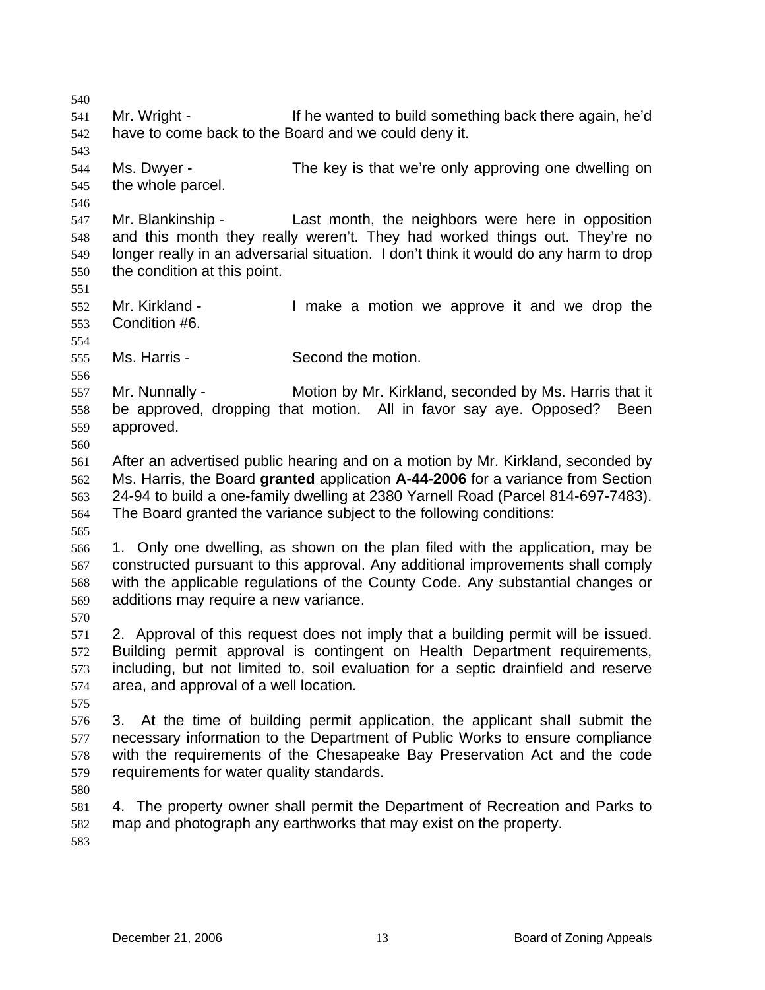540 541 542 543 544 545 546 547 548 549 550 551 552 553 554 555 556 557 558 559 560 561 562 563 564 565 566 567 568 569 570 571 572 573 574 575 576 577 578 579 580 581 582 583 Mr. Wright - If he wanted to build something back there again, he'd have to come back to the Board and we could deny it. Ms. Dwyer - The key is that we're only approving one dwelling on the whole parcel. Mr. Blankinship - Last month, the neighbors were here in opposition and this month they really weren't. They had worked things out. They're no longer really in an adversarial situation. I don't think it would do any harm to drop the condition at this point. Mr. Kirkland - The Muslim I make a motion we approve it and we drop the Condition #6. Ms. Harris - Second the motion. Mr. Nunnally - Motion by Mr. Kirkland, seconded by Ms. Harris that it be approved, dropping that motion. All in favor say aye. Opposed? Been approved. After an advertised public hearing and on a motion by Mr. Kirkland, seconded by Ms. Harris, the Board **granted** application **A-44-2006** for a variance from Section 24-94 to build a one-family dwelling at 2380 Yarnell Road (Parcel 814-697-7483). The Board granted the variance subject to the following conditions: 1. Only one dwelling, as shown on the plan filed with the application, may be constructed pursuant to this approval. Any additional improvements shall comply with the applicable regulations of the County Code. Any substantial changes or additions may require a new variance. 2. Approval of this request does not imply that a building permit will be issued. Building permit approval is contingent on Health Department requirements, including, but not limited to, soil evaluation for a septic drainfield and reserve area, and approval of a well location. 3. At the time of building permit application, the applicant shall submit the necessary information to the Department of Public Works to ensure compliance with the requirements of the Chesapeake Bay Preservation Act and the code requirements for water quality standards. 4. The property owner shall permit the Department of Recreation and Parks to map and photograph any earthworks that may exist on the property.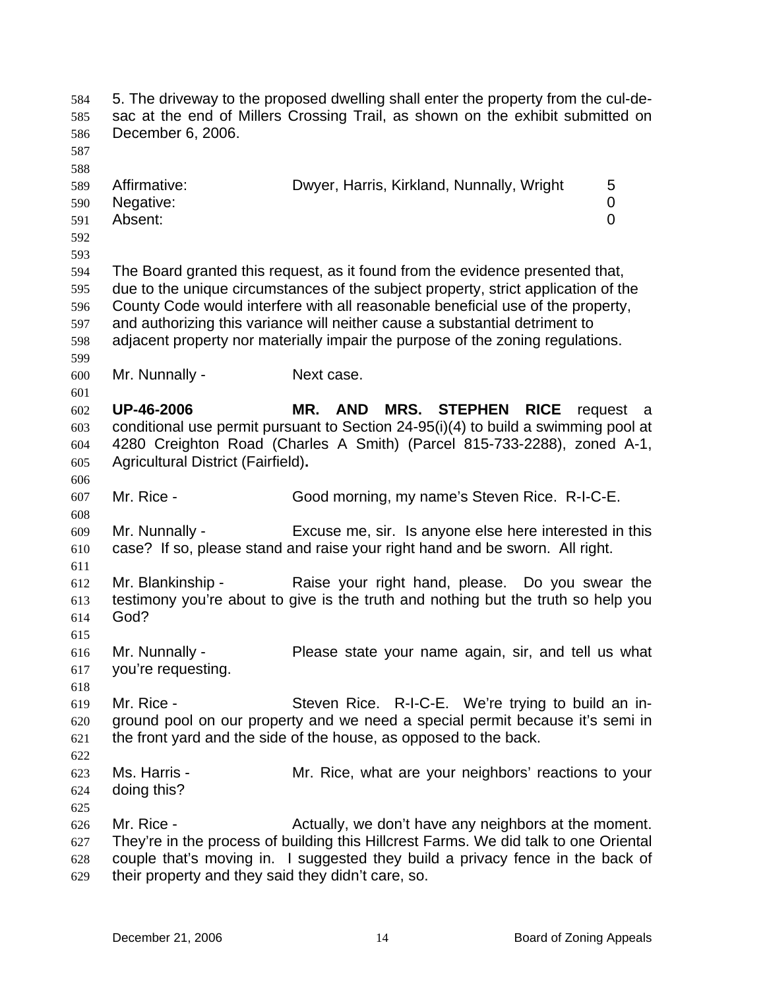| 584<br>585<br>586<br>587                      | December 6, 2006.                                                | 5. The driveway to the proposed dwelling shall enter the property from the cul-de-<br>sac at the end of Millers Crossing Trail, as shown on the exhibit submitted on                                                                                                                                                                                                                                                    |
|-----------------------------------------------|------------------------------------------------------------------|-------------------------------------------------------------------------------------------------------------------------------------------------------------------------------------------------------------------------------------------------------------------------------------------------------------------------------------------------------------------------------------------------------------------------|
| 588<br>589<br>590<br>591<br>592               | Affirmative:<br>Negative:<br>Absent:                             | Dwyer, Harris, Kirkland, Nunnally, Wright<br>5<br>0<br>$\overline{0}$                                                                                                                                                                                                                                                                                                                                                   |
| 593<br>594<br>595<br>596<br>597<br>598<br>599 |                                                                  | The Board granted this request, as it found from the evidence presented that,<br>due to the unique circumstances of the subject property, strict application of the<br>County Code would interfere with all reasonable beneficial use of the property,<br>and authorizing this variance will neither cause a substantial detriment to<br>adjacent property nor materially impair the purpose of the zoning regulations. |
| 600                                           | Mr. Nunnally -                                                   | Next case.                                                                                                                                                                                                                                                                                                                                                                                                              |
| 601<br>602<br>603<br>604<br>605<br>606        | <b>UP-46-2006</b><br>Agricultural District (Fairfield).          | MR. AND<br><b>MRS. STEPHEN</b><br><b>RICE</b><br>request<br>- a<br>conditional use permit pursuant to Section 24-95(i)(4) to build a swimming pool at<br>4280 Creighton Road (Charles A Smith) (Parcel 815-733-2288), zoned A-1,                                                                                                                                                                                        |
| 607<br>608                                    | Mr. Rice -                                                       | Good morning, my name's Steven Rice. R-I-C-E.                                                                                                                                                                                                                                                                                                                                                                           |
| 609<br>610<br>611                             | Mr. Nunnally -                                                   | Excuse me, sir. Is anyone else here interested in this<br>case? If so, please stand and raise your right hand and be sworn. All right.                                                                                                                                                                                                                                                                                  |
| 612<br>613<br>614<br>615                      | Mr. Blankinship -<br>God?                                        | Raise your right hand, please. Do you swear the<br>testimony you're about to give is the truth and nothing but the truth so help you                                                                                                                                                                                                                                                                                    |
| 616<br>617<br>618                             | Mr. Nunnally -<br>you're requesting.                             | Please state your name again, sir, and tell us what                                                                                                                                                                                                                                                                                                                                                                     |
| 619<br>620<br>621<br>622                      | Mr. Rice -                                                       | Steven Rice. R-I-C-E. We're trying to build an in-<br>ground pool on our property and we need a special permit because it's semi in<br>the front yard and the side of the house, as opposed to the back.                                                                                                                                                                                                                |
| 623<br>624<br>625                             | Ms. Harris -<br>doing this?                                      | Mr. Rice, what are your neighbors' reactions to your                                                                                                                                                                                                                                                                                                                                                                    |
| 626<br>627<br>628<br>629                      | Mr. Rice -<br>their property and they said they didn't care, so. | Actually, we don't have any neighbors at the moment.<br>They're in the process of building this Hillcrest Farms. We did talk to one Oriental<br>couple that's moving in. I suggested they build a privacy fence in the back of                                                                                                                                                                                          |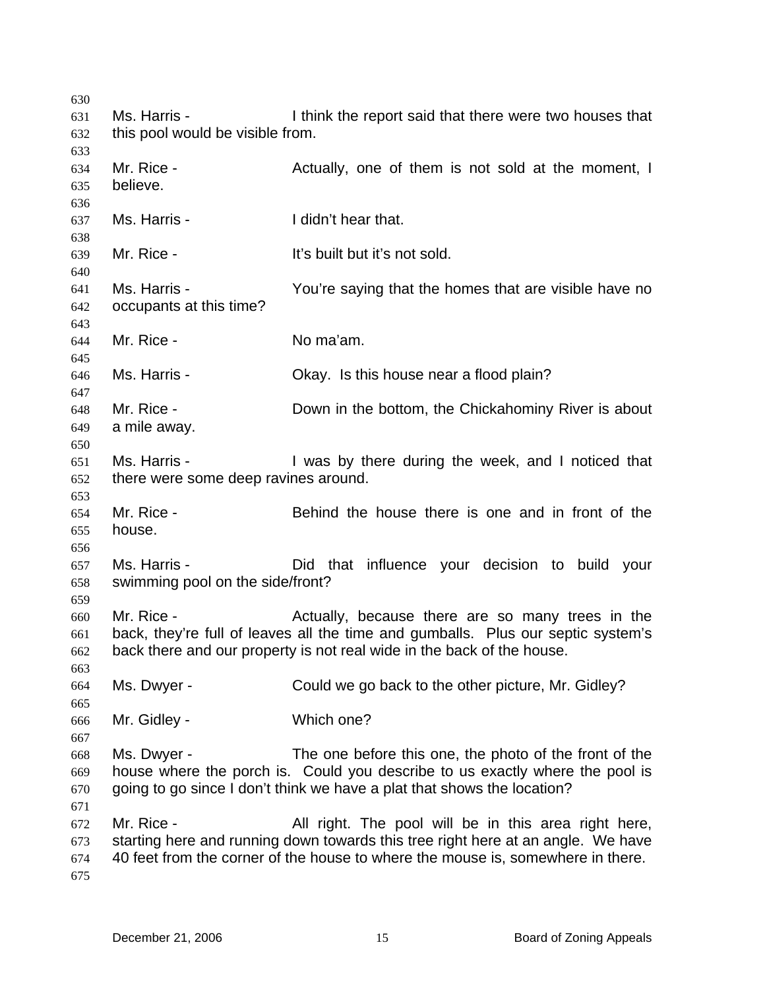Ms. Harris - I think the report said that there were two houses that this pool would be visible from. Mr. Rice - The State Actually, one of them is not sold at the moment, I believe. Ms. Harris - The Music Hearthat. Mr. Rice - The Multiput it's not sold. Ms. Harris - The You're saying that the homes that are visible have no occupants at this time? Mr. Rice - No ma'am. Ms. Harris - Ckay. Is this house near a flood plain? Mr. Rice - **Example 2** Down in the bottom, the Chickahominy River is about a mile away. Ms. Harris - The Mas by there during the week, and I noticed that there were some deep ravines around. Mr. Rice - Behind the house there is one and in front of the house. Ms. Harris - Did that influence your decision to build your swimming pool on the side/front? Mr. Rice - The Actually, because there are so many trees in the back, they're full of leaves all the time and gumballs. Plus our septic system's back there and our property is not real wide in the back of the house. Ms. Dwyer - Could we go back to the other picture, Mr. Gidley? Mr. Gidley - Which one? Ms. Dwyer - The one before this one, the photo of the front of the house where the porch is. Could you describe to us exactly where the pool is going to go since I don't think we have a plat that shows the location? Mr. Rice - All right. The pool will be in this area right here, starting here and running down towards this tree right here at an angle. We have 40 feet from the corner of the house to where the mouse is, somewhere in there.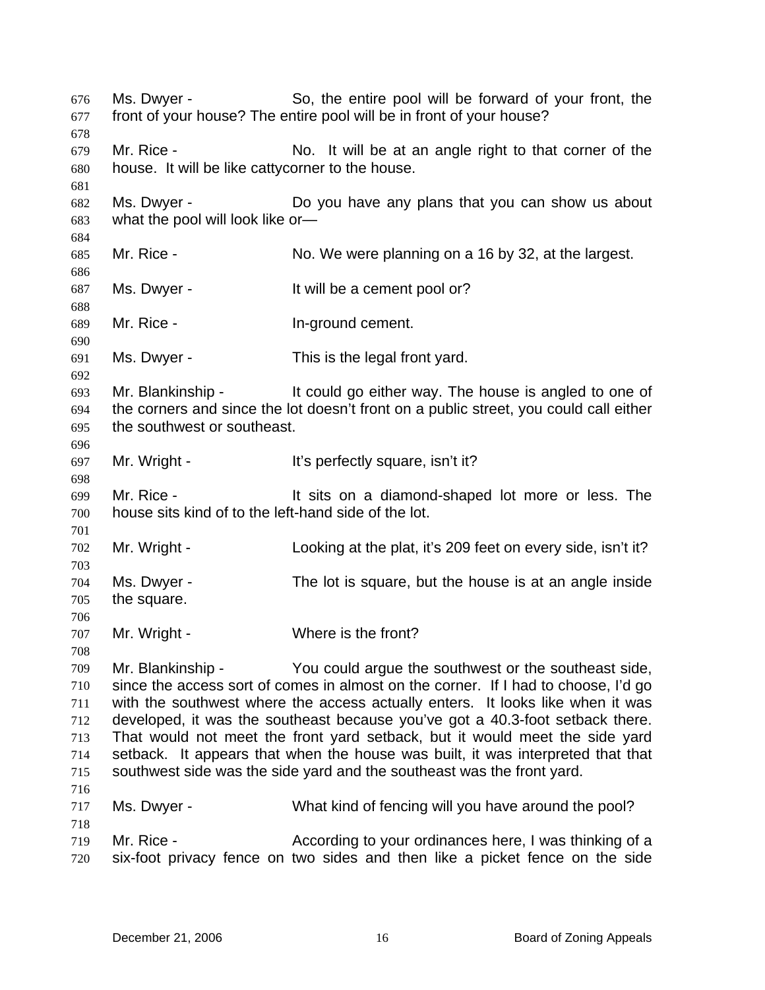Ms. Dwyer - So, the entire pool will be forward of your front, the front of your house? The entire pool will be in front of your house? 676 677 678 679 680 681 682 683 684 685 686 687 688 689 690 691 692 693 694 695 696 697 698 699 700 701 702 703 704 705 706 707 708 709 710 711 712 713 714 715 716 717 718 719 720 Mr. Rice - No. It will be at an angle right to that corner of the house. It will be like cattycorner to the house. Ms. Dwyer - **Do you have any plans that you can show us about** what the pool will look like or— Mr. Rice - No. We were planning on a 16 by 32, at the largest. Ms. Dwyer - It will be a cement pool or? Mr. Rice - The School Communication of the United States Mr. 2016. Ms. Dwyer - This is the legal front yard. Mr. Blankinship - The could go either way. The house is angled to one of the corners and since the lot doesn't front on a public street, you could call either the southwest or southeast. Mr. Wright - It's perfectly square, isn't it? Mr. Rice - The State of a diamond-shaped lot more or less. The house sits kind of to the left-hand side of the lot. Mr. Wright - Looking at the plat, it's 209 feet on every side, isn't it? Ms. Dwyer - The lot is square, but the house is at an angle inside the square. Mr. Wright - Where is the front? Mr. Blankinship - You could argue the southwest or the southeast side, since the access sort of comes in almost on the corner. If I had to choose, I'd go with the southwest where the access actually enters. It looks like when it was developed, it was the southeast because you've got a 40.3-foot setback there. That would not meet the front yard setback, but it would meet the side yard setback. It appears that when the house was built, it was interpreted that that southwest side was the side yard and the southeast was the front yard. Ms. Dwyer - What kind of fencing will you have around the pool? Mr. Rice - The According to your ordinances here, I was thinking of a six-foot privacy fence on two sides and then like a picket fence on the side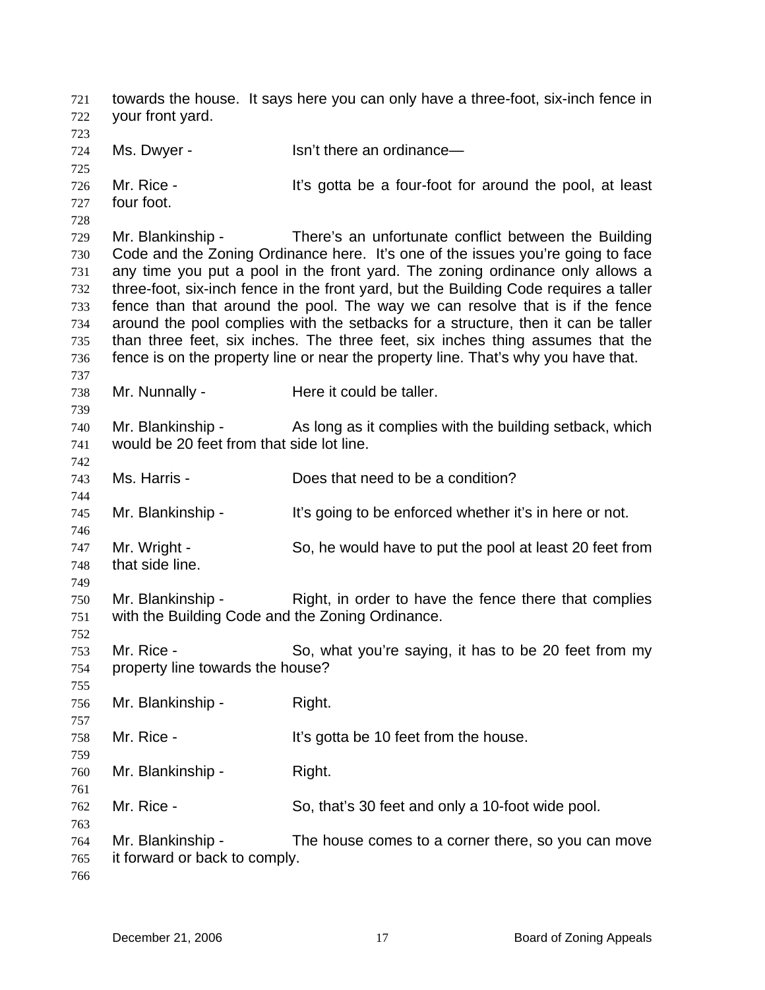towards the house. It says here you can only have a three-foot, six-inch fence in your front yard. 721 722 723 724 725 726 727 728 729 730 731 732 733 734 735 736 737 738 739 740 741 742 743 744 745 746 747 748 749 750 751 752 753 754 755 756 757 758 759 760 761 762 763 764 765 766 Ms. Dwyer - Isn't there an ordinance— Mr. Rice - It's gotta be a four-foot for around the pool, at least four foot. Mr. Blankinship - There's an unfortunate conflict between the Building Code and the Zoning Ordinance here. It's one of the issues you're going to face any time you put a pool in the front yard. The zoning ordinance only allows a three-foot, six-inch fence in the front yard, but the Building Code requires a taller fence than that around the pool. The way we can resolve that is if the fence around the pool complies with the setbacks for a structure, then it can be taller than three feet, six inches. The three feet, six inches thing assumes that the fence is on the property line or near the property line. That's why you have that. Mr. Nunnally - Here it could be taller. Mr. Blankinship - As long as it complies with the building setback, which would be 20 feet from that side lot line. Ms. Harris - Does that need to be a condition? Mr. Blankinship - It's going to be enforced whether it's in here or not. Mr. Wright - So, he would have to put the pool at least 20 feet from that side line. Mr. Blankinship - Right, in order to have the fence there that complies with the Building Code and the Zoning Ordinance. Mr. Rice - So, what you're saying, it has to be 20 feet from my property line towards the house? Mr. Blankinship - Right. Mr. Rice - The Music Contract Helpert It's gotta be 10 feet from the house. Mr. Blankinship - Right. Mr. Rice - So, that's 30 feet and only a 10-foot wide pool. Mr. Blankinship - The house comes to a corner there, so you can move it forward or back to comply.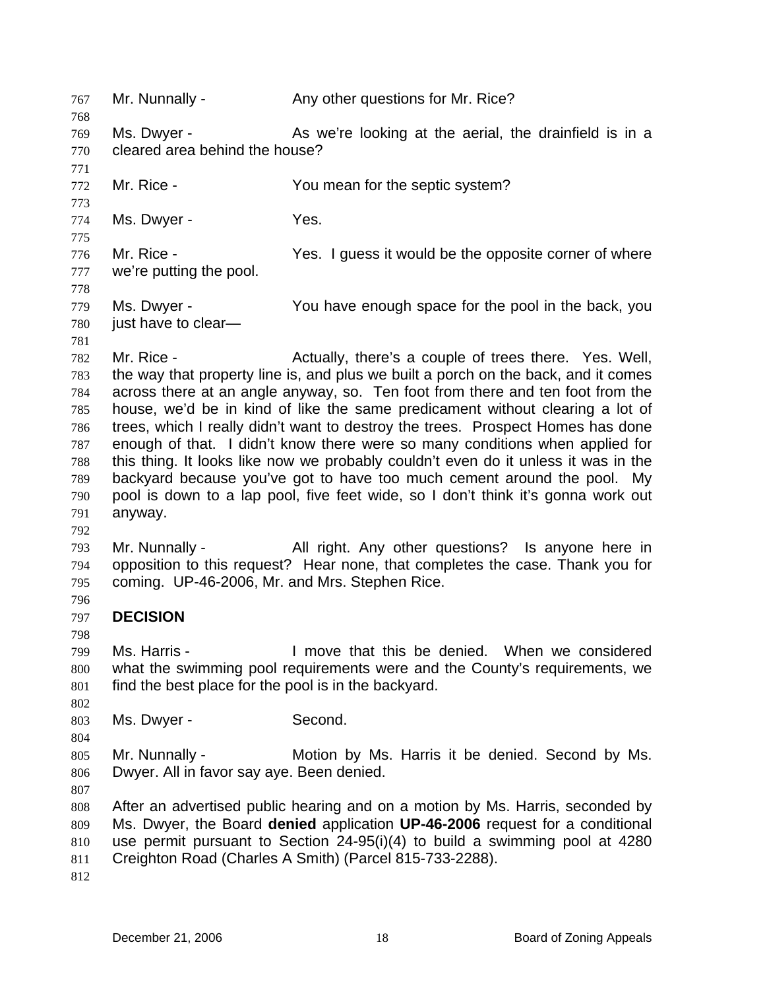767 Mr. Nunnally - Any other questions for Mr. Rice? 768 769 770 771 772 773 774 775 776 777 778 779 780 781 782 783 784 785 786 787 788 789 790 791 792 793 794 795 796 797 798 799 800 801 802 803 804 805 806 807 808 809 810 811 812 Ms. Dwyer - The As we're looking at the aerial, the drainfield is in a cleared area behind the house? Mr. Rice - You mean for the septic system? Ms. Dwyer - Yes. Mr. Rice - The Yes. I guess it would be the opposite corner of where we're putting the pool. Ms. Dwyer - You have enough space for the pool in the back, you just have to clear— Mr. Rice - The Actually, there's a couple of trees there. Yes. Well, the way that property line is, and plus we built a porch on the back, and it comes across there at an angle anyway, so. Ten foot from there and ten foot from the house, we'd be in kind of like the same predicament without clearing a lot of trees, which I really didn't want to destroy the trees. Prospect Homes has done enough of that. I didn't know there were so many conditions when applied for this thing. It looks like now we probably couldn't even do it unless it was in the backyard because you've got to have too much cement around the pool. My pool is down to a lap pool, five feet wide, so I don't think it's gonna work out anyway. Mr. Nunnally - All right. Any other questions? Is anyone here in opposition to this request? Hear none, that completes the case. Thank you for coming. UP-46-2006, Mr. and Mrs. Stephen Rice. **DECISION**  Ms. Harris - I move that this be denied. When we considered what the swimming pool requirements were and the County's requirements, we find the best place for the pool is in the backyard. Ms. Dwyer - Second. Mr. Nunnally - **Motion by Ms. Harris it be denied. Second by Ms.** Dwyer. All in favor say aye. Been denied. After an advertised public hearing and on a motion by Ms. Harris, seconded by Ms. Dwyer, the Board **denied** application **UP-46-2006** request for a conditional use permit pursuant to Section 24-95(i)(4) to build a swimming pool at 4280 Creighton Road (Charles A Smith) (Parcel 815-733-2288).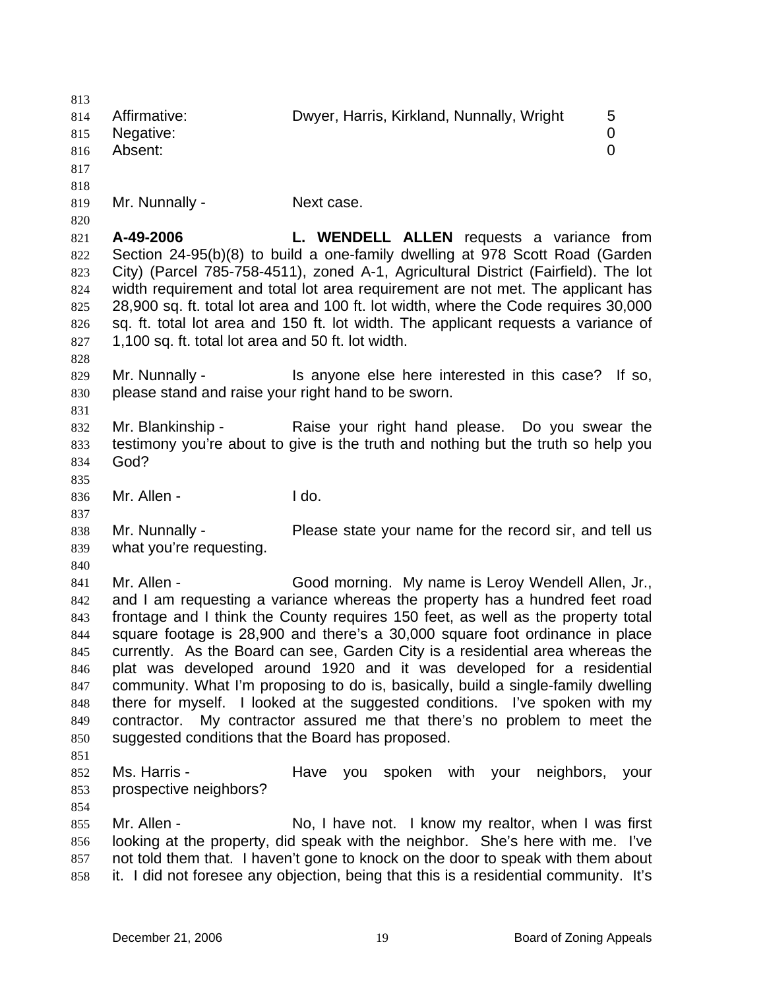813 814 815 816 817 818 819 820 821 822 823 824 825 826 827 828 829 830 831 832 833 834 835 836 837 838 839 840 841 842 843 844 845 846 847 848 849 850 851 852 853 854 855 856 857 858 Affirmative: Dwyer, Harris, Kirkland, Nunnally, Wright 5 Negative: 0 Absent: 0 Mr. Nunnally - Next case. **A-49-2006 L. WENDELL ALLEN** requests a variance from Section 24-95(b)(8) to build a one-family dwelling at 978 Scott Road (Garden City) (Parcel 785-758-4511), zoned A-1, Agricultural District (Fairfield). The lot width requirement and total lot area requirement are not met. The applicant has 28,900 sq. ft. total lot area and 100 ft. lot width, where the Code requires 30,000 sq. ft. total lot area and 150 ft. lot width. The applicant requests a variance of 1,100 sq. ft. total lot area and 50 ft. lot width. Mr. Nunnally - This anyone else here interested in this case? If so, please stand and raise your right hand to be sworn. Mr. Blankinship - Raise your right hand please. Do you swear the testimony you're about to give is the truth and nothing but the truth so help you God? Mr. Allen - I do. Mr. Nunnally - Please state your name for the record sir, and tell us what you're requesting. Mr. Allen - Good morning. My name is Leroy Wendell Allen, Jr., and I am requesting a variance whereas the property has a hundred feet road frontage and I think the County requires 150 feet, as well as the property total square footage is 28,900 and there's a 30,000 square foot ordinance in place currently. As the Board can see, Garden City is a residential area whereas the plat was developed around 1920 and it was developed for a residential community. What I'm proposing to do is, basically, build a single-family dwelling there for myself. I looked at the suggested conditions. I've spoken with my contractor. My contractor assured me that there's no problem to meet the suggested conditions that the Board has proposed. Ms. Harris - The Have you spoken with your neighbors, your prospective neighbors? Mr. Allen - No, I have not. I know my realtor, when I was first looking at the property, did speak with the neighbor. She's here with me. I've not told them that. I haven't gone to knock on the door to speak with them about it. I did not foresee any objection, being that this is a residential community. It's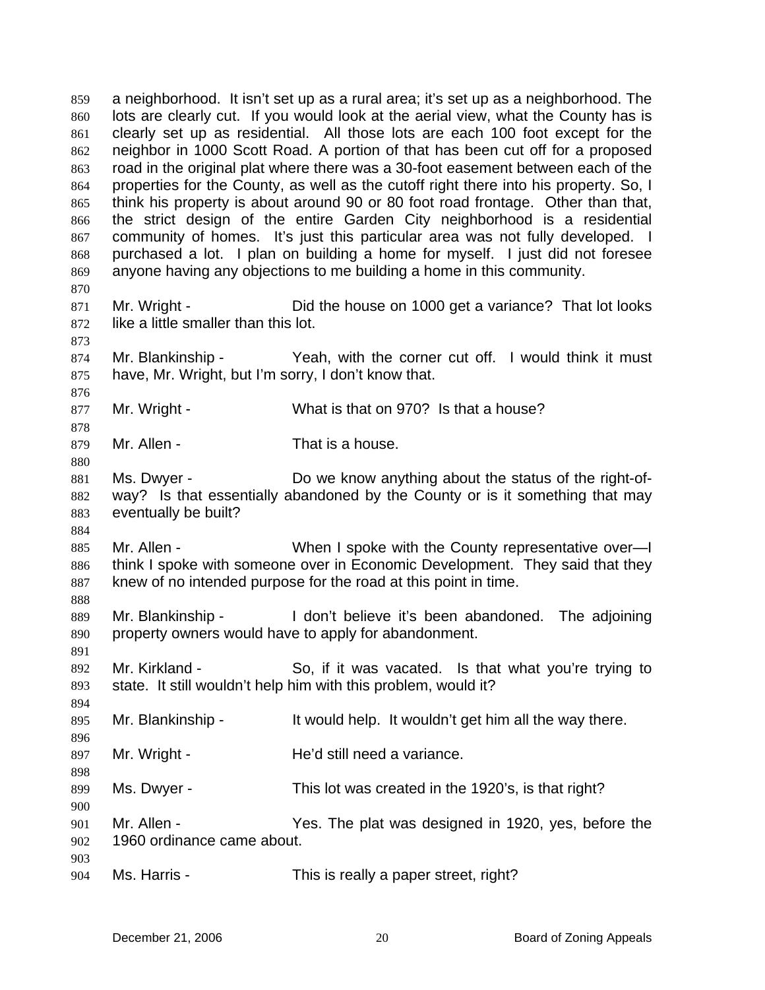a neighborhood. It isn't set up as a rural area; it's set up as a neighborhood. The lots are clearly cut. If you would look at the aerial view, what the County has is clearly set up as residential. All those lots are each 100 foot except for the neighbor in 1000 Scott Road. A portion of that has been cut off for a proposed road in the original plat where there was a 30-foot easement between each of the properties for the County, as well as the cutoff right there into his property. So, I think his property is about around 90 or 80 foot road frontage. Other than that, the strict design of the entire Garden City neighborhood is a residential community of homes. It's just this particular area was not fully developed. I purchased a lot. I plan on building a home for myself. I just did not foresee anyone having any objections to me building a home in this community. 859 860 861 862 863 864 865 866 867 868 869 870 871 872 873 874 875 876 877 878 879 880 881 882 883 884 885 886 887 888 889 890 891 892 893 894 895 896 897 898 899 900 901 902 903 904 Mr. Wright - Did the house on 1000 get a variance? That lot looks like a little smaller than this lot. Mr. Blankinship - Yeah, with the corner cut off. I would think it must have, Mr. Wright, but I'm sorry, I don't know that. Mr. Wright - What is that on 970? Is that a house? Mr. Allen - That is a house. Ms. Dwyer - Do we know anything about the status of the right-ofway? Is that essentially abandoned by the County or is it something that may eventually be built? Mr. Allen - When I spoke with the County representative over—I think I spoke with someone over in Economic Development. They said that they knew of no intended purpose for the road at this point in time. Mr. Blankinship - I don't believe it's been abandoned. The adjoining property owners would have to apply for abandonment. Mr. Kirkland - So, if it was vacated. Is that what you're trying to state. It still wouldn't help him with this problem, would it? Mr. Blankinship - It would help. It wouldn't get him all the way there. Mr. Wright - **He'd still need a variance**. Ms. Dwyer - This lot was created in the 1920's, is that right? Mr. Allen - The State Manager States and Mr. Allen - The States The plat was designed in 1920, yes, before the 1960 ordinance came about. Ms. Harris - This is really a paper street, right?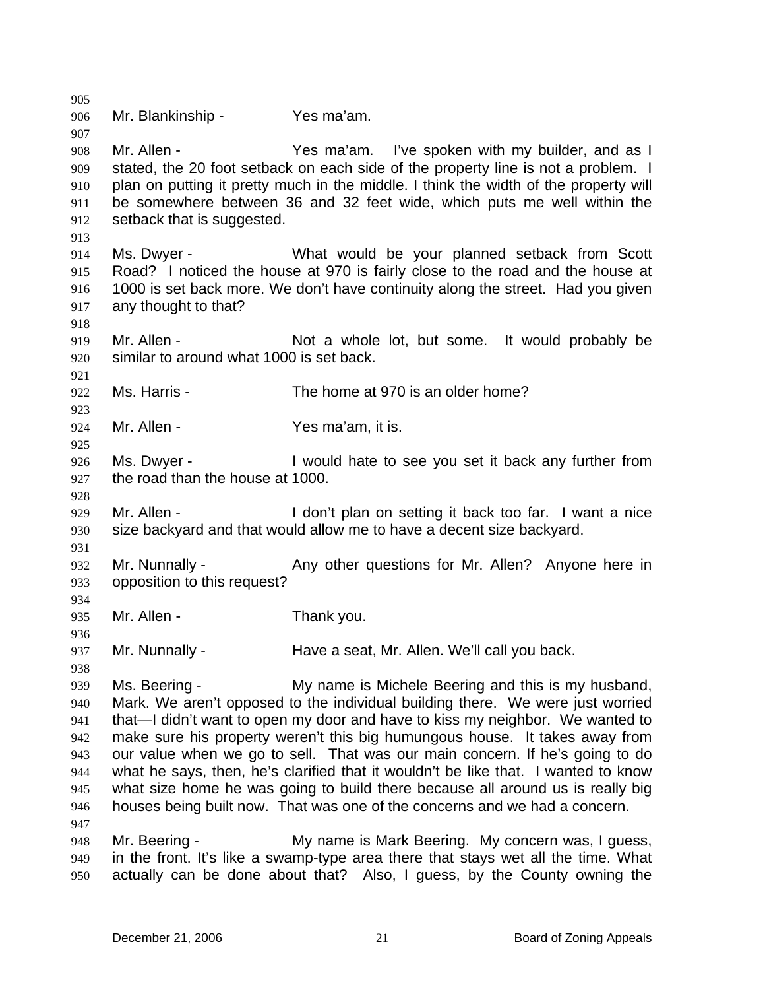905 906 907 908 909 910 911 912 913 914 915 916 917 918 919 920 921 922 923 924 925 926 927 928 929 930 931 932 933 934 935 936 937 938 939 940 941 942 943 944 945 946 947 948 949 950 Mr. Blankinship - Yes ma'am. Mr. Allen - The State Yes ma'am. I've spoken with my builder, and as I stated, the 20 foot setback on each side of the property line is not a problem. I plan on putting it pretty much in the middle. I think the width of the property will be somewhere between 36 and 32 feet wide, which puts me well within the setback that is suggested. Ms. Dwyer - **What would be your planned setback from Scott** Road? I noticed the house at 970 is fairly close to the road and the house at 1000 is set back more. We don't have continuity along the street. Had you given any thought to that? Mr. Allen - Not a whole lot, but some. It would probably be similar to around what 1000 is set back. Ms. Harris - The home at 970 is an older home? Mr. Allen - Yes ma'am, it is. Ms. Dwyer - Twould hate to see you set it back any further from the road than the house at 1000. Mr. Allen - I don't plan on setting it back too far. I want a nice size backyard and that would allow me to have a decent size backyard. Mr. Nunnally - Any other questions for Mr. Allen? Anyone here in opposition to this request? Mr. Allen - Thank you. Mr. Nunnally - **Have a seat, Mr. Allen. We'll call you back.** Ms. Beering - My name is Michele Beering and this is my husband, Mark. We aren't opposed to the individual building there. We were just worried that—I didn't want to open my door and have to kiss my neighbor. We wanted to make sure his property weren't this big humungous house. It takes away from our value when we go to sell. That was our main concern. If he's going to do what he says, then, he's clarified that it wouldn't be like that. I wanted to know what size home he was going to build there because all around us is really big houses being built now. That was one of the concerns and we had a concern. Mr. Beering - My name is Mark Beering. My concern was, I guess, in the front. It's like a swamp-type area there that stays wet all the time. What actually can be done about that? Also, I guess, by the County owning the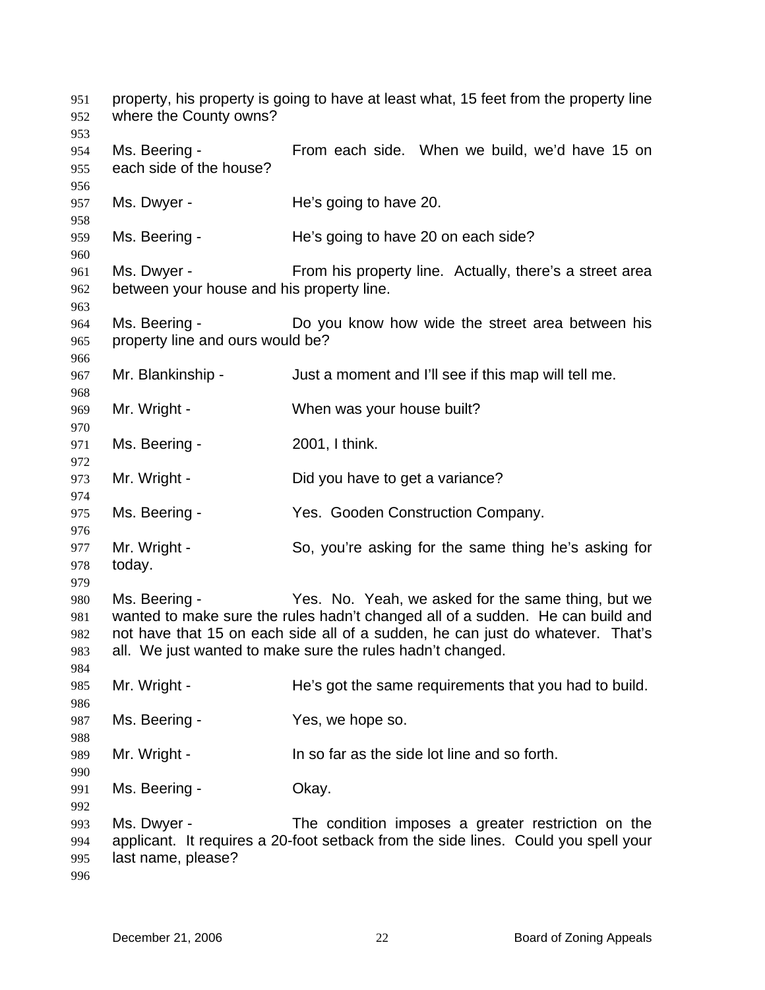property, his property is going to have at least what, 15 feet from the property line where the County owns? Ms. Beering - From each side. When we build, we'd have 15 on each side of the house? Ms. Dwyer - The's going to have 20. Ms. Beering - The's going to have 20 on each side? Ms. Dwyer - From his property line. Actually, there's a street area between your house and his property line. Ms. Beering - Do you know how wide the street area between his property line and ours would be? Mr. Blankinship - Just a moment and I'll see if this map will tell me. Mr. Wright - When was your house built? Ms. Beering - 2001, I think. Mr. Wright - Did you have to get a variance? Ms. Beering - The Mes. Gooden Construction Company. Mr. Wright - So, you're asking for the same thing he's asking for today. Ms. Beering - Yes. No. Yeah, we asked for the same thing, but we wanted to make sure the rules hadn't changed all of a sudden. He can build and not have that 15 on each side all of a sudden, he can just do whatever. That's all. We just wanted to make sure the rules hadn't changed. Mr. Wright - He's got the same requirements that you had to build. Ms. Beering - The Mes, we hope so. Mr. Wright - In so far as the side lot line and so forth. Ms. Beering - Chay. Ms. Dwyer - The condition imposes a greater restriction on the applicant. It requires a 20-foot setback from the side lines. Could you spell your last name, please?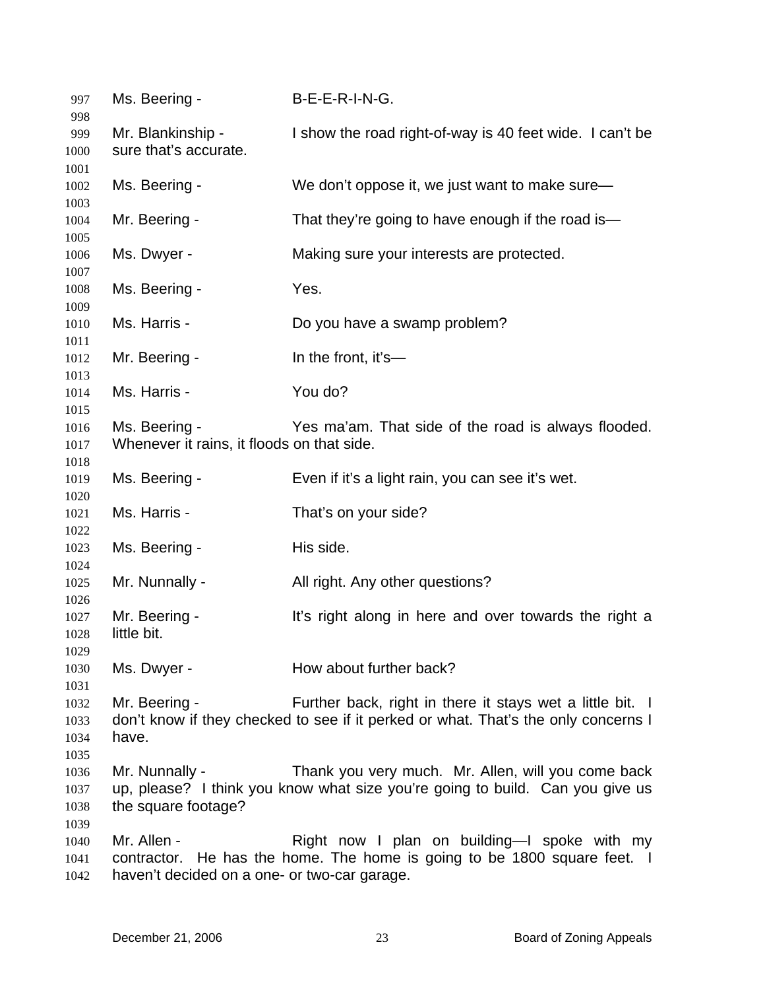| 997                                  | Ms. Beering -                                                              | B-E-E-R-I-N-G.                                                                                                                                  |
|--------------------------------------|----------------------------------------------------------------------------|-------------------------------------------------------------------------------------------------------------------------------------------------|
| 998<br>999                           | Mr. Blankinship -                                                          | I show the road right-of-way is 40 feet wide. I can't be                                                                                        |
| 1000                                 | sure that's accurate.                                                      |                                                                                                                                                 |
| 1001                                 |                                                                            |                                                                                                                                                 |
| 1002                                 | Ms. Beering -                                                              | We don't oppose it, we just want to make sure-                                                                                                  |
| 1003<br>1004                         | Mr. Beering -                                                              | That they're going to have enough if the road is-                                                                                               |
| 1005<br>1006                         | Ms. Dwyer -                                                                | Making sure your interests are protected.                                                                                                       |
| 1007<br>1008                         | Ms. Beering -                                                              | Yes.                                                                                                                                            |
| 1009<br>1010                         | Ms. Harris -                                                               | Do you have a swamp problem?                                                                                                                    |
| 1011<br>1012<br>1013                 | Mr. Beering -                                                              | In the front, it's-                                                                                                                             |
| 1014<br>1015                         | Ms. Harris -                                                               | You do?                                                                                                                                         |
| 1016                                 | Ms. Beering -                                                              | Yes ma'am. That side of the road is always flooded.                                                                                             |
| 1017                                 | Whenever it rains, it floods on that side.                                 |                                                                                                                                                 |
| 1018                                 |                                                                            |                                                                                                                                                 |
| 1019<br>1020                         | Ms. Beering -                                                              | Even if it's a light rain, you can see it's wet.                                                                                                |
| 1021<br>1022                         | Ms. Harris -                                                               | That's on your side?                                                                                                                            |
| 1023<br>1024                         | Ms. Beering -                                                              | His side.                                                                                                                                       |
| 1025<br>1026                         | Mr. Nunnally -                                                             | All right. Any other questions?                                                                                                                 |
| 1027<br>1028<br>1029                 | Mr. Beering -<br>little bit.                                               | It's right along in here and over towards the right a                                                                                           |
| 1030                                 | Ms. Dwyer -                                                                | How about further back?                                                                                                                         |
| 1031<br>1032<br>1033<br>1034<br>1035 | Mr. Beering -<br>have.                                                     | Further back, right in there it stays wet a little bit. I<br>don't know if they checked to see if it perked or what. That's the only concerns I |
| 1036<br>1037<br>1038<br>1039         | Mr. Nunnally -<br>the square footage?                                      | Thank you very much. Mr. Allen, will you come back<br>up, please? I think you know what size you're going to build. Can you give us             |
| 1040<br>1041<br>1042                 | Mr. Allen -<br>contractor.<br>haven't decided on a one- or two-car garage. | Right now I plan on building—I spoke with my<br>He has the home. The home is going to be 1800 square feet. I                                    |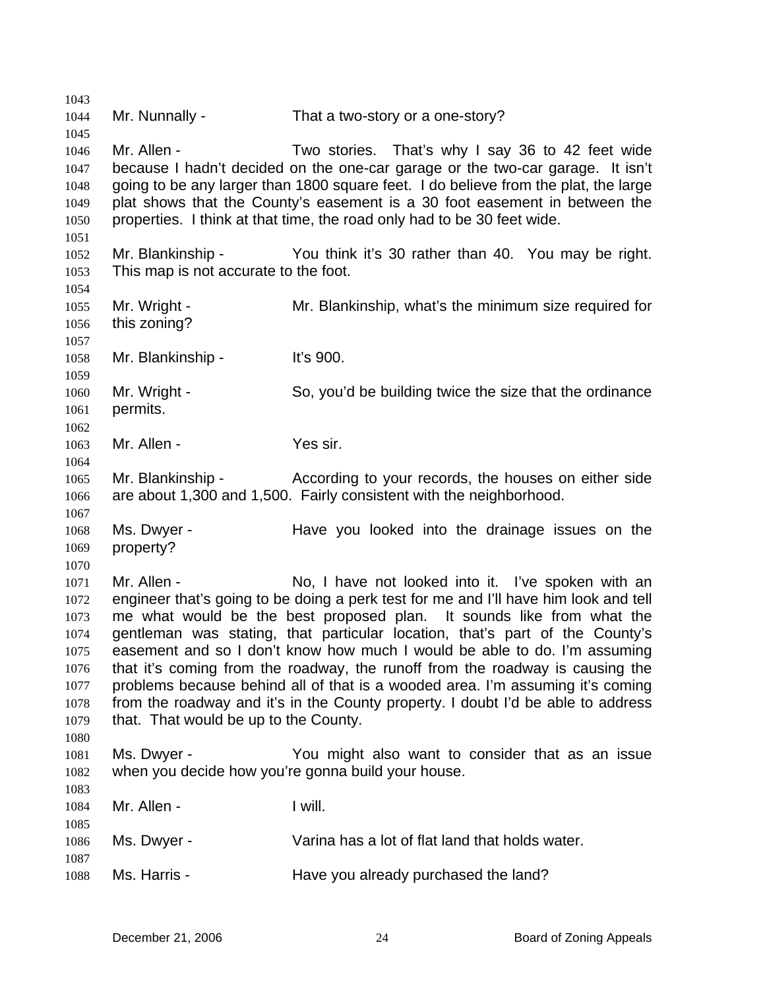1043 1044 1045 1046 1047 1048 1049 1050 1051 1052 1053 1054 1055 1056 1057 1058 1059 1060 1061 1062 1063 1064 1065 1066 1067 1068 1069 1070 1071 1072 1073 1074 1075 1076 1077 1078 1079 1080 1081 1082 1083 1084 1085 1086 1087 1088 Mr. Nunnally - That a two-story or a one-story? Mr. Allen - Two stories. That's why I say 36 to 42 feet wide because I hadn't decided on the one-car garage or the two-car garage. It isn't going to be any larger than 1800 square feet. I do believe from the plat, the large plat shows that the County's easement is a 30 foot easement in between the properties. I think at that time, the road only had to be 30 feet wide. Mr. Blankinship - You think it's 30 rather than 40. You may be right. This map is not accurate to the foot. Mr. Wright - Mr. Blankinship, what's the minimum size required for this zoning? Mr. Blankinship - It's 900. Mr. Wright - So, you'd be building twice the size that the ordinance permits. Mr. Allen - Yes sir. Mr. Blankinship - According to your records, the houses on either side are about 1,300 and 1,500. Fairly consistent with the neighborhood. Ms. Dwyer - The Have you looked into the drainage issues on the property? Mr. Allen - No, I have not looked into it. I've spoken with an engineer that's going to be doing a perk test for me and I'll have him look and tell me what would be the best proposed plan. It sounds like from what the gentleman was stating, that particular location, that's part of the County's easement and so I don't know how much I would be able to do. I'm assuming that it's coming from the roadway, the runoff from the roadway is causing the problems because behind all of that is a wooded area. I'm assuming it's coming from the roadway and it's in the County property. I doubt I'd be able to address that. That would be up to the County. Ms. Dwyer - You might also want to consider that as an issue when you decide how you're gonna build your house. Mr. Allen - I will. Ms. Dwyer - Varina has a lot of flat land that holds water. Ms. Harris - The Have you already purchased the land?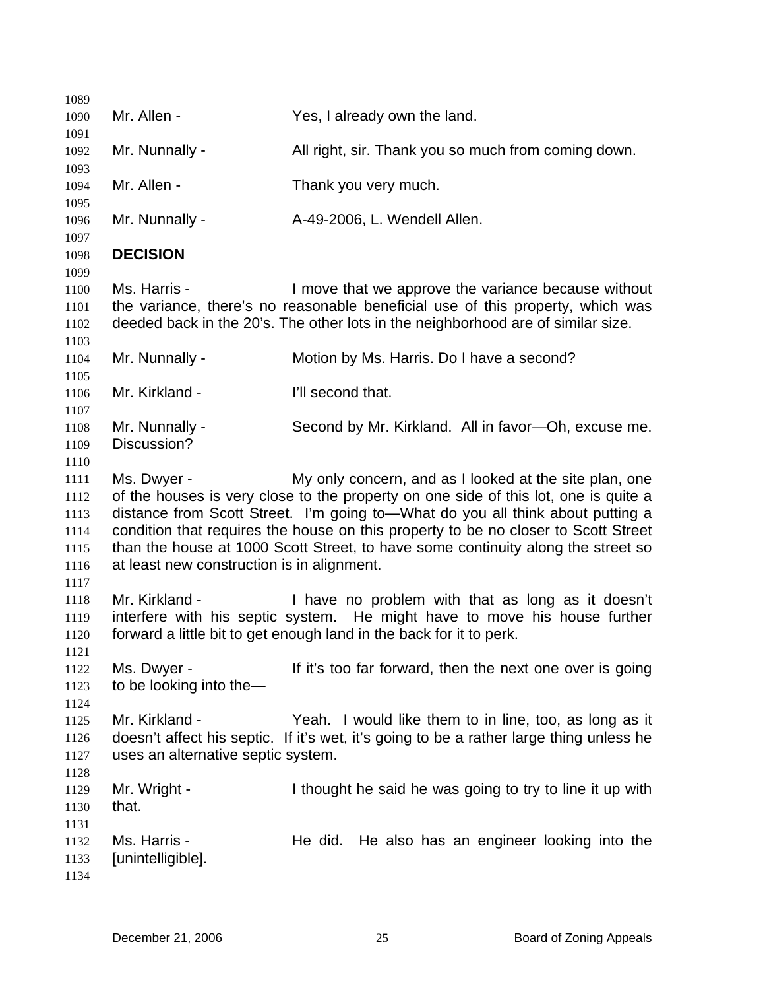1089 1090 1091 1092 1093 1094 1095 1096 1097 1098 1099 1100 1101 1102 1103 1104 1105 1106 1107 1108 1109 1110 1111 1112 1113 1114 1115 1116 1117 1118 1119 1120 1121 1122 1123 1124 1125 1126 1127 1128 1129 1130 1131 1132 1133 1134 Mr. Allen - The Yes, I already own the land. Mr. Nunnally - All right, sir. Thank you so much from coming down. Mr. Allen - Thank you very much. Mr. Nunnally - A-49-2006, L. Wendell Allen. **DECISION**  Ms. Harris - The Move that we approve the variance because without the variance, there's no reasonable beneficial use of this property, which was deeded back in the 20's. The other lots in the neighborhood are of similar size. Mr. Nunnally - Motion by Ms. Harris. Do I have a second? Mr. Kirkland - **I'll second that.** Mr. Nunnally - Second by Mr. Kirkland. All in favor—Oh, excuse me. Discussion? Ms. Dwyer - My only concern, and as I looked at the site plan, one of the houses is very close to the property on one side of this lot, one is quite a distance from Scott Street. I'm going to—What do you all think about putting a condition that requires the house on this property to be no closer to Scott Street than the house at 1000 Scott Street, to have some continuity along the street so at least new construction is in alignment. Mr. Kirkland - I have no problem with that as long as it doesn't interfere with his septic system. He might have to move his house further forward a little bit to get enough land in the back for it to perk. Ms. Dwyer - The it's too far forward, then the next one over is going to be looking into the— Mr. Kirkland - Yeah. I would like them to in line, too, as long as it doesn't affect his septic. If it's wet, it's going to be a rather large thing unless he uses an alternative septic system. Mr. Wright - I thought he said he was going to try to line it up with that. Ms. Harris - The did. He also has an engineer looking into the [unintelligible].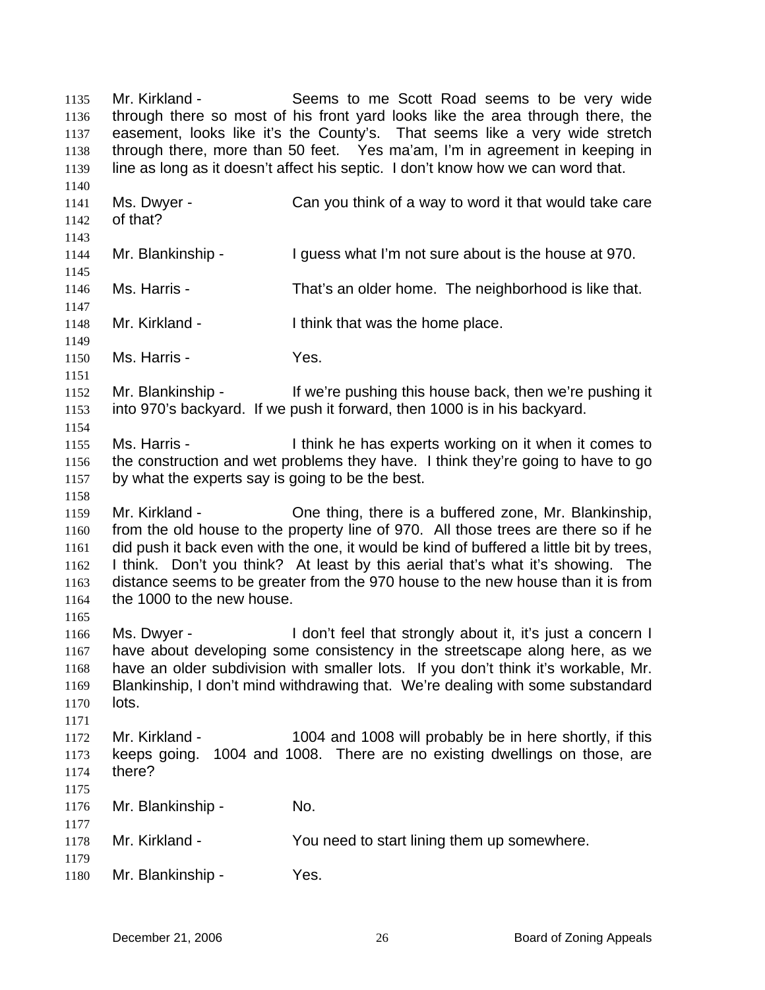| 1135<br>1136<br>1137<br>1138<br>1139                 | Mr. Kirkland -                                                   | Seems to me Scott Road seems to be very wide<br>through there so most of his front yard looks like the area through there, the<br>easement, looks like it's the County's. That seems like a very wide stretch<br>through there, more than 50 feet. Yes ma'am, I'm in agreement in keeping in<br>line as long as it doesn't affect his septic. I don't know how we can word that.                              |
|------------------------------------------------------|------------------------------------------------------------------|---------------------------------------------------------------------------------------------------------------------------------------------------------------------------------------------------------------------------------------------------------------------------------------------------------------------------------------------------------------------------------------------------------------|
| 1140<br>1141<br>1142<br>1143                         | Ms. Dwyer -<br>of that?                                          | Can you think of a way to word it that would take care                                                                                                                                                                                                                                                                                                                                                        |
| 1144<br>1145                                         | Mr. Blankinship -                                                | I guess what I'm not sure about is the house at 970.                                                                                                                                                                                                                                                                                                                                                          |
| 1146<br>1147                                         | Ms. Harris -                                                     | That's an older home. The neighborhood is like that.                                                                                                                                                                                                                                                                                                                                                          |
| 1148<br>1149                                         | Mr. Kirkland -                                                   | I think that was the home place.                                                                                                                                                                                                                                                                                                                                                                              |
| 1150<br>1151                                         | Ms. Harris -                                                     | Yes.                                                                                                                                                                                                                                                                                                                                                                                                          |
| 1152<br>1153<br>1154                                 | Mr. Blankinship -                                                | If we're pushing this house back, then we're pushing it<br>into 970's backyard. If we push it forward, then 1000 is in his backyard.                                                                                                                                                                                                                                                                          |
| 1155<br>1156<br>1157<br>1158                         | Ms. Harris -<br>by what the experts say is going to be the best. | I think he has experts working on it when it comes to<br>the construction and wet problems they have. I think they're going to have to go                                                                                                                                                                                                                                                                     |
| 1159<br>1160<br>1161<br>1162<br>1163<br>1164<br>1165 | Mr. Kirkland -<br>the 1000 to the new house.                     | One thing, there is a buffered zone, Mr. Blankinship,<br>from the old house to the property line of 970. All those trees are there so if he<br>did push it back even with the one, it would be kind of buffered a little bit by trees,<br>I think. Don't you think? At least by this aerial that's what it's showing. The<br>distance seems to be greater from the 970 house to the new house than it is from |
| 1166<br>1167<br>1168<br>1169<br>1170<br>1171         | Ms. Dwyer -<br>lots.                                             | I don't feel that strongly about it, it's just a concern I<br>have about developing some consistency in the streetscape along here, as we<br>have an older subdivision with smaller lots. If you don't think it's workable, Mr.<br>Blankinship, I don't mind withdrawing that. We're dealing with some substandard                                                                                            |
| 1172<br>1173<br>1174<br>1175                         | Mr. Kirkland -<br>keeps going.<br>there?                         | 1004 and 1008 will probably be in here shortly, if this<br>1004 and 1008. There are no existing dwellings on those, are                                                                                                                                                                                                                                                                                       |
| 1176<br>1177                                         | Mr. Blankinship -                                                | No.                                                                                                                                                                                                                                                                                                                                                                                                           |
| 1178<br>1179                                         | Mr. Kirkland -                                                   | You need to start lining them up somewhere.                                                                                                                                                                                                                                                                                                                                                                   |
| 1180                                                 | Mr. Blankinship -                                                | Yes.                                                                                                                                                                                                                                                                                                                                                                                                          |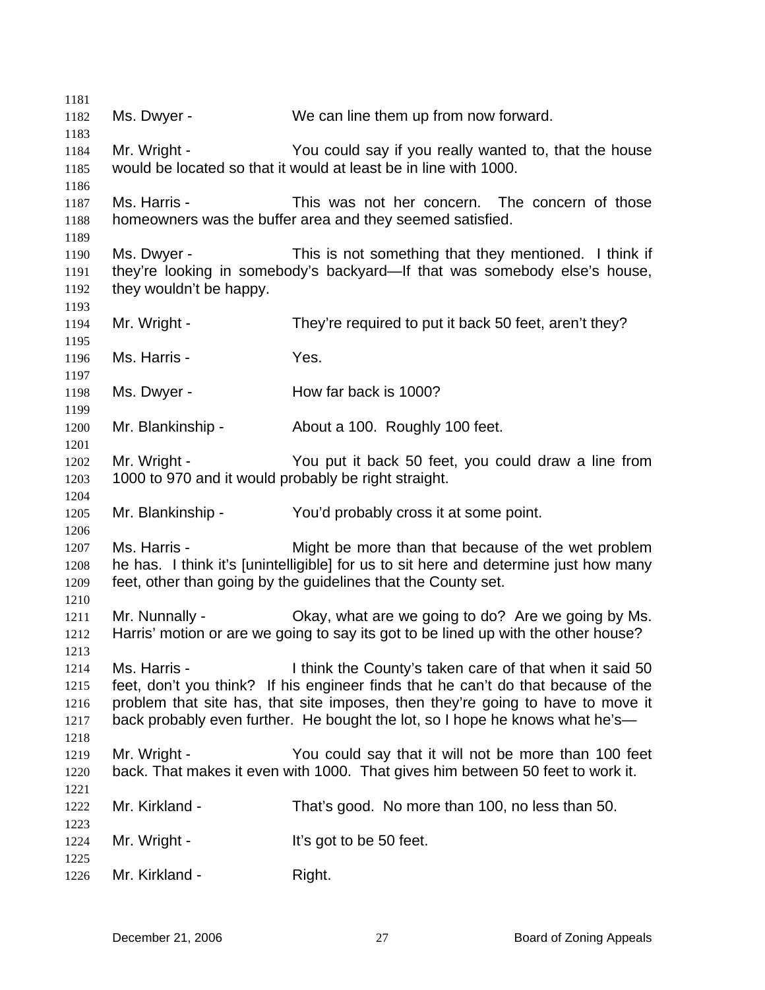Ms. Dwyer - We can line them up from now forward. Mr. Wright - You could say if you really wanted to, that the house would be located so that it would at least be in line with 1000. Ms. Harris - This was not her concern. The concern of those homeowners was the buffer area and they seemed satisfied. Ms. Dwyer - This is not something that they mentioned. I think if they're looking in somebody's backyard—If that was somebody else's house, they wouldn't be happy. Mr. Wright - They're required to put it back 50 feet, aren't they? Ms. Harris - The Yes. Ms. Dwyer - How far back is 1000? Mr. Blankinship - About a 100. Roughly 100 feet. Mr. Wright - The You put it back 50 feet, you could draw a line from 1000 to 970 and it would probably be right straight. Mr. Blankinship - You'd probably cross it at some point. Ms. Harris - Might be more than that because of the wet problem he has. I think it's [unintelligible] for us to sit here and determine just how many feet, other than going by the guidelines that the County set. Mr. Nunnally - Okay, what are we going to do? Are we going by Ms. Harris' motion or are we going to say its got to be lined up with the other house? Ms. Harris - I think the County's taken care of that when it said 50 feet, don't you think? If his engineer finds that he can't do that because of the problem that site has, that site imposes, then they're going to have to move it back probably even further. He bought the lot, so I hope he knows what he's-Mr. Wright - You could say that it will not be more than 100 feet back. That makes it even with 1000. That gives him between 50 feet to work it. Mr. Kirkland - That's good. No more than 100, no less than 50. Mr. Wright - The Muslim Lit's got to be 50 feet. Mr. Kirkland - Right.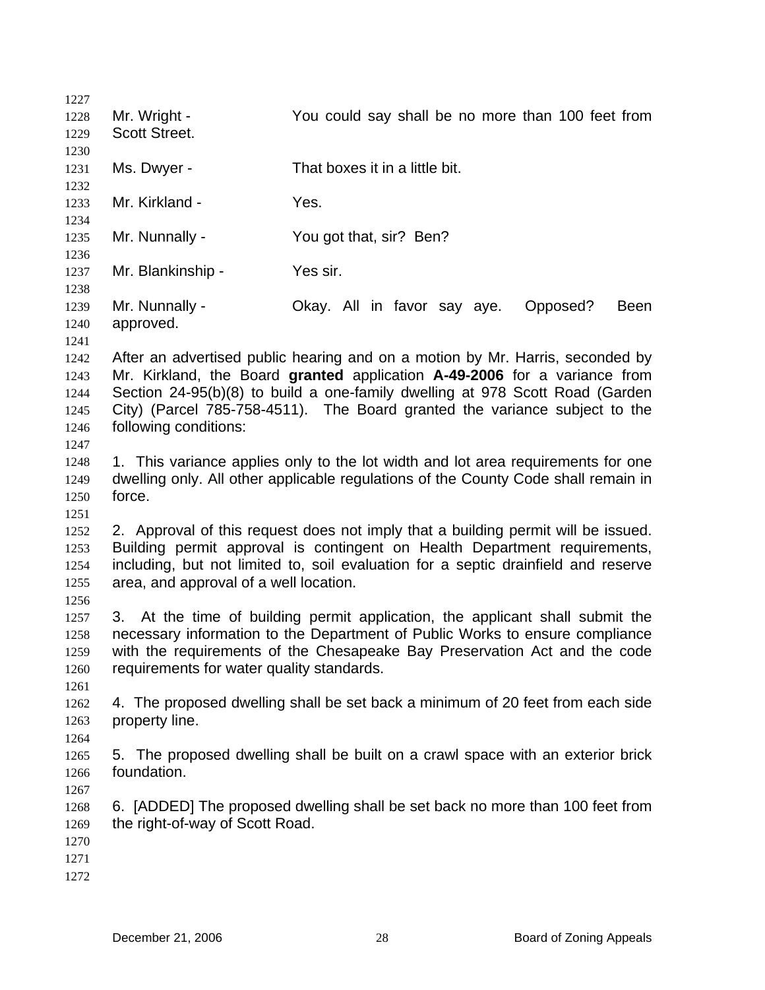1227 1228 1229 1230 1231 1232 1233 1234 1235 1236 1237 1238 1239 1240 1241 1242 1243 1244 1245 1246 1247 1248 1249 1250 1251 1252 1253 1254 1255 1256 1257 1258 1259 1260 1261 1262 1263 1264 1265 1266 1267 1268 1269 1270 1271 1272 Mr. Wright - The You could say shall be no more than 100 feet from Scott Street. Ms. Dwyer - That boxes it in a little bit. Mr. Kirkland - Yes. Mr. Nunnally - You got that, sir? Ben? Mr. Blankinship - Yes sir. Mr. Nunnally - Okay. All in favor say aye. Opposed? Been approved. After an advertised public hearing and on a motion by Mr. Harris, seconded by Mr. Kirkland, the Board **granted** application **A-49-2006** for a variance from Section 24-95(b)(8) to build a one-family dwelling at 978 Scott Road (Garden City) (Parcel 785-758-4511). The Board granted the variance subject to the following conditions: 1. This variance applies only to the lot width and lot area requirements for one dwelling only. All other applicable regulations of the County Code shall remain in force. 2. Approval of this request does not imply that a building permit will be issued. Building permit approval is contingent on Health Department requirements, including, but not limited to, soil evaluation for a septic drainfield and reserve area, and approval of a well location. 3. At the time of building permit application, the applicant shall submit the necessary information to the Department of Public Works to ensure compliance with the requirements of the Chesapeake Bay Preservation Act and the code requirements for water quality standards. 4. The proposed dwelling shall be set back a minimum of 20 feet from each side property line. 5. The proposed dwelling shall be built on a crawl space with an exterior brick foundation. 6. [ADDED] The proposed dwelling shall be set back no more than 100 feet from the right-of-way of Scott Road.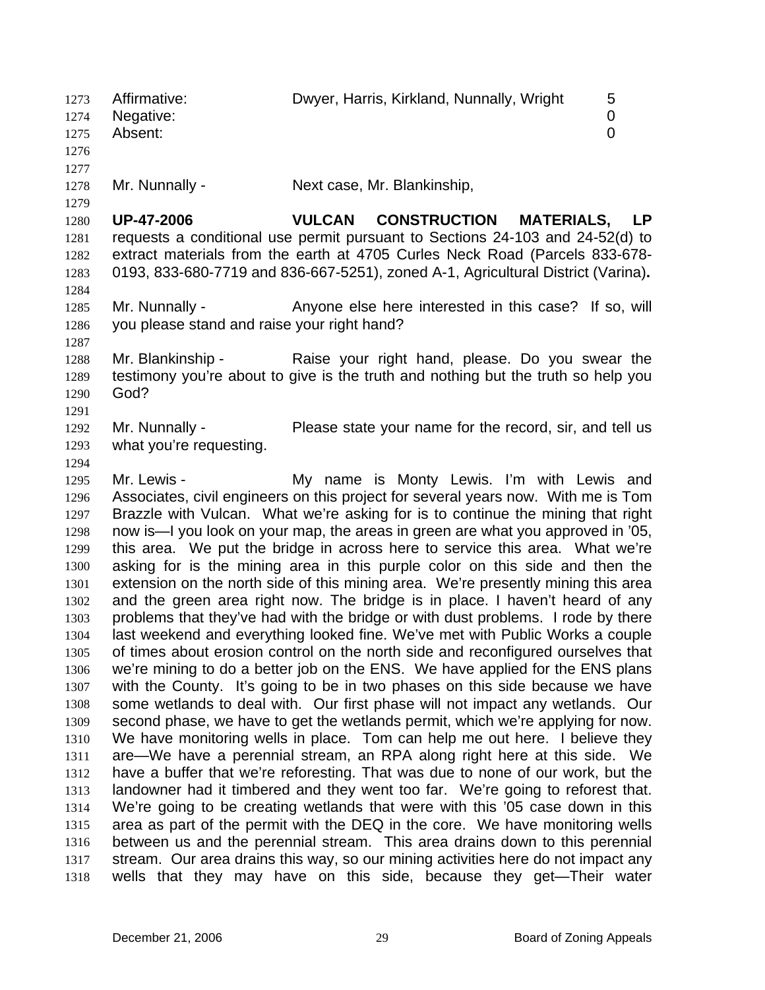1273 Affirmative: Dwyer, Harris, Kirkland, Nunnally, Wright 5 1274 1275 1276 1277 1278 1279 1280 1281 1282 1283 1284 1285 1286 1287 1288 1289 1290 1291 1292 1293 1294 1295 1296 1297 1298 1299 1300 1301 1302 1303 1304 1305 1306 1307 1308 1309 1310 1311 1312 1313 1314 1315 1316 1317 1318 Negative: 0 Absent: 0 Mr. Nunnally - Next case, Mr. Blankinship, **UP-47-2006 VULCAN CONSTRUCTION MATERIALS, LP** requests a conditional use permit pursuant to Sections 24-103 and 24-52(d) to extract materials from the earth at 4705 Curles Neck Road (Parcels 833-678- 0193, 833-680-7719 and 836-667-5251), zoned A-1, Agricultural District (Varina)**.**  Mr. Nunnally - Anyone else here interested in this case? If so, will you please stand and raise your right hand? Mr. Blankinship - The Raise your right hand, please. Do you swear the testimony you're about to give is the truth and nothing but the truth so help you God? Mr. Nunnally - Please state your name for the record, sir, and tell us what you're requesting. Mr. Lewis - My name is Monty Lewis. I'm with Lewis and Associates, civil engineers on this project for several years now. With me is Tom Brazzle with Vulcan. What we're asking for is to continue the mining that right now is—I you look on your map, the areas in green are what you approved in '05, this area. We put the bridge in across here to service this area. What we're asking for is the mining area in this purple color on this side and then the extension on the north side of this mining area. We're presently mining this area and the green area right now. The bridge is in place. I haven't heard of any problems that they've had with the bridge or with dust problems. I rode by there last weekend and everything looked fine. We've met with Public Works a couple of times about erosion control on the north side and reconfigured ourselves that we're mining to do a better job on the ENS. We have applied for the ENS plans with the County. It's going to be in two phases on this side because we have some wetlands to deal with. Our first phase will not impact any wetlands. Our second phase, we have to get the wetlands permit, which we're applying for now. We have monitoring wells in place. Tom can help me out here. I believe they are—We have a perennial stream, an RPA along right here at this side. We have a buffer that we're reforesting. That was due to none of our work, but the landowner had it timbered and they went too far. We're going to reforest that. We're going to be creating wetlands that were with this '05 case down in this area as part of the permit with the DEQ in the core. We have monitoring wells between us and the perennial stream. This area drains down to this perennial stream. Our area drains this way, so our mining activities here do not impact any wells that they may have on this side, because they get—Their water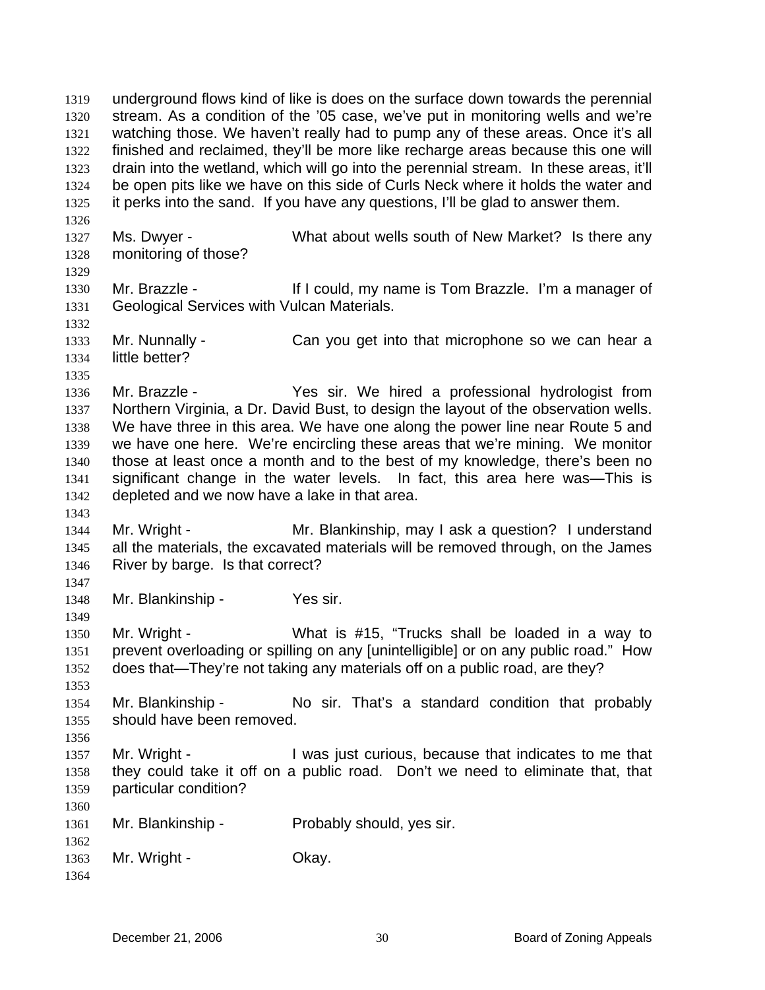underground flows kind of like is does on the surface down towards the perennial stream. As a condition of the '05 case, we've put in monitoring wells and we're watching those. We haven't really had to pump any of these areas. Once it's all finished and reclaimed, they'll be more like recharge areas because this one will drain into the wetland, which will go into the perennial stream. In these areas, it'll be open pits like we have on this side of Curls Neck where it holds the water and it perks into the sand. If you have any questions, I'll be glad to answer them. 1319 1320 1321 1322 1323 1324 1325 1326 1327 1328 1329 1330 1331 1332 1333 1334 1335 1336 1337 1338 1339 1340 1341 1342 1343 1344 1345 1346 1347 1348 1349 1350 1351 1352 1353 1354 1355 1356 1357 1358 1359 1360 1361 1362 1363 1364 Ms. Dwyer - What about wells south of New Market? Is there any monitoring of those? Mr. Brazzle - If I could, my name is Tom Brazzle. I'm a manager of Geological Services with Vulcan Materials. Mr. Nunnally - Can you get into that microphone so we can hear a little better? Mr. Brazzle - Yes sir. We hired a professional hydrologist from Northern Virginia, a Dr. David Bust, to design the layout of the observation wells. We have three in this area. We have one along the power line near Route 5 and we have one here. We're encircling these areas that we're mining. We monitor those at least once a month and to the best of my knowledge, there's been no significant change in the water levels. In fact, this area here was—This is depleted and we now have a lake in that area. Mr. Wright - Mr. Blankinship, may I ask a question? I understand all the materials, the excavated materials will be removed through, on the James River by barge. Is that correct? Mr. Blankinship - Yes sir. Mr. Wright - What is #15, "Trucks shall be loaded in a way to prevent overloading or spilling on any [unintelligible] or on any public road." How does that—They're not taking any materials off on a public road, are they? Mr. Blankinship - No sir. That's a standard condition that probably should have been removed. Mr. Wright - I was just curious, because that indicates to me that they could take it off on a public road. Don't we need to eliminate that, that particular condition? Mr. Blankinship - Probably should, yes sir. Mr. Wright - Ckay.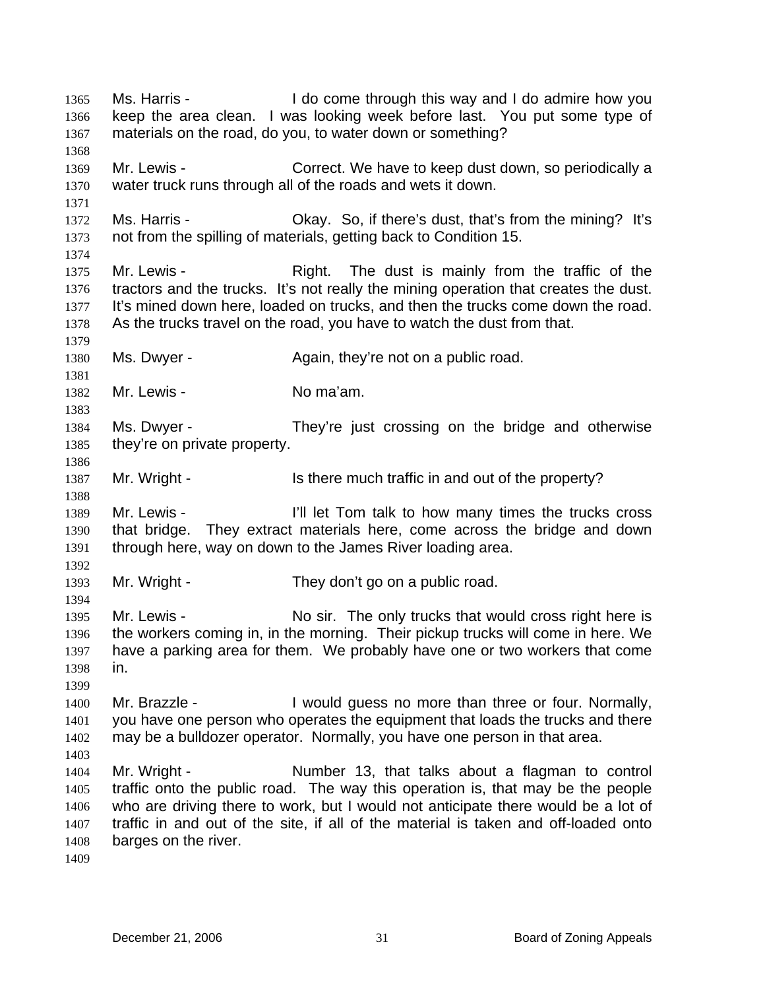Ms. Harris - I do come through this way and I do admire how you keep the area clean. I was looking week before last. You put some type of materials on the road, do you, to water down or something? 1365 1366 1367 1368 1369 1370 1371 1372 1373 1374 1375 1376 1377 1378 1379 1380 1381 1382 1383 1384 1385 1386 1387 1388 1389 1390 1391 1392 1393 1394 1395 1396 1397 1398 1399 1400 1401 1402 1403 1404 1405 1406 1407 1408 1409 Mr. Lewis - Correct. We have to keep dust down, so periodically a water truck runs through all of the roads and wets it down. Ms. Harris - Chay. So, if there's dust, that's from the mining? It's not from the spilling of materials, getting back to Condition 15. Mr. Lewis - Right. The dust is mainly from the traffic of the tractors and the trucks. It's not really the mining operation that creates the dust. It's mined down here, loaded on trucks, and then the trucks come down the road. As the trucks travel on the road, you have to watch the dust from that. Ms. Dwyer - Again, they're not on a public road. Mr. Lewis - No ma'am. Ms. Dwyer - They're just crossing on the bridge and otherwise they're on private property. Mr. Wright - The Is there much traffic in and out of the property? Mr. Lewis - The Music of The Tom talk to how many times the trucks cross that bridge. They extract materials here, come across the bridge and down through here, way on down to the James River loading area. Mr. Wright - They don't go on a public road. Mr. Lewis - No sir. The only trucks that would cross right here is the workers coming in, in the morning. Their pickup trucks will come in here. We have a parking area for them. We probably have one or two workers that come in. Mr. Brazzle - I would guess no more than three or four. Normally, you have one person who operates the equipment that loads the trucks and there may be a bulldozer operator. Normally, you have one person in that area. Mr. Wright - Number 13, that talks about a flagman to control traffic onto the public road. The way this operation is, that may be the people who are driving there to work, but I would not anticipate there would be a lot of traffic in and out of the site, if all of the material is taken and off-loaded onto barges on the river.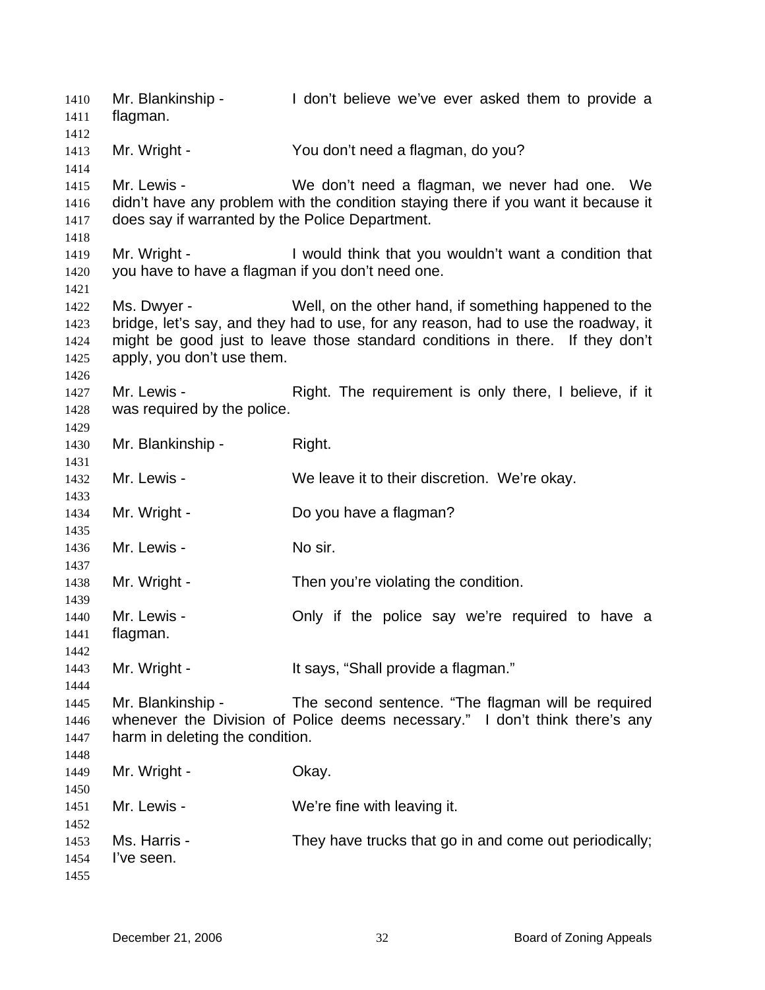Mr. Blankinship - The don't believe we've ever asked them to provide a flagman. Mr. Wright - You don't need a flagman, do you? Mr. Lewis - We don't need a flagman, we never had one. We didn't have any problem with the condition staying there if you want it because it does say if warranted by the Police Department. Mr. Wright - I would think that you wouldn't want a condition that you have to have a flagman if you don't need one. Ms. Dwyer - Well, on the other hand, if something happened to the bridge, let's say, and they had to use, for any reason, had to use the roadway, it might be good just to leave those standard conditions in there. If they don't apply, you don't use them. Mr. Lewis - The Right. The requirement is only there, I believe, if it was required by the police. Mr. Blankinship - Right. Mr. Lewis - We leave it to their discretion. We're okay. Mr. Wright - Do you have a flagman? Mr. Lewis - No sir. Mr. Wright - Then you're violating the condition. Mr. Lewis - The Only if the police say we're required to have a flagman. Mr. Wright - It says, "Shall provide a flagman." Mr. Blankinship - The second sentence. "The flagman will be required whenever the Division of Police deems necessary." I don't think there's any harm in deleting the condition. Mr. Wright - Ckay. Mr. Lewis - We're fine with leaving it. Ms. Harris - They have trucks that go in and come out periodically; I've seen.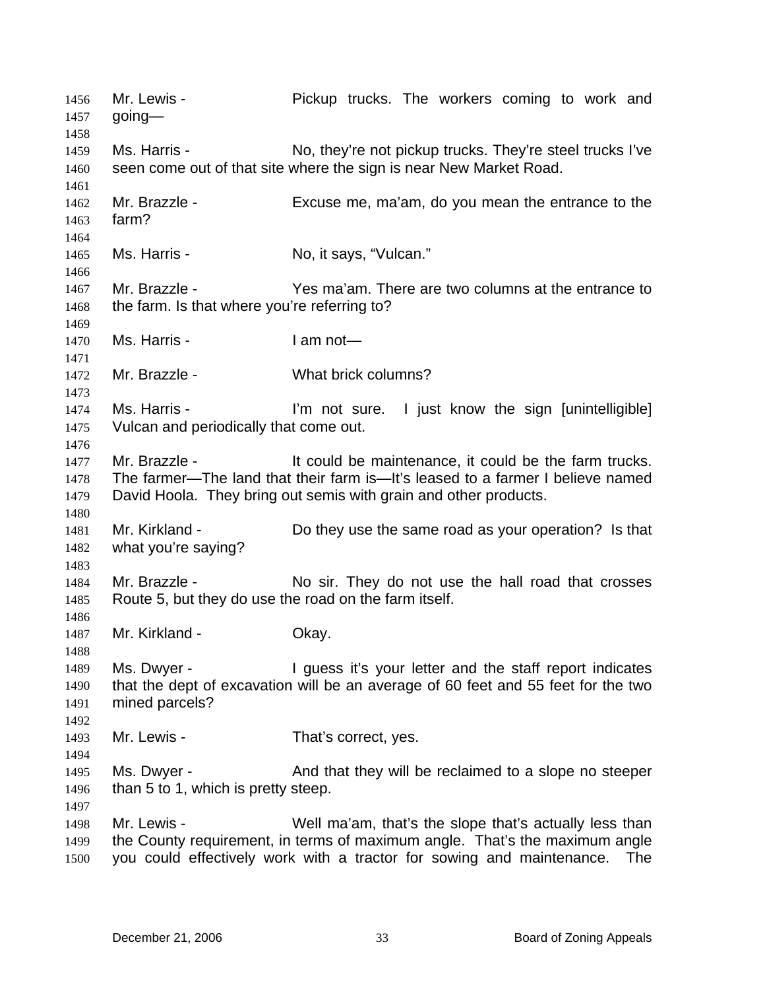Mr. Lewis - The Workers coming to work and going— 1456 1457 1458 1459 1460 1461 1462 1463 1464 1465 1466 1467 1468 1469 1470 1471 1472 1473 1474 1475 1476 1477 1478 1479 1480 1481 1482 1483 1484 1485 1486 1487 1488 1489 1490 1491 1492 1493 1494 1495 1496 1497 1498 1499 1500 Ms. Harris - No, they're not pickup trucks. They're steel trucks I've seen come out of that site where the sign is near New Market Road. Mr. Brazzle - Excuse me, ma'am, do you mean the entrance to the farm? Ms. Harris - No, it says, "Vulcan." Mr. Brazzle - Yes ma'am. There are two columns at the entrance to the farm. Is that where you're referring to? Ms. Harris - I am not— Mr. Brazzle - What brick columns? Ms. Harris - I'm not sure. I just know the sign [unintelligible] Vulcan and periodically that come out. Mr. Brazzle - The State of the could be maintenance, it could be the farm trucks. The farmer—The land that their farm is—It's leased to a farmer I believe named David Hoola. They bring out semis with grain and other products. Mr. Kirkland - Do they use the same road as your operation? Is that what you're saying? Mr. Brazzle - No sir. They do not use the hall road that crosses Route 5, but they do use the road on the farm itself. Mr. Kirkland - **Okay.** Ms. Dwyer - I guess it's your letter and the staff report indicates that the dept of excavation will be an average of 60 feet and 55 feet for the two mined parcels? Mr. Lewis - That's correct, yes. Ms. Dwyer - And that they will be reclaimed to a slope no steeper than 5 to 1, which is pretty steep. Mr. Lewis - Well ma'am, that's the slope that's actually less than the County requirement, in terms of maximum angle. That's the maximum angle you could effectively work with a tractor for sowing and maintenance. The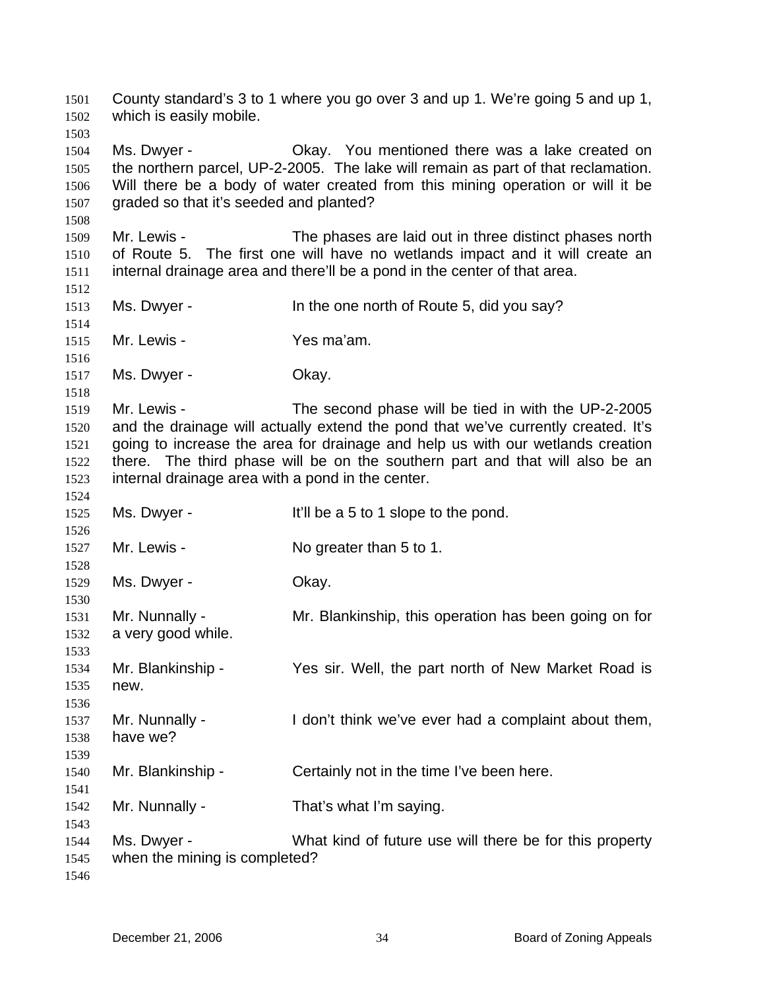County standard's 3 to 1 where you go over 3 and up 1. We're going 5 and up 1, which is easily mobile. 1501 1502 1503 1504 1505 1506 1507 1508 1509 1510 1511 1512 1513 1514 1515 1516 1517 1518 1519 1520 1521 1522 1523 1524 1525 1526 1527 1528 1529 1530 1531 1532 1533 1534 1535 1536 1537 1538 1539 1540 1541 1542 1543 1544 1545 1546 Ms. Dwyer - **CKAY.** You mentioned there was a lake created on the northern parcel, UP-2-2005. The lake will remain as part of that reclamation. Will there be a body of water created from this mining operation or will it be graded so that it's seeded and planted? Mr. Lewis - The phases are laid out in three distinct phases north of Route 5. The first one will have no wetlands impact and it will create an internal drainage area and there'll be a pond in the center of that area. Ms. Dwyer - In the one north of Route 5, did you say? Mr. Lewis - Yes ma'am. Ms. Dwyer - Chay. Mr. Lewis - The second phase will be tied in with the UP-2-2005 and the drainage will actually extend the pond that we've currently created. It's going to increase the area for drainage and help us with our wetlands creation there. The third phase will be on the southern part and that will also be an internal drainage area with a pond in the center. Ms. Dwyer - It'll be a 5 to 1 slope to the pond. Mr. Lewis - No greater than 5 to 1. Ms. Dwyer - Chay. Mr. Nunnally - Mr. Blankinship, this operation has been going on for a very good while. Mr. Blankinship - Yes sir. Well, the part north of New Market Road is new. Mr. Nunnally - I don't think we've ever had a complaint about them, have we? Mr. Blankinship - Certainly not in the time I've been here. Mr. Nunnally - That's what I'm saying. Ms. Dwyer - What kind of future use will there be for this property when the mining is completed?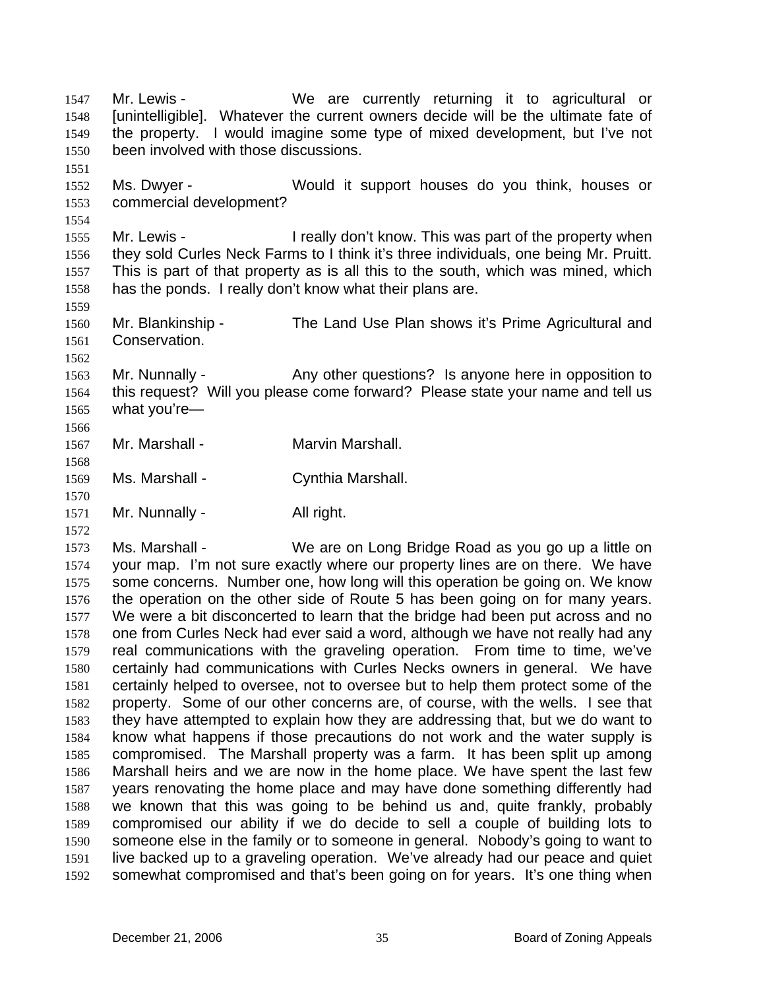Mr. Lewis - The Music We are currently returning it to agricultural or [unintelligible]. Whatever the current owners decide will be the ultimate fate of the property. I would imagine some type of mixed development, but I've not been involved with those discussions. 1547 1548 1549 1550 1551 1552 1553 1554 1555 1556 1557 1558 1559 1560 1561 1562 1563 1564 1565 1566 1567 1568 1569 1570 1571 1572 1573 1574 1575 1576 1577 1578 1579 1580 1581 1582 1583 1584 1585 1586 1587 1588 1589 1590 1591 1592 Ms. Dwyer - Would it support houses do you think, houses or commercial development? Mr. Lewis - I really don't know. This was part of the property when they sold Curles Neck Farms to I think it's three individuals, one being Mr. Pruitt. This is part of that property as is all this to the south, which was mined, which has the ponds. I really don't know what their plans are. Mr. Blankinship - The Land Use Plan shows it's Prime Agricultural and Conservation. Mr. Nunnally - Any other questions? Is anyone here in opposition to this request? Will you please come forward? Please state your name and tell us what you're— Mr. Marshall - **Marvin Marshall.** Ms. Marshall - Cynthia Marshall. Mr. Nunnally - All right. Ms. Marshall - We are on Long Bridge Road as you go up a little on your map. I'm not sure exactly where our property lines are on there. We have some concerns. Number one, how long will this operation be going on. We know the operation on the other side of Route 5 has been going on for many years. We were a bit disconcerted to learn that the bridge had been put across and no one from Curles Neck had ever said a word, although we have not really had any real communications with the graveling operation. From time to time, we've certainly had communications with Curles Necks owners in general. We have certainly helped to oversee, not to oversee but to help them protect some of the property. Some of our other concerns are, of course, with the wells. I see that they have attempted to explain how they are addressing that, but we do want to know what happens if those precautions do not work and the water supply is compromised. The Marshall property was a farm. It has been split up among Marshall heirs and we are now in the home place. We have spent the last few years renovating the home place and may have done something differently had we known that this was going to be behind us and, quite frankly, probably compromised our ability if we do decide to sell a couple of building lots to someone else in the family or to someone in general. Nobody's going to want to live backed up to a graveling operation. We've already had our peace and quiet somewhat compromised and that's been going on for years. It's one thing when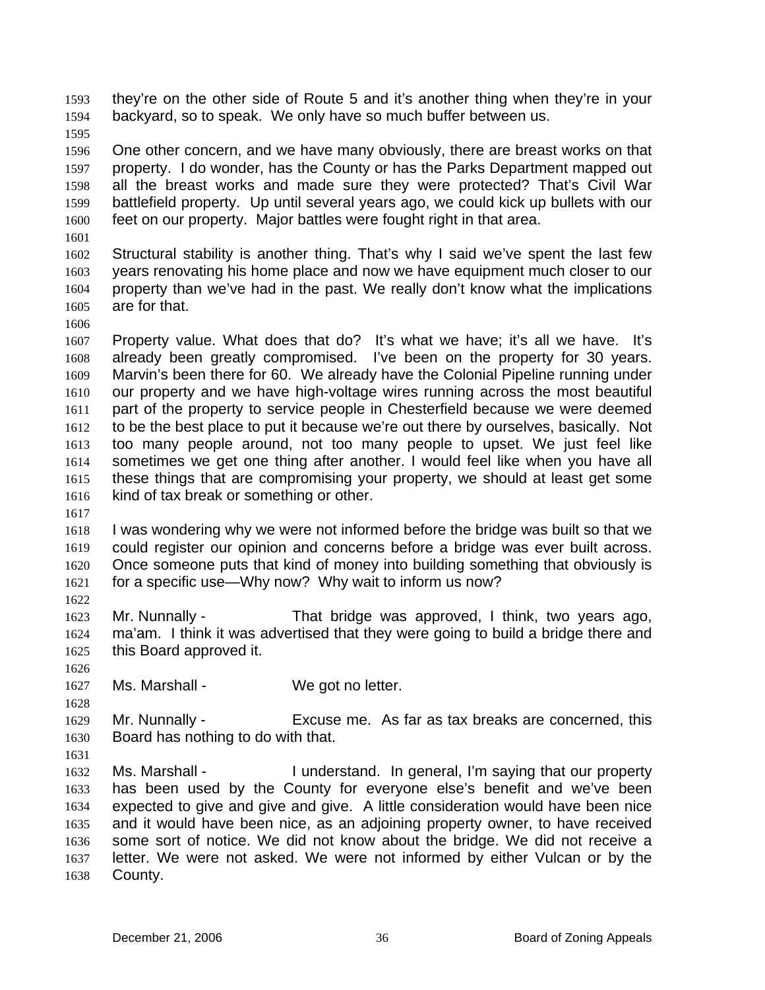they're on the other side of Route 5 and it's another thing when they're in your backyard, so to speak. We only have so much buffer between us. 1593 1594

1595

1596 1597 1598 1599 1600 One other concern, and we have many obviously, there are breast works on that property. I do wonder, has the County or has the Parks Department mapped out all the breast works and made sure they were protected? That's Civil War battlefield property. Up until several years ago, we could kick up bullets with our feet on our property. Major battles were fought right in that area.

1601

1606

1602 1603 1604 1605 Structural stability is another thing. That's why I said we've spent the last few years renovating his home place and now we have equipment much closer to our property than we've had in the past. We really don't know what the implications are for that.

1607 1608 1609 1610 1611 1612 1613 1614 1615 1616 Property value. What does that do? It's what we have; it's all we have. It's already been greatly compromised. I've been on the property for 30 years. Marvin's been there for 60. We already have the Colonial Pipeline running under our property and we have high-voltage wires running across the most beautiful part of the property to service people in Chesterfield because we were deemed to be the best place to put it because we're out there by ourselves, basically. Not too many people around, not too many people to upset. We just feel like sometimes we get one thing after another. I would feel like when you have all these things that are compromising your property, we should at least get some kind of tax break or something or other.

1617

1618 1619 1620 1621 1622 I was wondering why we were not informed before the bridge was built so that we could register our opinion and concerns before a bridge was ever built across. Once someone puts that kind of money into building something that obviously is for a specific use—Why now? Why wait to inform us now?

1623 1624 1625 Mr. Nunnally - That bridge was approved, I think, two years ago, ma'am. I think it was advertised that they were going to build a bridge there and this Board approved it.

1627 Ms. Marshall - We got no letter.

1629 1630 Mr. Nunnally - Excuse me. As far as tax breaks are concerned, this Board has nothing to do with that.

1631

1626

1628

1632 1633 1634 1635 1636 1637 1638 Ms. Marshall - I understand. In general, I'm saying that our property has been used by the County for everyone else's benefit and we've been expected to give and give and give. A little consideration would have been nice and it would have been nice, as an adjoining property owner, to have received some sort of notice. We did not know about the bridge. We did not receive a letter. We were not asked. We were not informed by either Vulcan or by the County.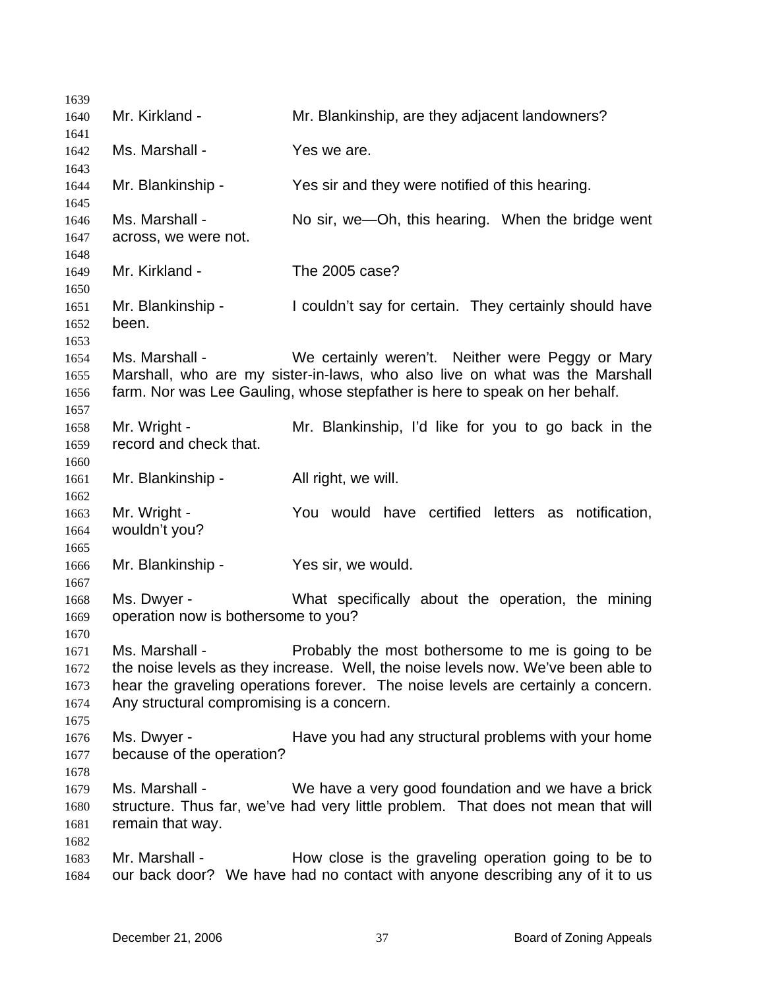1639 1640 1641 1642 1643 1644 1645 1646 1647 1648 1649 1650 1651 1652 1653 1654 1655 1656 1657 1658 1659 1660 1661 1662 1663 1664 1665 1666 1667 1668 1669 1670 1671 1672 1673 1674 1675 1676 1677 1678 1679 1680 1681 1682 1683 1684 Mr. Kirkland - The Mr. Blankinship, are they adjacent landowners? Ms. Marshall - Yes we are. Mr. Blankinship - Yes sir and they were notified of this hearing. Ms. Marshall - No sir, we—Oh, this hearing. When the bridge went across, we were not. Mr. Kirkland - The 2005 case? Mr. Blankinship - I couldn't say for certain. They certainly should have been. Ms. Marshall - We certainly weren't. Neither were Peggy or Mary Marshall, who are my sister-in-laws, who also live on what was the Marshall farm. Nor was Lee Gauling, whose stepfather is here to speak on her behalf. Mr. Wright - Mr. Blankinship, I'd like for you to go back in the record and check that. Mr. Blankinship - All right, we will. Mr. Wright - The You would have certified letters as notification, wouldn't you? Mr. Blankinship - Yes sir, we would. Ms. Dwyer - What specifically about the operation, the mining operation now is bothersome to you? Ms. Marshall - Probably the most bothersome to me is going to be the noise levels as they increase. Well, the noise levels now. We've been able to hear the graveling operations forever. The noise levels are certainly a concern. Any structural compromising is a concern. Ms. Dwyer - Thave you had any structural problems with your home because of the operation? Ms. Marshall - We have a very good foundation and we have a brick structure. Thus far, we've had very little problem. That does not mean that will remain that way. Mr. Marshall - How close is the graveling operation going to be to our back door? We have had no contact with anyone describing any of it to us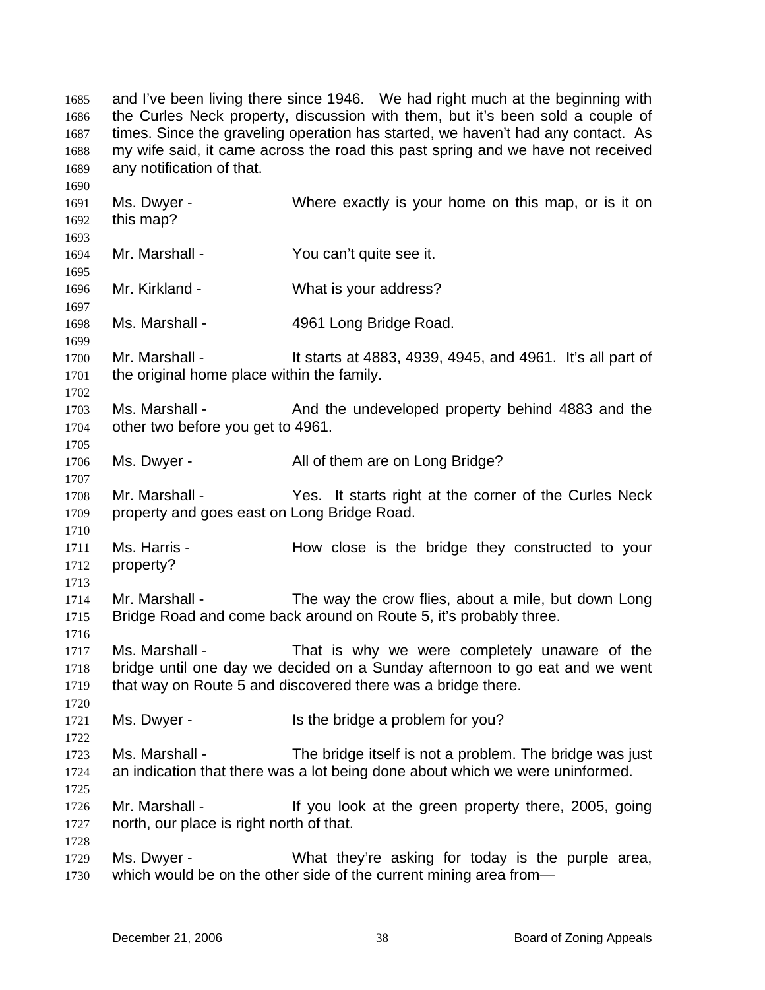and I've been living there since 1946. We had right much at the beginning with the Curles Neck property, discussion with them, but it's been sold a couple of times. Since the graveling operation has started, we haven't had any contact. As my wife said, it came across the road this past spring and we have not received any notification of that. 1685 1686 1687 1688 1689

1691 1692 1693 1694 1695 1696 1697 1698 1699 1700 1701 1702 1703 1704 1705 1706 1707 1708 1709 1710 1711 1712 1713 1714 1715 1716 1717 1718 1719 1720 1721 1722 1723 1724 1725 1726 1727 1728 1729 1730 Ms. Dwyer - Where exactly is your home on this map, or is it on this map? Mr. Marshall - You can't quite see it. Mr. Kirkland - What is your address? Ms. Marshall - 4961 Long Bridge Road. Mr. Marshall - It starts at 4883, 4939, 4945, and 4961. It's all part of the original home place within the family. Ms. Marshall - And the undeveloped property behind 4883 and the other two before you get to 4961. Ms. Dwyer - All of them are on Long Bridge? Mr. Marshall - The Yes. It starts right at the corner of the Curles Neck property and goes east on Long Bridge Road. Ms. Harris - The How close is the bridge they constructed to your property? Mr. Marshall - The way the crow flies, about a mile, but down Long Bridge Road and come back around on Route 5, it's probably three. Ms. Marshall - That is why we were completely unaware of the bridge until one day we decided on a Sunday afternoon to go eat and we went that way on Route 5 and discovered there was a bridge there. Ms. Dwyer - Is the bridge a problem for you? Ms. Marshall - The bridge itself is not a problem. The bridge was just an indication that there was a lot being done about which we were uninformed. Mr. Marshall - If you look at the green property there, 2005, going north, our place is right north of that. Ms. Dwyer - What they're asking for today is the purple area, which would be on the other side of the current mining area from—

1690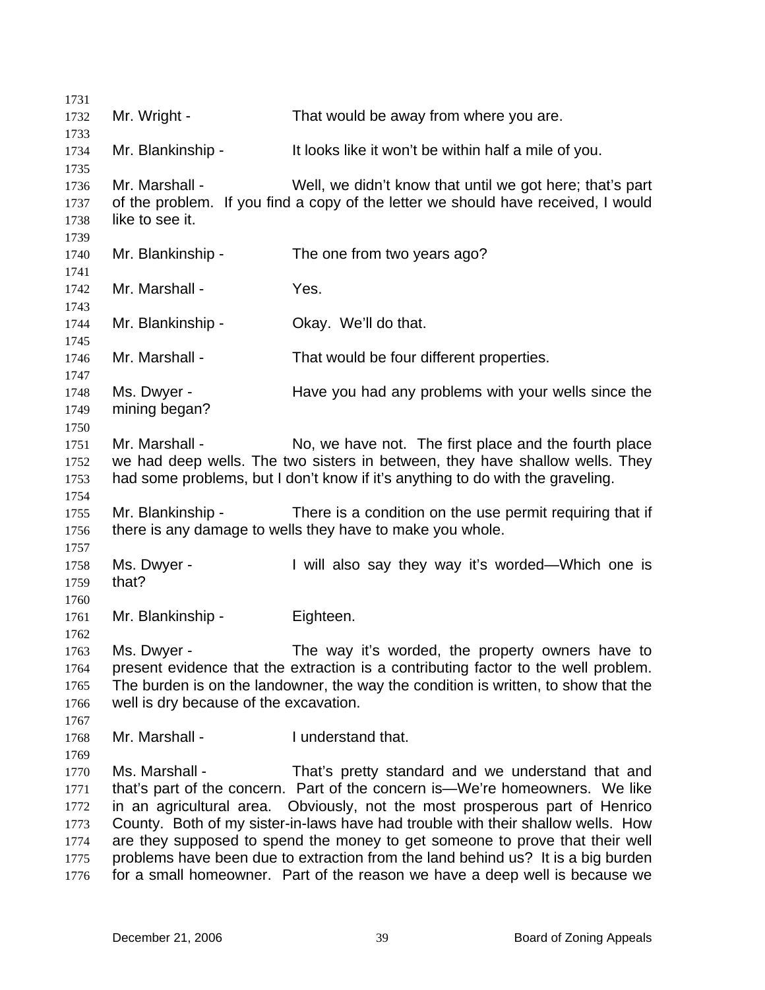1731 1732 1733 1734 1735 1736 1737 1738 1739 1740 1741 1742 1743 1744 1745 1746 1747 1748 1749 1750 1751 1752 1753 1754 1755 1756 1757 1758 1759 1760 1761 1762 1763 1764 1765 1766 1767 1768 1769 1770 1771 1772 1773 1774 1775 1776 Mr. Wright - That would be away from where you are. Mr. Blankinship - It looks like it won't be within half a mile of you. Mr. Marshall - Well, we didn't know that until we got here; that's part of the problem. If you find a copy of the letter we should have received, I would like to see it. Mr. Blankinship - The one from two years ago? Mr. Marshall - Yes. Mr. Blankinship - Ckay. We'll do that. Mr. Marshall - That would be four different properties. Ms. Dwyer - Have you had any problems with your wells since the mining began? Mr. Marshall - No, we have not. The first place and the fourth place we had deep wells. The two sisters in between, they have shallow wells. They had some problems, but I don't know if it's anything to do with the graveling. Mr. Blankinship - There is a condition on the use permit requiring that if there is any damage to wells they have to make you whole. Ms. Dwyer - I will also say they way it's worded—Which one is that? Mr. Blankinship - Fighteen. Ms. Dwyer - The way it's worded, the property owners have to present evidence that the extraction is a contributing factor to the well problem. The burden is on the landowner, the way the condition is written, to show that the well is dry because of the excavation. Mr. Marshall - The I understand that. Ms. Marshall - That's pretty standard and we understand that and that's part of the concern. Part of the concern is—We're homeowners. We like in an agricultural area. Obviously, not the most prosperous part of Henrico County. Both of my sister-in-laws have had trouble with their shallow wells. How are they supposed to spend the money to get someone to prove that their well problems have been due to extraction from the land behind us? It is a big burden for a small homeowner. Part of the reason we have a deep well is because we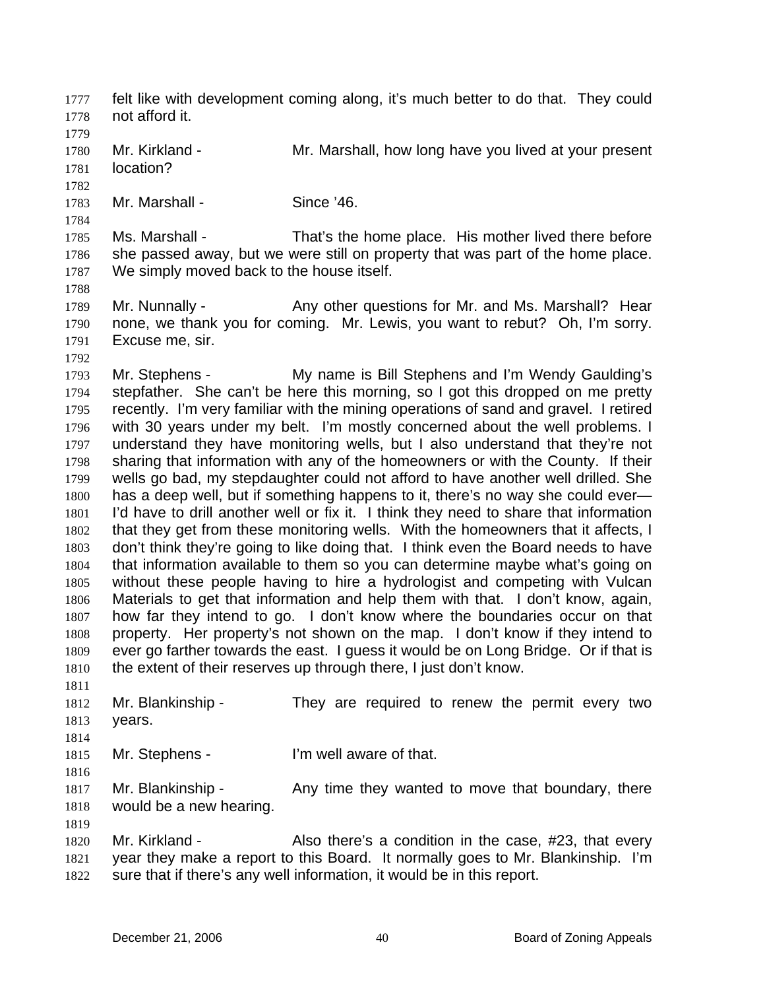felt like with development coming along, it's much better to do that. They could not afford it. 1777 1778 1779 1780 1781 1782 1783 1784 1785 1786 1787 1788 1789 1790 1791 1792 1793 1794 1795 1796 1797 1798 1799 1800 1801 1802 1803 1804 1805 1806 1807 1808 1809 1810 1811 1812 1813 1814 1815 1816 1817 1818 1819 1820 1821 1822 Mr. Kirkland - The Mr. Marshall, how long have you lived at your present location? Mr. Marshall - Since '46. Ms. Marshall - That's the home place. His mother lived there before she passed away, but we were still on property that was part of the home place. We simply moved back to the house itself. Mr. Nunnally - Any other questions for Mr. and Ms. Marshall? Hear none, we thank you for coming. Mr. Lewis, you want to rebut? Oh, I'm sorry. Excuse me, sir. Mr. Stephens - The My name is Bill Stephens and I'm Wendy Gaulding's stepfather. She can't be here this morning, so I got this dropped on me pretty recently. I'm very familiar with the mining operations of sand and gravel. I retired with 30 years under my belt. I'm mostly concerned about the well problems. I understand they have monitoring wells, but I also understand that they're not sharing that information with any of the homeowners or with the County. If their wells go bad, my stepdaughter could not afford to have another well drilled. She has a deep well, but if something happens to it, there's no way she could ever— I'd have to drill another well or fix it. I think they need to share that information that they get from these monitoring wells. With the homeowners that it affects, I don't think they're going to like doing that. I think even the Board needs to have that information available to them so you can determine maybe what's going on without these people having to hire a hydrologist and competing with Vulcan Materials to get that information and help them with that. I don't know, again, how far they intend to go. I don't know where the boundaries occur on that property. Her property's not shown on the map. I don't know if they intend to ever go farther towards the east. I guess it would be on Long Bridge. Or if that is the extent of their reserves up through there, I just don't know. Mr. Blankinship - They are required to renew the permit every two years. Mr. Stephens - I'm well aware of that. Mr. Blankinship - Any time they wanted to move that boundary, there would be a new hearing. Mr. Kirkland - Also there's a condition in the case, #23, that every year they make a report to this Board. It normally goes to Mr. Blankinship. I'm sure that if there's any well information, it would be in this report.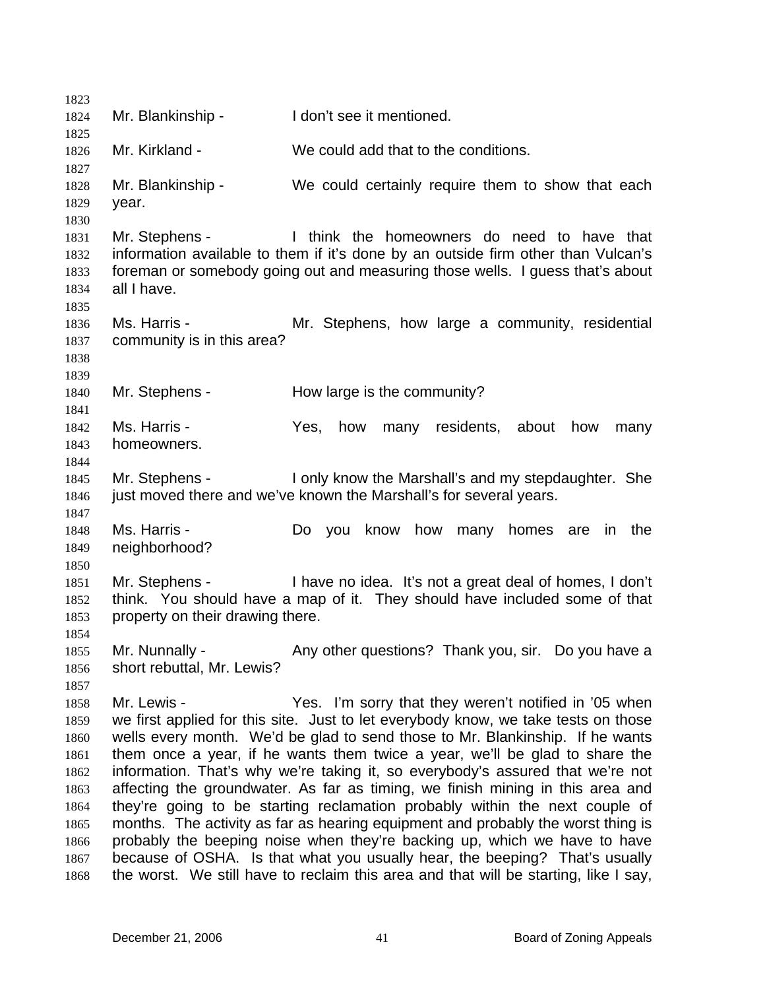| 1823         |                                  |                                                                                                                                             |
|--------------|----------------------------------|---------------------------------------------------------------------------------------------------------------------------------------------|
| 1824         | Mr. Blankinship -                | I don't see it mentioned.                                                                                                                   |
| 1825         |                                  |                                                                                                                                             |
| 1826         | Mr. Kirkland -                   | We could add that to the conditions.                                                                                                        |
| 1827         |                                  | We could certainly require them to show that each                                                                                           |
| 1828         | Mr. Blankinship -                |                                                                                                                                             |
| 1829<br>1830 | year.                            |                                                                                                                                             |
| 1831         |                                  | Mr. Stephens - Think the homeowners do need to have that                                                                                    |
| 1832         |                                  | information available to them if it's done by an outside firm other than Vulcan's                                                           |
| 1833         |                                  | foreman or somebody going out and measuring those wells. I guess that's about                                                               |
| 1834         | all I have.                      |                                                                                                                                             |
| 1835         |                                  |                                                                                                                                             |
| 1836         | Ms. Harris -                     | Mr. Stephens, how large a community, residential                                                                                            |
| 1837         | community is in this area?       |                                                                                                                                             |
| 1838         |                                  |                                                                                                                                             |
| 1839         |                                  |                                                                                                                                             |
| 1840         | Mr. Stephens -                   | How large is the community?                                                                                                                 |
| 1841         |                                  |                                                                                                                                             |
| 1842         | Ms. Harris -                     | Yes,<br>how<br>residents,<br>many<br>about<br>how<br>many                                                                                   |
| 1843         | homeowners.                      |                                                                                                                                             |
| 1844         |                                  |                                                                                                                                             |
| 1845         | Mr. Stephens -                   | I only know the Marshall's and my stepdaughter. She                                                                                         |
| 1846         |                                  | just moved there and we've known the Marshall's for several years.                                                                          |
| 1847         |                                  |                                                                                                                                             |
| 1848         | Ms. Harris -                     | know<br>Do you<br>how<br>many<br>homes<br>the<br>are<br>in                                                                                  |
| 1849         | neighborhood?                    |                                                                                                                                             |
| 1850         |                                  |                                                                                                                                             |
| 1851         |                                  | Mr. Stephens - I have no idea. It's not a great deal of homes, I don't                                                                      |
| 1852         |                                  | think. You should have a map of it. They should have included some of that                                                                  |
| 1853         | property on their drawing there. |                                                                                                                                             |
| 1854         |                                  |                                                                                                                                             |
| 1855         | Mr. Nunnally -                   | Any other questions? Thank you, sir. Do you have a                                                                                          |
| 1856         | short rebuttal, Mr. Lewis?       |                                                                                                                                             |
| 1857         | Mr. Lewis -                      |                                                                                                                                             |
| 1858<br>1859 |                                  | Yes. I'm sorry that they weren't notified in '05 when<br>we first applied for this site. Just to let everybody know, we take tests on those |
| 1860         |                                  | wells every month. We'd be glad to send those to Mr. Blankinship. If he wants                                                               |
| 1861         |                                  | them once a year, if he wants them twice a year, we'll be glad to share the                                                                 |
| 1862         |                                  | information. That's why we're taking it, so everybody's assured that we're not                                                              |
| 1863         |                                  | affecting the groundwater. As far as timing, we finish mining in this area and                                                              |
| 1864         |                                  | they're going to be starting reclamation probably within the next couple of                                                                 |
| 1865         |                                  | months. The activity as far as hearing equipment and probably the worst thing is                                                            |
| 1866         |                                  | probably the beeping noise when they're backing up, which we have to have                                                                   |
| 1867         |                                  | because of OSHA. Is that what you usually hear, the beeping? That's usually                                                                 |
| 1868         |                                  | the worst. We still have to reclaim this area and that will be starting, like I say,                                                        |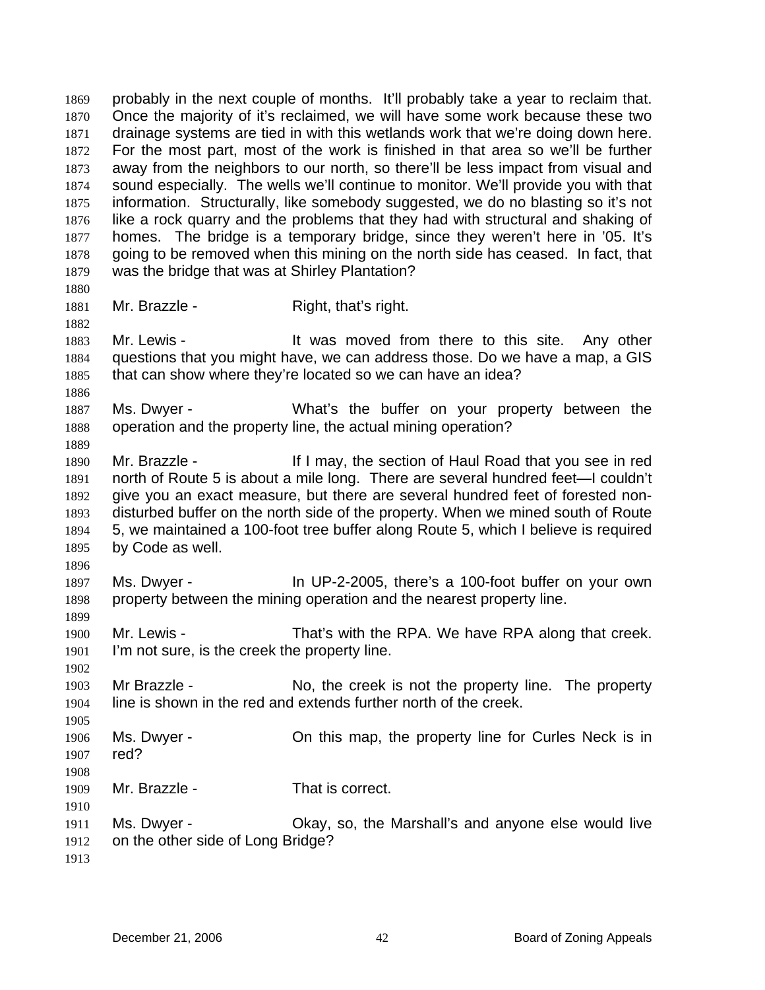probably in the next couple of months. It'll probably take a year to reclaim that. Once the majority of it's reclaimed, we will have some work because these two drainage systems are tied in with this wetlands work that we're doing down here. For the most part, most of the work is finished in that area so we'll be further away from the neighbors to our north, so there'll be less impact from visual and sound especially. The wells we'll continue to monitor. We'll provide you with that information. Structurally, like somebody suggested, we do no blasting so it's not like a rock quarry and the problems that they had with structural and shaking of homes. The bridge is a temporary bridge, since they weren't here in '05. It's going to be removed when this mining on the north side has ceased. In fact, that was the bridge that was at Shirley Plantation? 1869 1870 1871 1872 1873 1874 1875 1876 1877 1878 1879 1880 1881 1882 1883 1884 1885 1886 1887 1888 1889 1890 1891 1892 1893 1894 1895 1896 1897 1898 1899 1900 1901 1902 1903 1904 1905 1906 1907 1908 1909 1910 1911 1912 1913 Mr. Brazzle - Right, that's right. Mr. Lewis - The Must moved from there to this site. Any other questions that you might have, we can address those. Do we have a map, a GIS that can show where they're located so we can have an idea? Ms. Dwyer - What's the buffer on your property between the operation and the property line, the actual mining operation? Mr. Brazzle - If I may, the section of Haul Road that you see in red north of Route 5 is about a mile long. There are several hundred feet—I couldn't give you an exact measure, but there are several hundred feet of forested nondisturbed buffer on the north side of the property. When we mined south of Route 5, we maintained a 100-foot tree buffer along Route 5, which I believe is required by Code as well. Ms. Dwyer - In UP-2-2005, there's a 100-foot buffer on your own property between the mining operation and the nearest property line. Mr. Lewis - That's with the RPA. We have RPA along that creek. I'm not sure, is the creek the property line. Mr Brazzle - No, the creek is not the property line. The property line is shown in the red and extends further north of the creek. Ms. Dwyer - Christmap, the property line for Curles Neck is in red? Mr. Brazzle - That is correct. Ms. Dwyer - Okay, so, the Marshall's and anyone else would live on the other side of Long Bridge?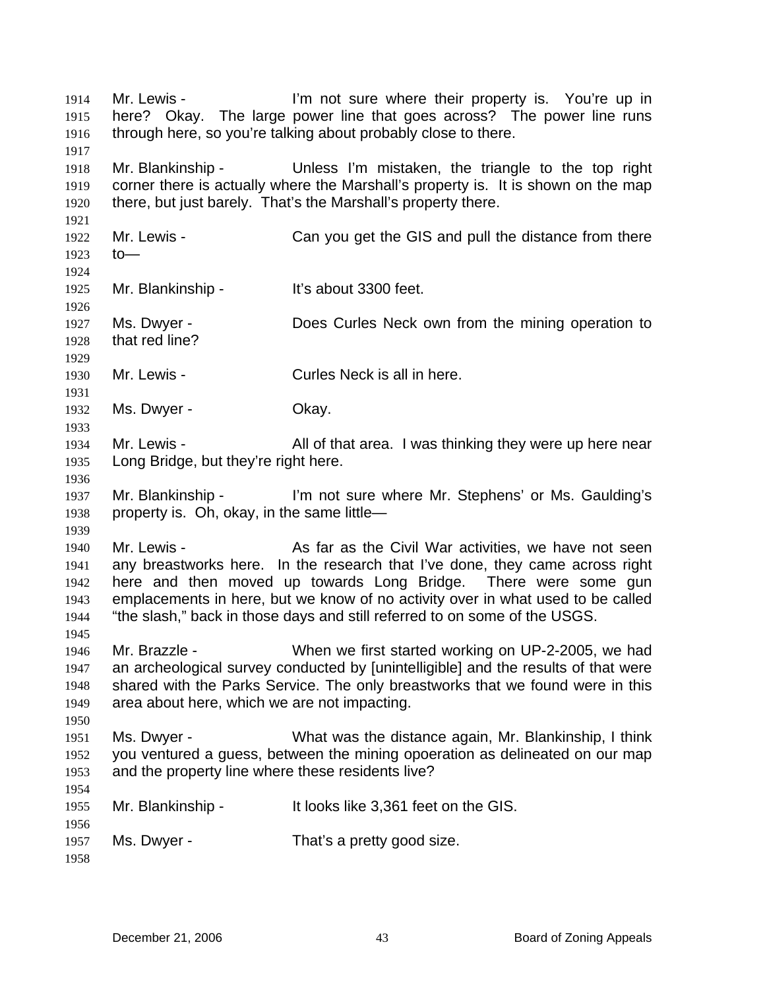Mr. Lewis - The Text in the U l'm not sure where their property is. You're up in here? Okay. The large power line that goes across? The power line runs through here, so you're talking about probably close to there. 1914 1915 1916 1917 1918 1919 1920 1921 1922 1923 1924 1925 1926 1927 1928 1929 1930 1931 1932 1933 1934 1935 1936 1937 1938 1939 1940 1941 1942 1943 1944 1945 1946 1947 1948 1949 1950 1951 1952 1953 1954 1955 1956 1957 1958 Mr. Blankinship - Unless I'm mistaken, the triangle to the top right corner there is actually where the Marshall's property is. It is shown on the map there, but just barely. That's the Marshall's property there. Mr. Lewis - Can you get the GIS and pull the distance from there to— Mr. Blankinship - It's about 3300 feet. Ms. Dwyer - **Does Curles Neck own from the mining operation to** that red line? Mr. Lewis - Curles Neck is all in here. Ms. Dwyer - Chay. Mr. Lewis - The All of that area. I was thinking they were up here near Long Bridge, but they're right here. Mr. Blankinship - I'm not sure where Mr. Stephens' or Ms. Gaulding's property is. Oh, okay, in the same little— Mr. Lewis - The As far as the Civil War activities, we have not seen any breastworks here. In the research that I've done, they came across right here and then moved up towards Long Bridge. There were some gun emplacements in here, but we know of no activity over in what used to be called "the slash," back in those days and still referred to on some of the USGS. Mr. Brazzle - When we first started working on UP-2-2005, we had an archeological survey conducted by [unintelligible] and the results of that were shared with the Parks Service. The only breastworks that we found were in this area about here, which we are not impacting. Ms. Dwyer - What was the distance again, Mr. Blankinship, I think you ventured a guess, between the mining opoeration as delineated on our map and the property line where these residents live? Mr. Blankinship - It looks like 3,361 feet on the GIS. Ms. Dwyer - That's a pretty good size.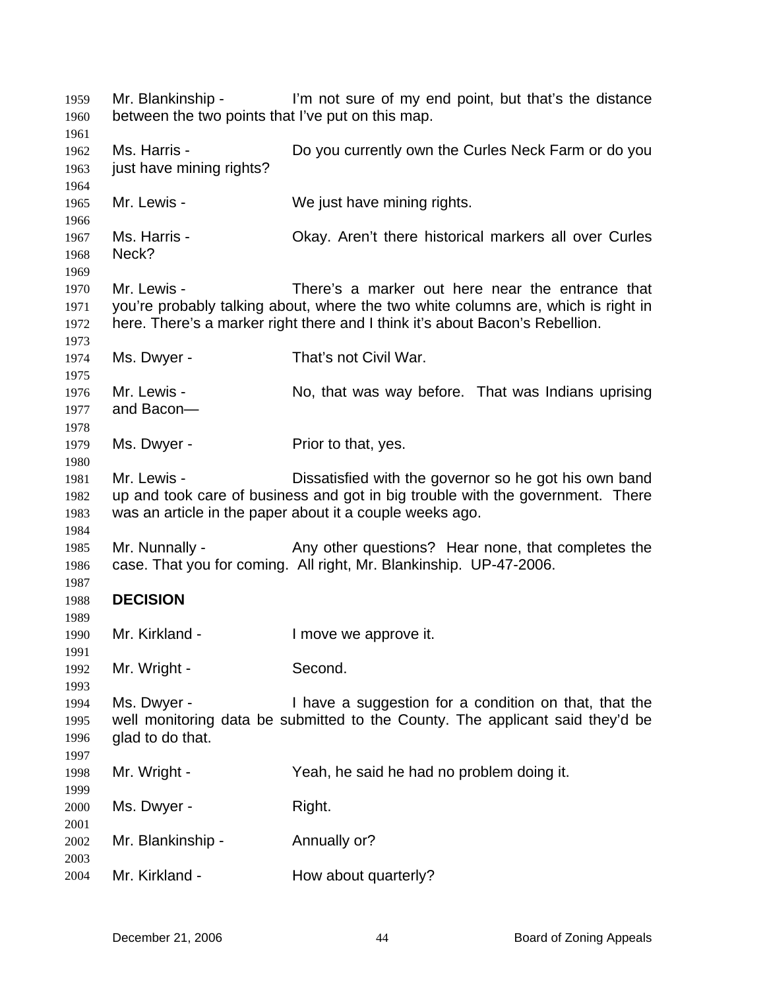Mr. Blankinship - I'm not sure of my end point, but that's the distance between the two points that I've put on this map. Ms. Harris - **Do you currently own the Curles Neck Farm or do you** just have mining rights? Mr. Lewis - We just have mining rights. Ms. Harris - Okay. Aren't there historical markers all over Curles Neck? Mr. Lewis - There's a marker out here near the entrance that you're probably talking about, where the two white columns are, which is right in here. There's a marker right there and I think it's about Bacon's Rebellion. Ms. Dwyer - That's not Civil War. Mr. Lewis - No, that was way before. That was Indians uprising and Bacon— Ms. Dwyer - Prior to that, yes. Mr. Lewis - Dissatisfied with the governor so he got his own band up and took care of business and got in big trouble with the government. There was an article in the paper about it a couple weeks ago. Mr. Nunnally - Any other questions? Hear none, that completes the case. That you for coming. All right, Mr. Blankinship. UP-47-2006. **DECISION**  Mr. Kirkland - The University of the Imove we approve it. Mr. Wright - Second. Ms. Dwyer - I have a suggestion for a condition on that, that the well monitoring data be submitted to the County. The applicant said they'd be glad to do that. Mr. Wright - Yeah, he said he had no problem doing it. Ms. Dwyer - Right. Mr. Blankinship - Annually or? Mr. Kirkland - **How about quarterly?**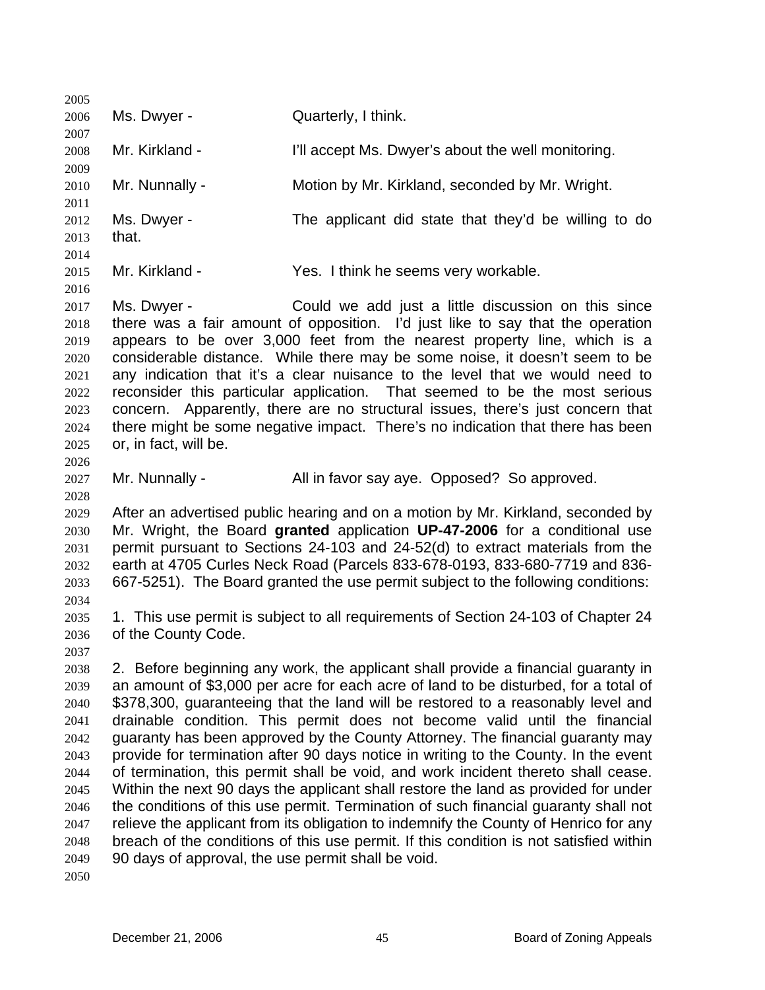| 2005                                                                                                         |                                                    |                                                                                                                                                                                                                                                                                                                                                                                                                                                                                                                                                                                                                                                                                                                                                                                                                                                                                                                                                                        |
|--------------------------------------------------------------------------------------------------------------|----------------------------------------------------|------------------------------------------------------------------------------------------------------------------------------------------------------------------------------------------------------------------------------------------------------------------------------------------------------------------------------------------------------------------------------------------------------------------------------------------------------------------------------------------------------------------------------------------------------------------------------------------------------------------------------------------------------------------------------------------------------------------------------------------------------------------------------------------------------------------------------------------------------------------------------------------------------------------------------------------------------------------------|
| 2006                                                                                                         | Ms. Dwyer -                                        | Quarterly, I think.                                                                                                                                                                                                                                                                                                                                                                                                                                                                                                                                                                                                                                                                                                                                                                                                                                                                                                                                                    |
| 2007<br>2008<br>2009                                                                                         | Mr. Kirkland -                                     | I'll accept Ms. Dwyer's about the well monitoring.                                                                                                                                                                                                                                                                                                                                                                                                                                                                                                                                                                                                                                                                                                                                                                                                                                                                                                                     |
| 2010<br>2011                                                                                                 | Mr. Nunnally -                                     | Motion by Mr. Kirkland, seconded by Mr. Wright.                                                                                                                                                                                                                                                                                                                                                                                                                                                                                                                                                                                                                                                                                                                                                                                                                                                                                                                        |
| 2012<br>2013<br>2014                                                                                         | Ms. Dwyer -<br>that.                               | The applicant did state that they'd be willing to do                                                                                                                                                                                                                                                                                                                                                                                                                                                                                                                                                                                                                                                                                                                                                                                                                                                                                                                   |
| 2015<br>2016                                                                                                 | Mr. Kirkland -                                     | Yes. I think he seems very workable.                                                                                                                                                                                                                                                                                                                                                                                                                                                                                                                                                                                                                                                                                                                                                                                                                                                                                                                                   |
| 2017<br>2018<br>2019<br>2020<br>2021<br>2022<br>2023<br>2024<br>2025<br>2026                                 | Ms. Dwyer -<br>or, in fact, will be.               | Could we add just a little discussion on this since<br>there was a fair amount of opposition. I'd just like to say that the operation<br>appears to be over 3,000 feet from the nearest property line, which is a<br>considerable distance. While there may be some noise, it doesn't seem to be<br>any indication that it's a clear nuisance to the level that we would need to<br>reconsider this particular application. That seemed to be the most serious<br>concern. Apparently, there are no structural issues, there's just concern that<br>there might be some negative impact. There's no indication that there has been                                                                                                                                                                                                                                                                                                                                     |
| 2027<br>2028                                                                                                 | Mr. Nunnally -                                     | All in favor say aye. Opposed? So approved.                                                                                                                                                                                                                                                                                                                                                                                                                                                                                                                                                                                                                                                                                                                                                                                                                                                                                                                            |
| 2029<br>2030<br>2031<br>2032<br>2033<br>2034                                                                 |                                                    | After an advertised public hearing and on a motion by Mr. Kirkland, seconded by<br>Mr. Wright, the Board granted application UP-47-2006 for a conditional use<br>permit pursuant to Sections 24-103 and 24-52(d) to extract materials from the<br>earth at 4705 Curles Neck Road (Parcels 833-678-0193, 833-680-7719 and 836-<br>667-5251). The Board granted the use permit subject to the following conditions:                                                                                                                                                                                                                                                                                                                                                                                                                                                                                                                                                      |
| 2035<br>2036                                                                                                 | of the County Code.                                | 1. This use permit is subject to all requirements of Section 24-103 of Chapter 24                                                                                                                                                                                                                                                                                                                                                                                                                                                                                                                                                                                                                                                                                                                                                                                                                                                                                      |
| 2037<br>2038<br>2039<br>2040<br>2041<br>2042<br>2043<br>2044<br>2045<br>2046<br>2047<br>2048<br>2049<br>2050 | 90 days of approval, the use permit shall be void. | 2. Before beginning any work, the applicant shall provide a financial guaranty in<br>an amount of \$3,000 per acre for each acre of land to be disturbed, for a total of<br>\$378,300, guaranteeing that the land will be restored to a reasonably level and<br>drainable condition. This permit does not become valid until the financial<br>guaranty has been approved by the County Attorney. The financial guaranty may<br>provide for termination after 90 days notice in writing to the County. In the event<br>of termination, this permit shall be void, and work incident thereto shall cease.<br>Within the next 90 days the applicant shall restore the land as provided for under<br>the conditions of this use permit. Termination of such financial guaranty shall not<br>relieve the applicant from its obligation to indemnify the County of Henrico for any<br>breach of the conditions of this use permit. If this condition is not satisfied within |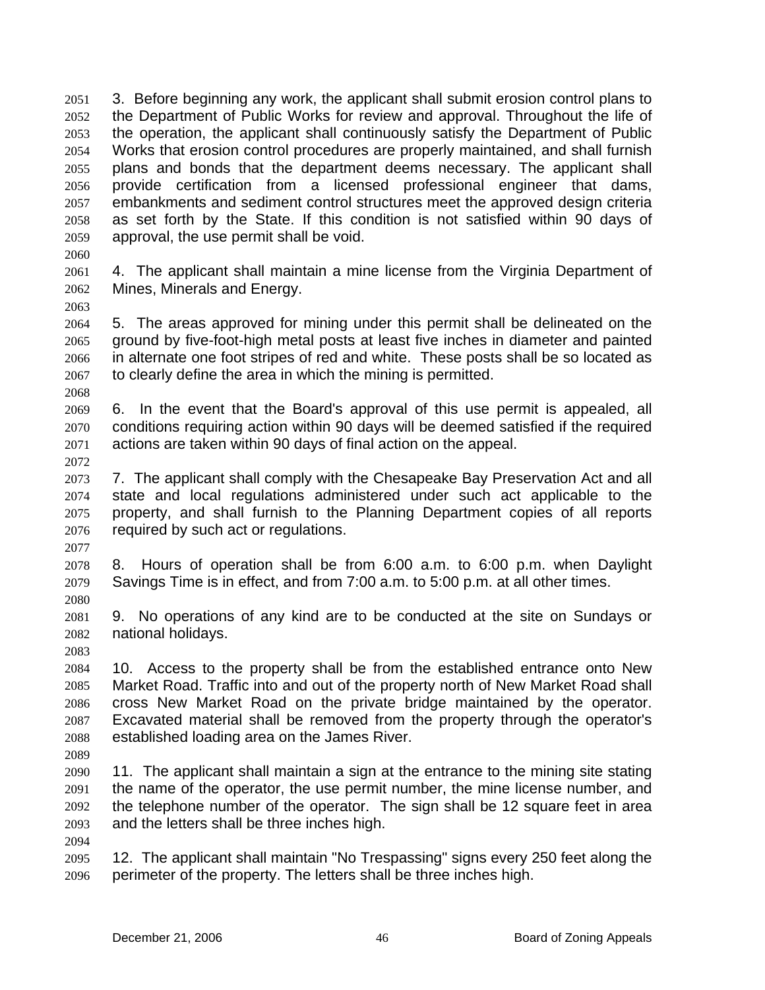3. Before beginning any work, the applicant shall submit erosion control plans to the Department of Public Works for review and approval. Throughout the life of the operation, the applicant shall continuously satisfy the Department of Public Works that erosion control procedures are properly maintained, and shall furnish plans and bonds that the department deems necessary. The applicant shall provide certification from a licensed professional engineer that dams, embankments and sediment control structures meet the approved design criteria as set forth by the State. If this condition is not satisfied within 90 days of approval, the use permit shall be void. 2051 2052 2053 2054 2055 2056 2057 2058 2059

- 2060
- 2061 2062 4. The applicant shall maintain a mine license from the Virginia Department of Mines, Minerals and Energy.
- 2063

2064 2065 2066 2067 5. The areas approved for mining under this permit shall be delineated on the ground by five-foot-high metal posts at least five inches in diameter and painted in alternate one foot stripes of red and white. These posts shall be so located as to clearly define the area in which the mining is permitted.

2068 2069 2070 2071 6. In the event that the Board's approval of this use permit is appealed, all conditions requiring action within 90 days will be deemed satisfied if the required actions are taken within 90 days of final action on the appeal.

2072

2073 2074 2075 2076 7. The applicant shall comply with the Chesapeake Bay Preservation Act and all state and local regulations administered under such act applicable to the property, and shall furnish to the Planning Department copies of all reports required by such act or regulations.

2077

2078 2079 8. Hours of operation shall be from 6:00 a.m. to 6:00 p.m. when Daylight Savings Time is in effect, and from 7:00 a.m. to 5:00 p.m. at all other times.

2080

2081 2082 9. No operations of any kind are to be conducted at the site on Sundays or national holidays.

2083

2084 2085 2086 2087 2088 10. Access to the property shall be from the established entrance onto New Market Road. Traffic into and out of the property north of New Market Road shall cross New Market Road on the private bridge maintained by the operator. Excavated material shall be removed from the property through the operator's established loading area on the James River.

2089

2090 2091 2092 2093 11. The applicant shall maintain a sign at the entrance to the mining site stating the name of the operator, the use permit number, the mine license number, and the telephone number of the operator. The sign shall be 12 square feet in area and the letters shall be three inches high.

2094

2095 2096 12. The applicant shall maintain "No Trespassing" signs every 250 feet along the perimeter of the property. The letters shall be three inches high.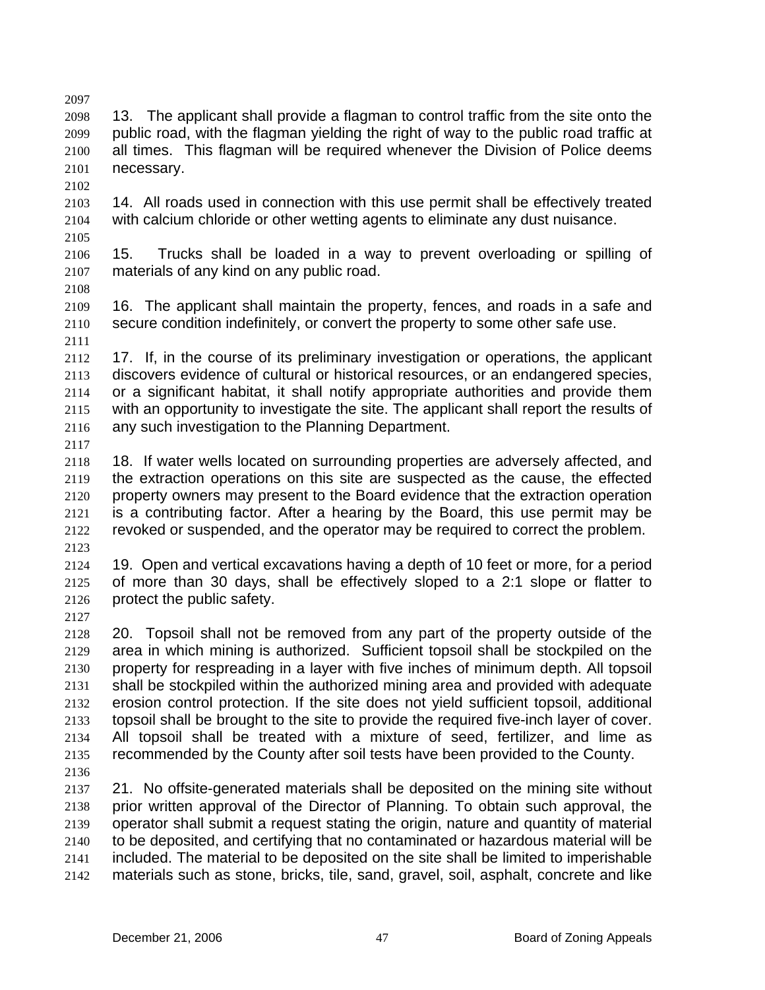2097 2098 2099 2100 2101 13. The applicant shall provide a flagman to control traffic from the site onto the public road, with the flagman yielding the right of way to the public road traffic at all times. This flagman will be required whenever the Division of Police deems necessary.

2102

2103 2104 14. All roads used in connection with this use permit shall be effectively treated with calcium chloride or other wetting agents to eliminate any dust nuisance.

2105

2106 2107 2108 15. Trucks shall be loaded in a way to prevent overloading or spilling of materials of any kind on any public road.

2109 2110 2111 16. The applicant shall maintain the property, fences, and roads in a safe and secure condition indefinitely, or convert the property to some other safe use.

2112 2113 2114 2115 2116 17. If, in the course of its preliminary investigation or operations, the applicant discovers evidence of cultural or historical resources, or an endangered species, or a significant habitat, it shall notify appropriate authorities and provide them with an opportunity to investigate the site. The applicant shall report the results of any such investigation to the Planning Department.

2117 2118 2119 2120 2121 2122 2123 18. If water wells located on surrounding properties are adversely affected, and the extraction operations on this site are suspected as the cause, the effected property owners may present to the Board evidence that the extraction operation is a contributing factor. After a hearing by the Board, this use permit may be revoked or suspended, and the operator may be required to correct the problem.

2124 2125 2126 19. Open and vertical excavations having a depth of 10 feet or more, for a period of more than 30 days, shall be effectively sloped to a 2:1 slope or flatter to protect the public safety.

2127

2128 2129 2130 2131 2132 2133 2134 2135 20. Topsoil shall not be removed from any part of the property outside of the area in which mining is authorized. Sufficient topsoil shall be stockpiled on the property for respreading in a layer with five inches of minimum depth. All topsoil shall be stockpiled within the authorized mining area and provided with adequate erosion control protection. If the site does not yield sufficient topsoil, additional topsoil shall be brought to the site to provide the required five-inch layer of cover. All topsoil shall be treated with a mixture of seed, fertilizer, and lime as recommended by the County after soil tests have been provided to the County.

2136

2137 2138 2139 2140 2141 2142 21. No offsite-generated materials shall be deposited on the mining site without prior written approval of the Director of Planning. To obtain such approval, the operator shall submit a request stating the origin, nature and quantity of material to be deposited, and certifying that no contaminated or hazardous material will be included. The material to be deposited on the site shall be limited to imperishable materials such as stone, bricks, tile, sand, gravel, soil, asphalt, concrete and like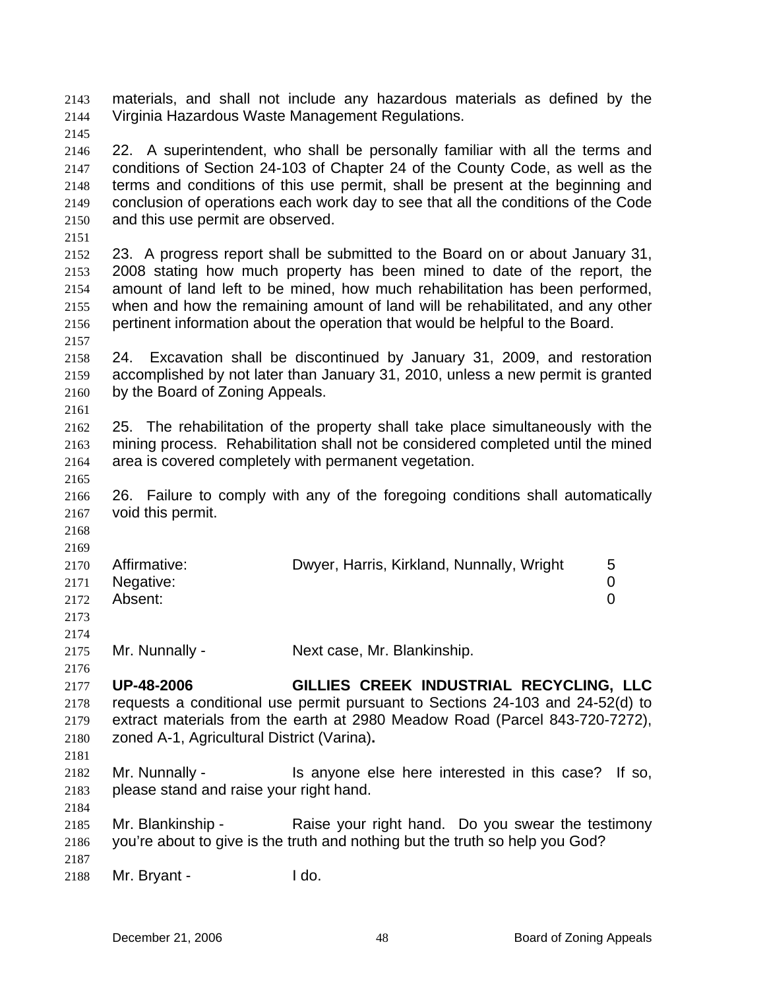materials, and shall not include any hazardous materials as defined by the Virginia Hazardous Waste Management Regulations. 2143 2144

2145

2146 2147 2148 2149 2150 22. A superintendent, who shall be personally familiar with all the terms and conditions of Section 24-103 of Chapter 24 of the County Code, as well as the terms and conditions of this use permit, shall be present at the beginning and conclusion of operations each work day to see that all the conditions of the Code and this use permit are observed.

2151

2152 2153 2154 2155 2156 23. A progress report shall be submitted to the Board on or about January 31, 2008 stating how much property has been mined to date of the report, the amount of land left to be mined, how much rehabilitation has been performed, when and how the remaining amount of land will be rehabilitated, and any other pertinent information about the operation that would be helpful to the Board.

2157

2161

2158 2159 2160 24. Excavation shall be discontinued by January 31, 2009, and restoration accomplished by not later than January 31, 2010, unless a new permit is granted by the Board of Zoning Appeals.

2162 2163 2164 25. The rehabilitation of the property shall take place simultaneously with the mining process. Rehabilitation shall not be considered completed until the mined area is covered completely with permanent vegetation.

2165

2166 2167 26. Failure to comply with any of the foregoing conditions shall automatically void this permit.

2168 2169

2184

| 2170 | Affirmative:   | Dwyer, Harris, Kirkland, Nunnally, Wright | $\mathbf b$ |
|------|----------------|-------------------------------------------|-------------|
|      | 2171 Negative: |                                           |             |
| 2172 | Absent:        |                                           |             |
| 2173 |                |                                           |             |
| 2174 |                |                                           |             |

2175 Mr. Nunnally - Next case, Mr. Blankinship.

2176 2177 2178 2179 2180 2181 **UP-48-2006 GILLIES CREEK INDUSTRIAL RECYCLING, LLC**  requests a conditional use permit pursuant to Sections 24-103 and 24-52(d) to extract materials from the earth at 2980 Meadow Road (Parcel 843-720-7272), zoned A-1, Agricultural District (Varina)**.**

2182 2183 Mr. Nunnally - This anyone else here interested in this case? If so, please stand and raise your right hand.

2185 2186 2187 Mr. Blankinship - Raise your right hand. Do you swear the testimony you're about to give is the truth and nothing but the truth so help you God?

2188 Mr. Bryant - I do.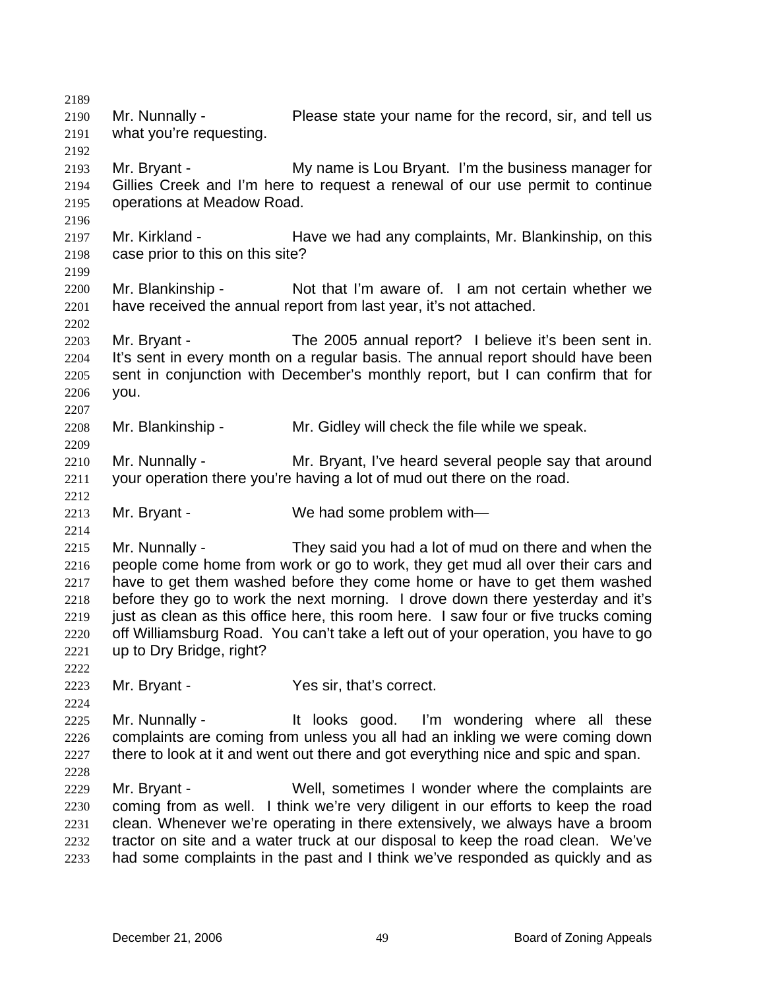2189 2190 2191 2192 2193 2194 2195 2196 2197 2198 2199 2200 2201 2202 2203 2204 2205 2206 2207 2208 2209 2210 2211 2212 2213 2214 2215 2216 2217 2218 2219 2220 2221 2222 2223 2224 2225 2226 2227 2228 2229 2230 2231 2232 2233 Mr. Nunnally - Please state your name for the record, sir, and tell us what you're requesting. Mr. Bryant - My name is Lou Bryant. I'm the business manager for Gillies Creek and I'm here to request a renewal of our use permit to continue operations at Meadow Road. Mr. Kirkland - Have we had any complaints, Mr. Blankinship, on this case prior to this on this site? Mr. Blankinship - Not that I'm aware of. I am not certain whether we have received the annual report from last year, it's not attached. Mr. Bryant - The 2005 annual report? I believe it's been sent in. It's sent in every month on a regular basis. The annual report should have been sent in conjunction with December's monthly report, but I can confirm that for you. Mr. Blankinship - Mr. Gidley will check the file while we speak. Mr. Nunnally - The Mr. Bryant, I've heard several people say that around your operation there you're having a lot of mud out there on the road. Mr. Bryant - We had some problem with— Mr. Nunnally - They said you had a lot of mud on there and when the people come home from work or go to work, they get mud all over their cars and have to get them washed before they come home or have to get them washed before they go to work the next morning. I drove down there yesterday and it's just as clean as this office here, this room here. I saw four or five trucks coming off Williamsburg Road. You can't take a left out of your operation, you have to go up to Dry Bridge, right? Mr. Bryant - Yes sir, that's correct. Mr. Nunnally - The Mull ooks good. I'm wondering where all these complaints are coming from unless you all had an inkling we were coming down there to look at it and went out there and got everything nice and spic and span. Mr. Bryant - Well, sometimes I wonder where the complaints are coming from as well. I think we're very diligent in our efforts to keep the road clean. Whenever we're operating in there extensively, we always have a broom tractor on site and a water truck at our disposal to keep the road clean. We've had some complaints in the past and I think we've responded as quickly and as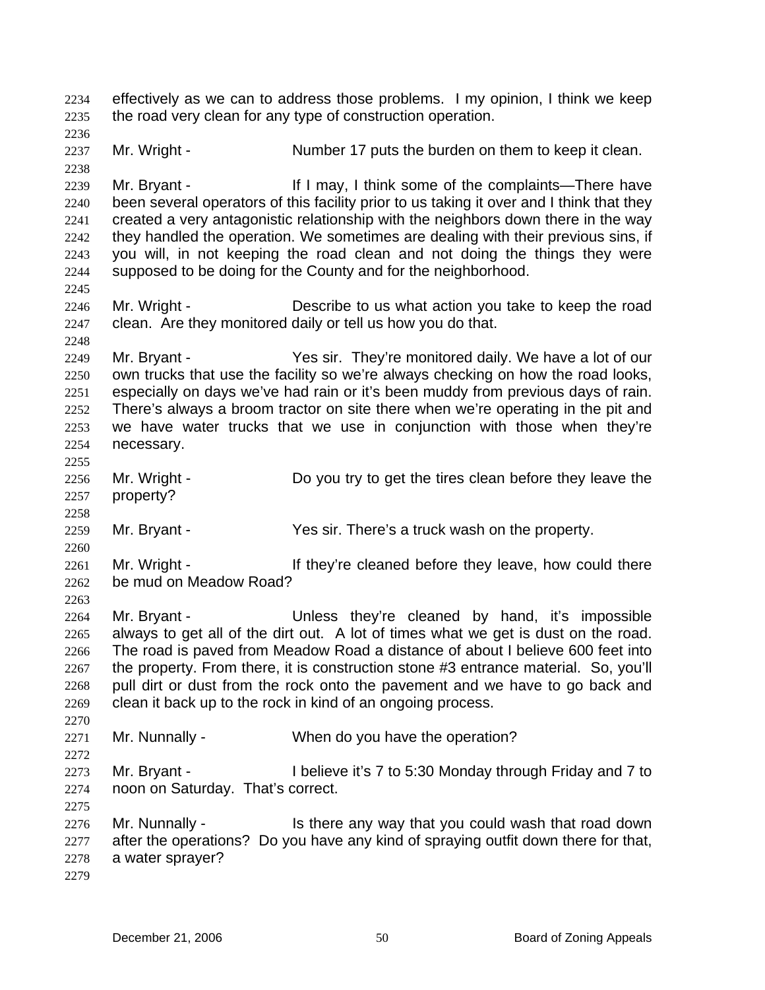effectively as we can to address those problems. I my opinion, I think we keep the road very clean for any type of construction operation. 2234 2235 2236 2237 2238 2239 2240 2241 2242 2243 2244 2245 2246 2247 2248 2249 2250 2251 2252 2253 2254 2255 2256 2257 2258 2259 2260 2261 2262 2263 2264 2265 2266 2267 2268 2269 2270 2271 2272 2273 2274 2275 2276 2277 2278 2279 Mr. Wright - Number 17 puts the burden on them to keep it clean. Mr. Bryant - If I may, I think some of the complaints—There have been several operators of this facility prior to us taking it over and I think that they created a very antagonistic relationship with the neighbors down there in the way they handled the operation. We sometimes are dealing with their previous sins, if you will, in not keeping the road clean and not doing the things they were supposed to be doing for the County and for the neighborhood. Mr. Wright - Describe to us what action you take to keep the road clean. Are they monitored daily or tell us how you do that. Mr. Bryant - Yes sir. They're monitored daily. We have a lot of our own trucks that use the facility so we're always checking on how the road looks, especially on days we've had rain or it's been muddy from previous days of rain. There's always a broom tractor on site there when we're operating in the pit and we have water trucks that we use in conjunction with those when they're necessary. Mr. Wright - Do you try to get the tires clean before they leave the property? Mr. Bryant - Yes sir. There's a truck wash on the property. Mr. Wright - They're cleaned before they leave, how could there be mud on Meadow Road? Mr. Bryant - Thess they're cleaned by hand, it's impossible always to get all of the dirt out. A lot of times what we get is dust on the road. The road is paved from Meadow Road a distance of about I believe 600 feet into the property. From there, it is construction stone #3 entrance material. So, you'll pull dirt or dust from the rock onto the pavement and we have to go back and clean it back up to the rock in kind of an ongoing process. Mr. Nunnally - When do you have the operation? Mr. Bryant - I believe it's 7 to 5:30 Monday through Friday and 7 to noon on Saturday. That's correct. Mr. Nunnally - The Is there any way that you could wash that road down after the operations? Do you have any kind of spraying outfit down there for that, a water sprayer?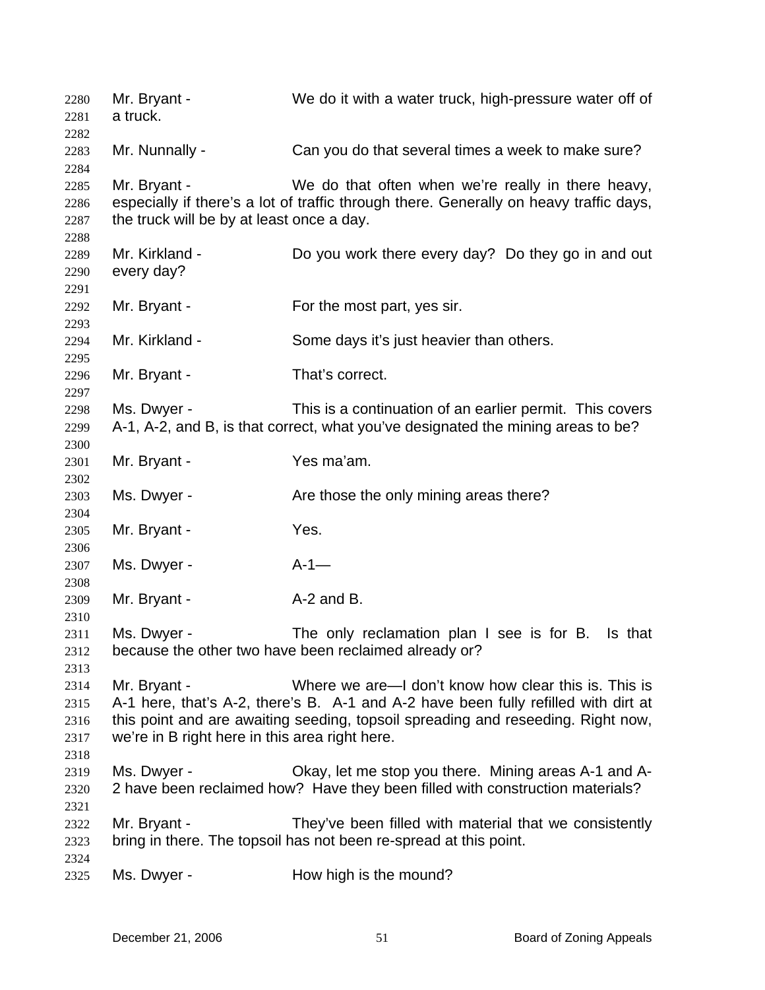| 2280<br>2281<br>2282                 | Mr. Bryant -<br>a truck.                                       | We do it with a water truck, high-pressure water off of                                                                                                                                                                        |
|--------------------------------------|----------------------------------------------------------------|--------------------------------------------------------------------------------------------------------------------------------------------------------------------------------------------------------------------------------|
| 2283<br>2284                         | Mr. Nunnally -                                                 | Can you do that several times a week to make sure?                                                                                                                                                                             |
| 2285<br>2286<br>2287<br>2288         | Mr. Bryant -<br>the truck will be by at least once a day.      | We do that often when we're really in there heavy,<br>especially if there's a lot of traffic through there. Generally on heavy traffic days,                                                                                   |
| 2289<br>2290<br>2291                 | Mr. Kirkland -<br>every day?                                   | Do you work there every day? Do they go in and out                                                                                                                                                                             |
| 2292<br>2293                         | Mr. Bryant -                                                   | For the most part, yes sir.                                                                                                                                                                                                    |
| 2294<br>2295                         | Mr. Kirkland -                                                 | Some days it's just heavier than others.                                                                                                                                                                                       |
| 2296<br>2297                         | Mr. Bryant -                                                   | That's correct.                                                                                                                                                                                                                |
| 2298<br>2299<br>2300                 | Ms. Dwyer -                                                    | This is a continuation of an earlier permit. This covers<br>A-1, A-2, and B, is that correct, what you've designated the mining areas to be?                                                                                   |
| 2301<br>2302                         | Mr. Bryant -                                                   | Yes ma'am.                                                                                                                                                                                                                     |
| 2303<br>2304                         | Ms. Dwyer -                                                    | Are those the only mining areas there?                                                                                                                                                                                         |
| 2305<br>2306                         | Mr. Bryant -                                                   | Yes.                                                                                                                                                                                                                           |
| 2307<br>2308                         | Ms. Dwyer -                                                    | $A-1$ —                                                                                                                                                                                                                        |
| 2309<br>2310                         | Mr. Bryant -                                                   | A-2 and B.                                                                                                                                                                                                                     |
| 2311<br>2312<br>2313                 | Ms. Dwyer -                                                    | The only reclamation plan I see is for B. Is that<br>because the other two have been reclaimed already or?                                                                                                                     |
| 2314<br>2315<br>2316<br>2317<br>2318 | Mr. Bryant -<br>we're in B right here in this area right here. | Where we are—I don't know how clear this is. This is<br>A-1 here, that's A-2, there's B. A-1 and A-2 have been fully refilled with dirt at<br>this point and are awaiting seeding, topsoil spreading and reseeding. Right now, |
| 2319<br>2320                         | Ms. Dwyer -                                                    | Okay, let me stop you there. Mining areas A-1 and A-<br>2 have been reclaimed how? Have they been filled with construction materials?                                                                                          |
| 2321<br>2322<br>2323                 | Mr. Bryant -                                                   | They've been filled with material that we consistently<br>bring in there. The topsoil has not been re-spread at this point.                                                                                                    |
| 2324<br>2325                         | Ms. Dwyer -                                                    | How high is the mound?                                                                                                                                                                                                         |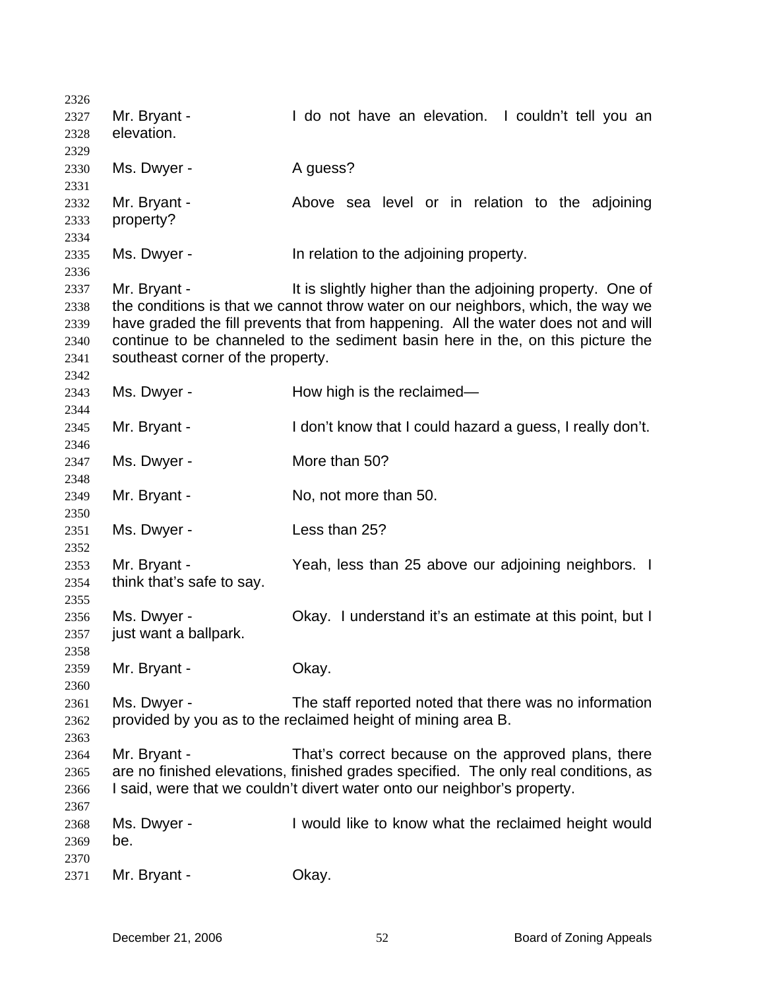| 2326 |                                   |                                                                                     |
|------|-----------------------------------|-------------------------------------------------------------------------------------|
| 2327 | Mr. Bryant -                      | I do not have an elevation. I couldn't tell you an                                  |
| 2328 | elevation.                        |                                                                                     |
| 2329 |                                   |                                                                                     |
| 2330 | Ms. Dwyer -                       | A guess?                                                                            |
| 2331 |                                   |                                                                                     |
| 2332 | Mr. Bryant -                      | Above sea level or in relation to the adjoining                                     |
| 2333 | property?                         |                                                                                     |
|      |                                   |                                                                                     |
| 2334 |                                   |                                                                                     |
| 2335 | Ms. Dwyer -                       | In relation to the adjoining property.                                              |
| 2336 |                                   |                                                                                     |
| 2337 | Mr. Bryant -                      | It is slightly higher than the adjoining property. One of                           |
| 2338 |                                   | the conditions is that we cannot throw water on our neighbors, which, the way we    |
| 2339 |                                   | have graded the fill prevents that from happening. All the water does not and will  |
| 2340 |                                   | continue to be channeled to the sediment basin here in the, on this picture the     |
| 2341 | southeast corner of the property. |                                                                                     |
| 2342 |                                   |                                                                                     |
| 2343 | Ms. Dwyer -                       | How high is the reclaimed—                                                          |
| 2344 |                                   |                                                                                     |
| 2345 | Mr. Bryant -                      | I don't know that I could hazard a guess, I really don't.                           |
| 2346 |                                   |                                                                                     |
| 2347 | Ms. Dwyer -                       | More than 50?                                                                       |
| 2348 |                                   |                                                                                     |
|      | Mr. Bryant -                      | No, not more than 50.                                                               |
| 2349 |                                   |                                                                                     |
| 2350 |                                   |                                                                                     |
| 2351 | Ms. Dwyer -                       | Less than 25?                                                                       |
| 2352 |                                   |                                                                                     |
| 2353 | Mr. Bryant -                      | Yeah, less than 25 above our adjoining neighbors. I                                 |
| 2354 | think that's safe to say.         |                                                                                     |
| 2355 |                                   |                                                                                     |
| 2356 | Ms. Dwyer -                       | Okay. I understand it's an estimate at this point, but I                            |
| 2357 | just want a ballpark.             |                                                                                     |
| 2358 |                                   |                                                                                     |
| 2359 | Mr. Bryant -                      | Okay.                                                                               |
| 2360 |                                   |                                                                                     |
| 2361 | Ms. Dwyer -                       | The staff reported noted that there was no information                              |
| 2362 |                                   | provided by you as to the reclaimed height of mining area B.                        |
| 2363 |                                   |                                                                                     |
| 2364 | Mr. Bryant -                      | That's correct because on the approved plans, there                                 |
| 2365 |                                   | are no finished elevations, finished grades specified. The only real conditions, as |
|      |                                   | I said, were that we couldn't divert water onto our neighbor's property.            |
| 2366 |                                   |                                                                                     |
| 2367 |                                   |                                                                                     |
| 2368 | Ms. Dwyer -                       | I would like to know what the reclaimed height would                                |
| 2369 | be.                               |                                                                                     |
| 2370 |                                   |                                                                                     |
| 2371 | Mr. Bryant -                      | Okay.                                                                               |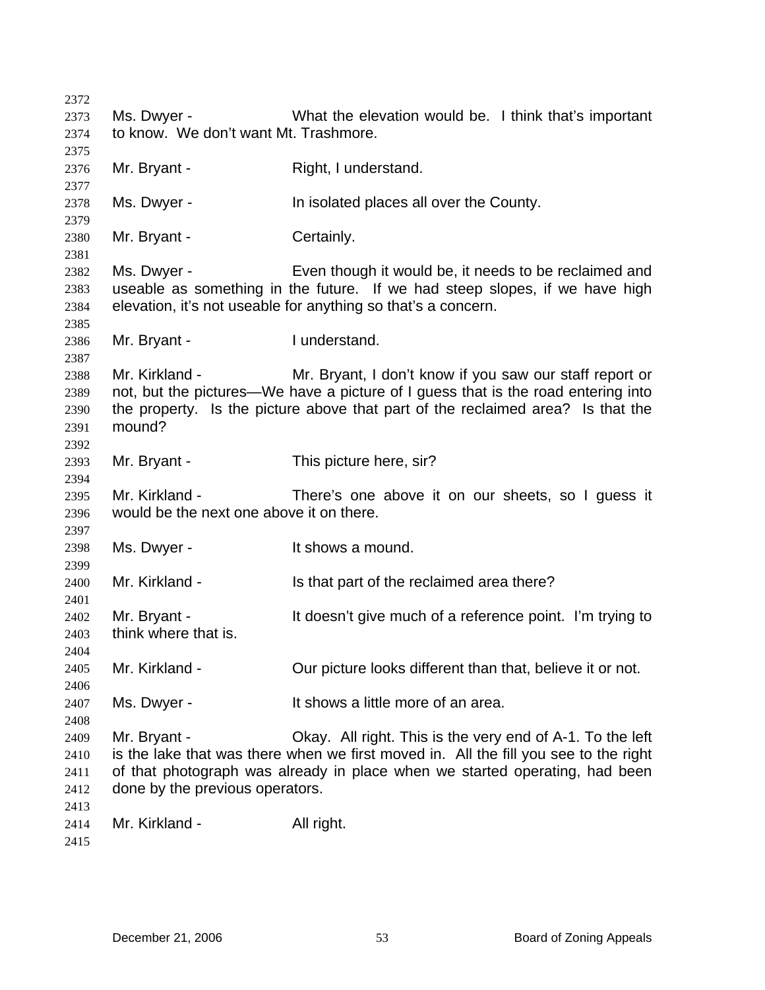| 2372         |                                          |                                                                                      |
|--------------|------------------------------------------|--------------------------------------------------------------------------------------|
| 2373         | Ms. Dwyer -                              | What the elevation would be. I think that's important                                |
| 2374         | to know. We don't want Mt. Trashmore.    |                                                                                      |
| 2375         |                                          |                                                                                      |
| 2376         | Mr. Bryant -                             | Right, I understand.                                                                 |
| 2377         |                                          |                                                                                      |
| 2378         | Ms. Dwyer -                              | In isolated places all over the County.                                              |
| 2379         |                                          |                                                                                      |
| 2380         | Mr. Bryant -                             | Certainly.                                                                           |
| 2381         | Ms. Dwyer -                              | Even though it would be, it needs to be reclaimed and                                |
| 2382<br>2383 |                                          | useable as something in the future. If we had steep slopes, if we have high          |
| 2384         |                                          | elevation, it's not useable for anything so that's a concern.                        |
| 2385         |                                          |                                                                                      |
| 2386         | Mr. Bryant -                             | I understand.                                                                        |
| 2387         |                                          |                                                                                      |
| 2388         | Mr. Kirkland -                           | Mr. Bryant, I don't know if you saw our staff report or                              |
| 2389         |                                          | not, but the pictures—We have a picture of I guess that is the road entering into    |
| 2390         |                                          | the property. Is the picture above that part of the reclaimed area? Is that the      |
| 2391         | mound?                                   |                                                                                      |
| 2392         |                                          |                                                                                      |
| 2393         | Mr. Bryant -                             | This picture here, sir?                                                              |
| 2394         |                                          |                                                                                      |
| 2395         | Mr. Kirkland -                           | There's one above it on our sheets, so I guess it                                    |
| 2396         | would be the next one above it on there. |                                                                                      |
| 2397<br>2398 | Ms. Dwyer -                              | It shows a mound.                                                                    |
| 2399         |                                          |                                                                                      |
| 2400         | Mr. Kirkland -                           | Is that part of the reclaimed area there?                                            |
| 2401         |                                          |                                                                                      |
| 2402         | Mr. Bryant -                             | It doesn't give much of a reference point. I'm trying to                             |
| 2403         | think where that is.                     |                                                                                      |
| 2404         |                                          |                                                                                      |
| 2405         | Mr. Kirkland -                           | Our picture looks different than that, believe it or not.                            |
| 2406         |                                          |                                                                                      |
| 2407         | Ms. Dwyer -                              | It shows a little more of an area.                                                   |
| 2408         |                                          |                                                                                      |
| 2409         | Mr. Bryant -                             | Okay. All right. This is the very end of A-1. To the left                            |
| 2410         |                                          | is the lake that was there when we first moved in. All the fill you see to the right |
| 2411         |                                          | of that photograph was already in place when we started operating, had been          |
| 2412         | done by the previous operators.          |                                                                                      |
| 2413         |                                          |                                                                                      |
| 2414         | Mr. Kirkland -                           | All right.                                                                           |
| 2415         |                                          |                                                                                      |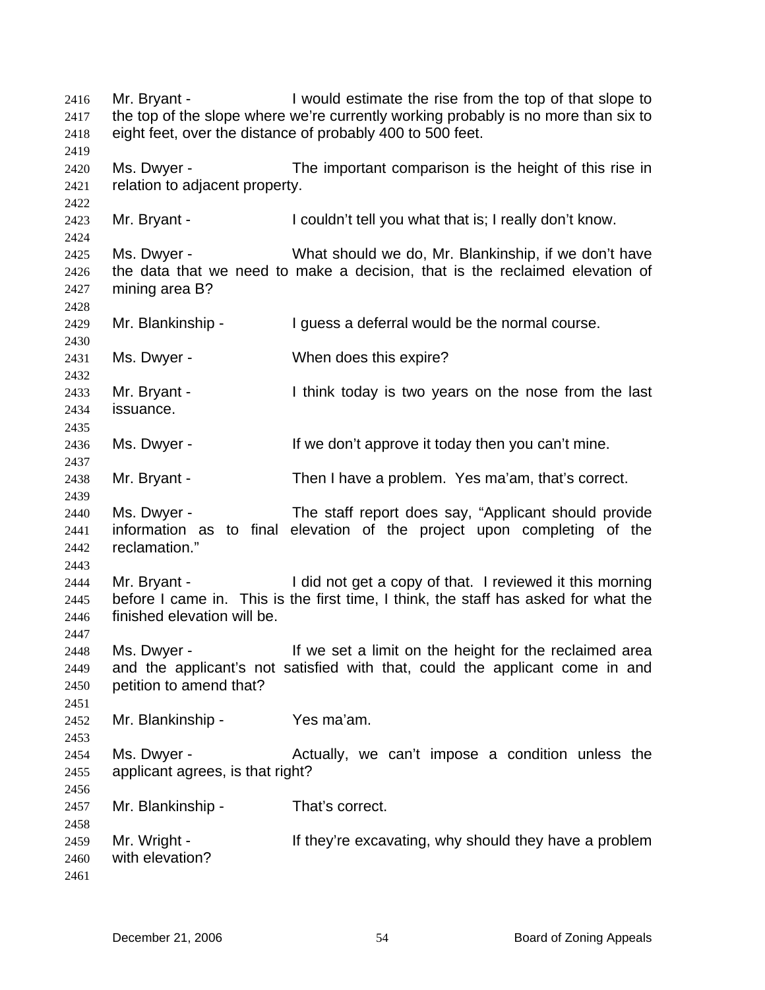Mr. Bryant - I would estimate the rise from the top of that slope to the top of the slope where we're currently working probably is no more than six to eight feet, over the distance of probably 400 to 500 feet. 2416 2417 2418 2419 2420 2421 2422 2423 2424 2425 2426 2427 2428 2429 2430 2431 2432 2433 2434 2435 2436 2437 2438 2439 2440 2441 2442 2443 2444 2445 2446 2447 2448 2449 2450 2451 2452 2453 2454 2455 2456 2457 2458 2459 2460 2461 Ms. Dwyer - The important comparison is the height of this rise in relation to adjacent property. Mr. Bryant - I couldn't tell you what that is; I really don't know. Ms. Dwyer - What should we do, Mr. Blankinship, if we don't have the data that we need to make a decision, that is the reclaimed elevation of mining area B? Mr. Blankinship - I guess a deferral would be the normal course. Ms. Dwyer - When does this expire? Mr. Bryant - Think today is two years on the nose from the last issuance. Ms. Dwyer - The Music of the don't approve it today then you can't mine. Mr. Bryant - Then I have a problem. Yes ma'am, that's correct. Ms. Dwyer - The staff report does say, "Applicant should provide information as to final elevation of the project upon completing of the reclamation." Mr. Bryant - I did not get a copy of that. I reviewed it this morning before I came in. This is the first time, I think, the staff has asked for what the finished elevation will be. Ms. Dwyer - If we set a limit on the height for the reclaimed area and the applicant's not satisfied with that, could the applicant come in and petition to amend that? Mr. Blankinship - Yes ma'am. Ms. Dwyer - The Actually, we can't impose a condition unless the applicant agrees, is that right? Mr. Blankinship - That's correct. Mr. Wright - They're excavating, why should they have a problem with elevation?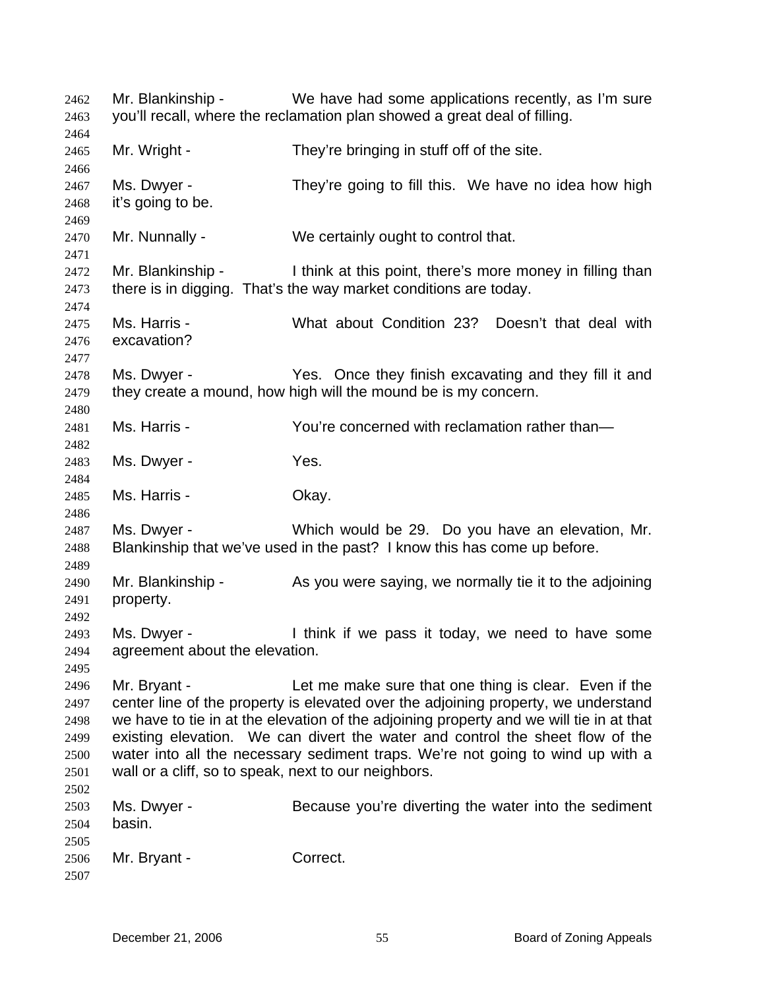Mr. Blankinship - We have had some applications recently, as I'm sure you'll recall, where the reclamation plan showed a great deal of filling. 2462 2463 2464 2465 2466 2467 2468 2469 2470 2471 2472 2473 2474 2475 2476 2477 2478 2479 2480 2481 2482 2483 2484 2485 2486 2487 2488 2489 2490 2491 2492 2493 2494 2495 2496 2497 2498 2499 2500 2501 2502 2503 2504 2505 2506 2507 Mr. Wright - They're bringing in stuff of the site. Ms. Dwyer - They're going to fill this. We have no idea how high it's going to be. Mr. Nunnally - We certainly ought to control that. Mr. Blankinship - I think at this point, there's more money in filling than there is in digging. That's the way market conditions are today. Ms. Harris - What about Condition 23? Doesn't that deal with excavation? Ms. Dwyer - Yes. Once they finish excavating and they fill it and they create a mound, how high will the mound be is my concern. Ms. Harris - You're concerned with reclamation rather than— Ms. Dwyer - Yes. Ms. Harris - Chay. Ms. Dwyer - Which would be 29. Do you have an elevation, Mr. Blankinship that we've used in the past? I know this has come up before. Mr. Blankinship - As you were saying, we normally tie it to the adjoining property. Ms. Dwyer - I think if we pass it today, we need to have some agreement about the elevation. Mr. Bryant - Let me make sure that one thing is clear. Even if the center line of the property is elevated over the adjoining property, we understand we have to tie in at the elevation of the adjoining property and we will tie in at that existing elevation. We can divert the water and control the sheet flow of the water into all the necessary sediment traps. We're not going to wind up with a wall or a cliff, so to speak, next to our neighbors. Ms. Dwyer - Because you're diverting the water into the sediment basin. Mr. Bryant - Correct.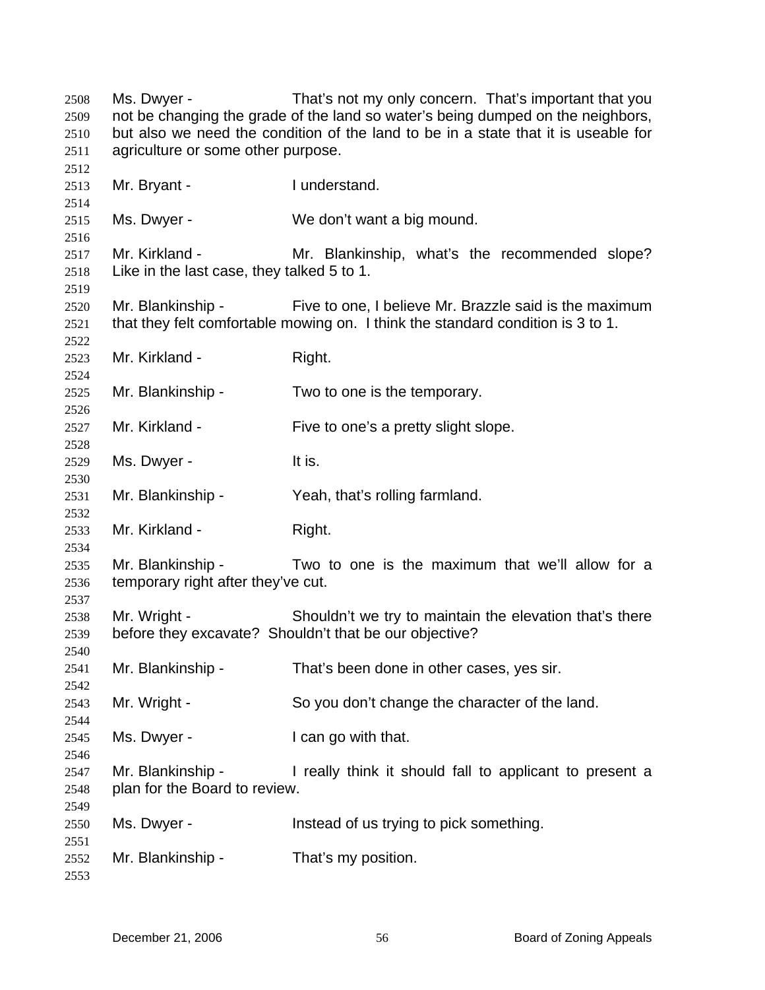Ms. Dwyer - That's not my only concern. That's important that you not be changing the grade of the land so water's being dumped on the neighbors, but also we need the condition of the land to be in a state that it is useable for agriculture or some other purpose. Mr. Bryant - Inderstand. Ms. Dwyer - We don't want a big mound. Mr. Kirkland - The Mr. Blankinship, what's the recommended slope? Like in the last case, they talked 5 to 1. Mr. Blankinship - Five to one, I believe Mr. Brazzle said is the maximum that they felt comfortable mowing on. I think the standard condition is 3 to 1. Mr. Kirkland - Right. Mr. Blankinship - Two to one is the temporary. Mr. Kirkland - Five to one's a pretty slight slope. Ms. Dwyer - The Music Controller and Music It is. Mr. Blankinship - Yeah, that's rolling farmland. Mr. Kirkland - Right. Mr. Blankinship - Two to one is the maximum that we'll allow for a temporary right after they've cut. Mr. Wright - Shouldn't we try to maintain the elevation that's there before they excavate? Shouldn't that be our objective? Mr. Blankinship - That's been done in other cases, yes sir. Mr. Wright - So you don't change the character of the land. Ms. Dwyer - The I can go with that. Mr. Blankinship - I really think it should fall to applicant to present a plan for the Board to review. Ms. Dwyer - This instead of us trying to pick something. Mr. Blankinship - That's my position.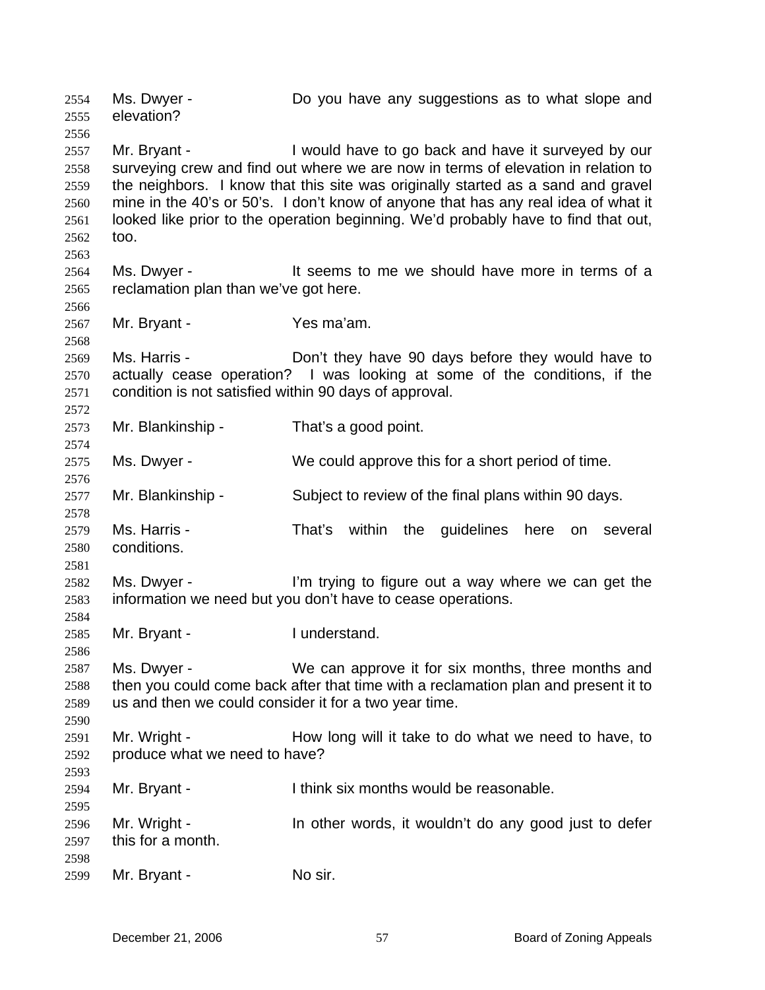Ms. Dwyer - Do you have any suggestions as to what slope and elevation? 2554 2555 2556 2557 2558 2559 2560 2561 2562 2563 2564 2565 2566 2567 2568 2569 2570 2571 2572 2573 2574 2575 2576 2577 2578 2579 2580 2581 2582 2583 2584 2585 2586 2587 2588 2589 2590 2591 2592 2593 2594 2595 2596 2597 2598 2599 Mr. Bryant - I would have to go back and have it surveyed by our surveying crew and find out where we are now in terms of elevation in relation to the neighbors. I know that this site was originally started as a sand and gravel mine in the 40's or 50's. I don't know of anyone that has any real idea of what it looked like prior to the operation beginning. We'd probably have to find that out, too. Ms. Dwyer - The State State State State State Ms. Dwyer - It seems to me we should have more in terms of a reclamation plan than we've got here. Mr. Bryant - Yes ma'am. Ms. Harris - **Don't they have 90 days before they would have to** actually cease operation? I was looking at some of the conditions, if the condition is not satisfied within 90 days of approval. Mr. Blankinship - That's a good point. Ms. Dwyer - We could approve this for a short period of time. Mr. Blankinship - Subject to review of the final plans within 90 days. Ms. Harris - That's within the quidelines here on several conditions. Ms. Dwyer - I'm trying to figure out a way where we can get the information we need but you don't have to cease operations. Mr. Bryant - The I understand. Ms. Dwyer - We can approve it for six months, three months and then you could come back after that time with a reclamation plan and present it to us and then we could consider it for a two year time. Mr. Wright - How long will it take to do what we need to have, to produce what we need to have? Mr. Bryant - Think six months would be reasonable. Mr. Wright - In other words, it wouldn't do any good just to defer this for a month. Mr. Bryant - No sir.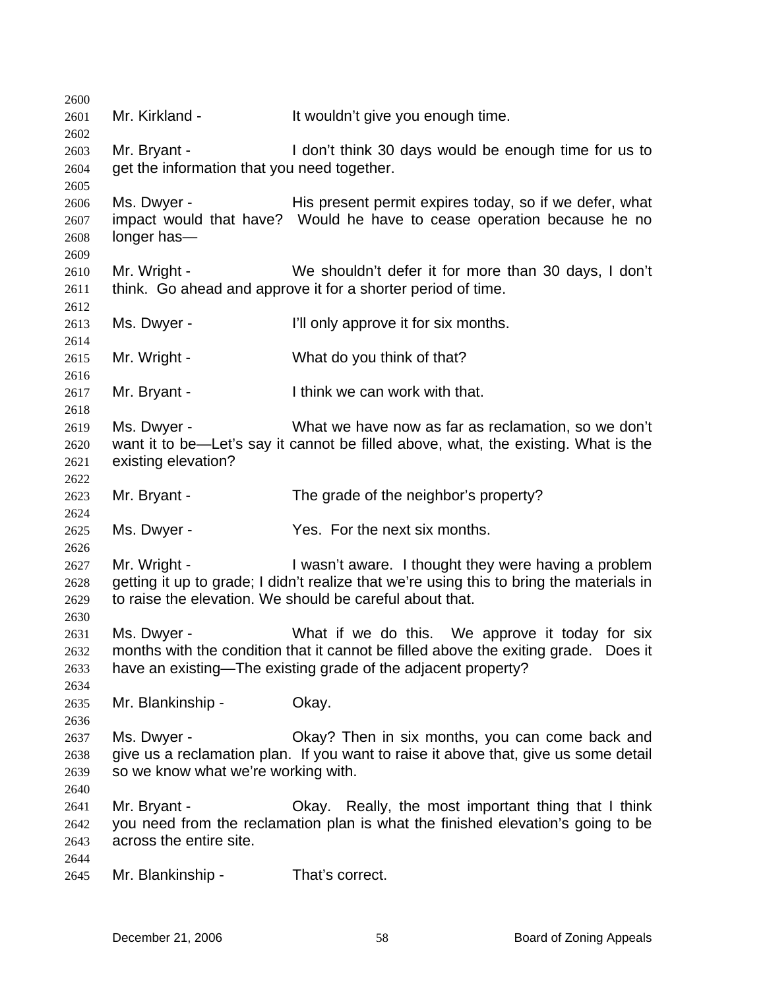2600 2601 2602 2603 2604 2605 2606 2607 2608 2609 2610 2611 2612 2613 2614 2615 2616 2617 2618 2619 2620 2621 2622 2623 2624 2625 2626 2627 2628 2629 2630 2631 2632 2633 2634 2635 2636 2637 2638 2639 2640 2641 2642 2643 2644 2645 Mr. Kirkland - The Muslim of the University of the Mr. Kirkland - It wouldn't give you enough time. Mr. Bryant - I don't think 30 days would be enough time for us to get the information that you need together. Ms. Dwyer - His present permit expires today, so if we defer, what impact would that have? Would he have to cease operation because he no longer has— Mr. Wright - We shouldn't defer it for more than 30 days, I don't think. Go ahead and approve it for a shorter period of time. Ms. Dwyer - I'll only approve it for six months. Mr. Wright - What do you think of that? Mr. Bryant - Ithink we can work with that. Ms. Dwyer - What we have now as far as reclamation, so we don't want it to be—Let's say it cannot be filled above, what, the existing. What is the existing elevation? Mr. Bryant - The grade of the neighbor's property? Ms. Dwyer - Yes. For the next six months. Mr. Wright - I wasn't aware. I thought they were having a problem getting it up to grade; I didn't realize that we're using this to bring the materials in to raise the elevation. We should be careful about that. Ms. Dwyer - What if we do this. We approve it today for six months with the condition that it cannot be filled above the exiting grade. Does it have an existing—The existing grade of the adjacent property? Mr. Blankinship - Okay. Ms. Dwyer - **Okay?** Then in six months, you can come back and give us a reclamation plan. If you want to raise it above that, give us some detail so we know what we're working with. Mr. Bryant - Chay. Really, the most important thing that I think you need from the reclamation plan is what the finished elevation's going to be across the entire site. Mr. Blankinship - That's correct.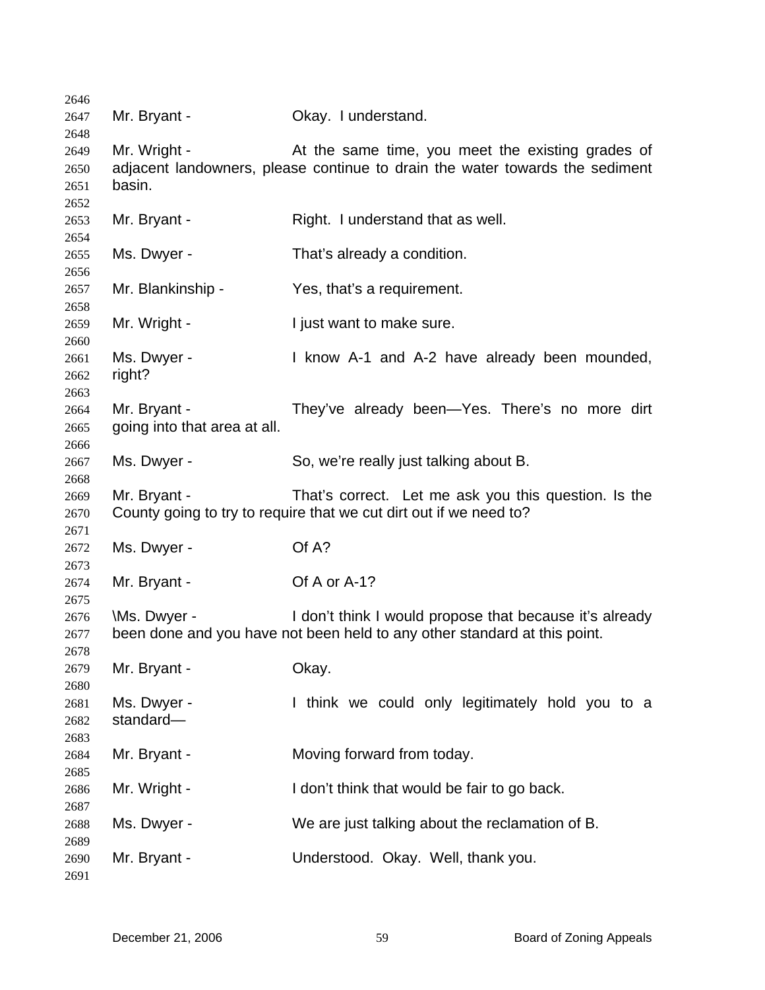| Mr. Bryant - | Okay. I understand.                                                                                                                                                                                                                                                                                 |
|--------------|-----------------------------------------------------------------------------------------------------------------------------------------------------------------------------------------------------------------------------------------------------------------------------------------------------|
|              |                                                                                                                                                                                                                                                                                                     |
|              |                                                                                                                                                                                                                                                                                                     |
|              | At the same time, you meet the existing grades of                                                                                                                                                                                                                                                   |
|              | adjacent landowners, please continue to drain the water towards the sediment                                                                                                                                                                                                                        |
| basin.       |                                                                                                                                                                                                                                                                                                     |
|              |                                                                                                                                                                                                                                                                                                     |
|              | Right. I understand that as well.                                                                                                                                                                                                                                                                   |
|              |                                                                                                                                                                                                                                                                                                     |
|              | That's already a condition.                                                                                                                                                                                                                                                                         |
|              |                                                                                                                                                                                                                                                                                                     |
|              | Yes, that's a requirement.                                                                                                                                                                                                                                                                          |
|              |                                                                                                                                                                                                                                                                                                     |
|              | I just want to make sure.                                                                                                                                                                                                                                                                           |
|              | I know A-1 and A-2 have already been mounded,                                                                                                                                                                                                                                                       |
|              |                                                                                                                                                                                                                                                                                                     |
|              |                                                                                                                                                                                                                                                                                                     |
|              | They've already been-Yes. There's no more dirt                                                                                                                                                                                                                                                      |
|              |                                                                                                                                                                                                                                                                                                     |
|              |                                                                                                                                                                                                                                                                                                     |
|              | So, we're really just talking about B.                                                                                                                                                                                                                                                              |
|              |                                                                                                                                                                                                                                                                                                     |
| Mr. Bryant - | That's correct. Let me ask you this question. Is the                                                                                                                                                                                                                                                |
|              | County going to try to require that we cut dirt out if we need to?                                                                                                                                                                                                                                  |
|              |                                                                                                                                                                                                                                                                                                     |
| Ms. Dwyer -  | Of A?                                                                                                                                                                                                                                                                                               |
|              |                                                                                                                                                                                                                                                                                                     |
| Mr. Bryant - | Of A or A-1?                                                                                                                                                                                                                                                                                        |
|              |                                                                                                                                                                                                                                                                                                     |
|              | I don't think I would propose that because it's already                                                                                                                                                                                                                                             |
|              | been done and you have not been held to any other standard at this point.                                                                                                                                                                                                                           |
|              |                                                                                                                                                                                                                                                                                                     |
|              | Okay.                                                                                                                                                                                                                                                                                               |
|              |                                                                                                                                                                                                                                                                                                     |
|              | I think we could only legitimately hold you to a                                                                                                                                                                                                                                                    |
|              |                                                                                                                                                                                                                                                                                                     |
|              |                                                                                                                                                                                                                                                                                                     |
|              | Moving forward from today.                                                                                                                                                                                                                                                                          |
|              | I don't think that would be fair to go back.                                                                                                                                                                                                                                                        |
|              |                                                                                                                                                                                                                                                                                                     |
|              | We are just talking about the reclamation of B.                                                                                                                                                                                                                                                     |
|              |                                                                                                                                                                                                                                                                                                     |
|              | Understood. Okay. Well, thank you.                                                                                                                                                                                                                                                                  |
|              |                                                                                                                                                                                                                                                                                                     |
|              | Mr. Wright -<br>Mr. Bryant -<br>Ms. Dwyer -<br>Mr. Blankinship -<br>Mr. Wright -<br>Ms. Dwyer -<br>right?<br>Mr. Bryant -<br>going into that area at all.<br>Ms. Dwyer -<br>\Ms. Dwyer -<br>Mr. Bryant -<br>Ms. Dwyer -<br>standard-<br>Mr. Bryant -<br>Mr. Wright -<br>Ms. Dwyer -<br>Mr. Bryant - |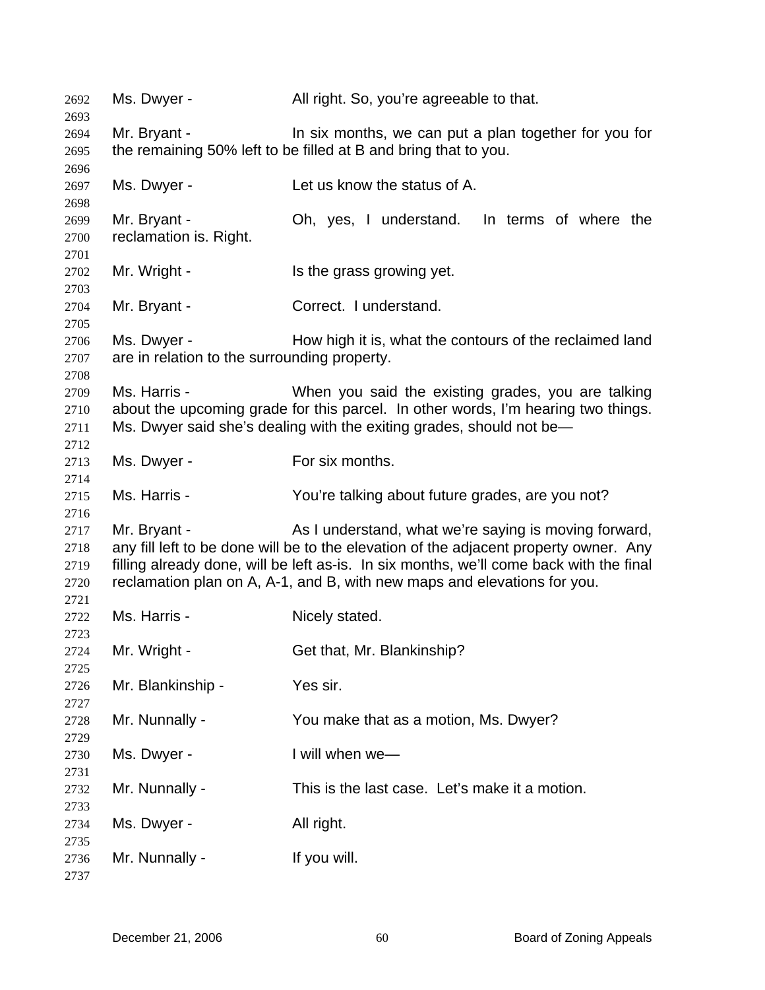| 2692         | Ms. Dwyer -                                  | All right. So, you're agreeable to that.                                                |
|--------------|----------------------------------------------|-----------------------------------------------------------------------------------------|
| 2693<br>2694 | Mr. Bryant -                                 | In six months, we can put a plan together for you for                                   |
| 2695         |                                              | the remaining 50% left to be filled at B and bring that to you.                         |
|              |                                              |                                                                                         |
| 2696         |                                              | Let us know the status of A.                                                            |
| 2697         | Ms. Dwyer -                                  |                                                                                         |
| 2698         |                                              |                                                                                         |
| 2699         | Mr. Bryant -                                 | Oh, yes, I understand. In terms of where the                                            |
| 2700         | reclamation is. Right.                       |                                                                                         |
| 2701         |                                              |                                                                                         |
| 2702         | Mr. Wright -                                 | Is the grass growing yet.                                                               |
| 2703         |                                              |                                                                                         |
| 2704         | Mr. Bryant -                                 | Correct. I understand.                                                                  |
| 2705         |                                              |                                                                                         |
| 2706         | Ms. Dwyer -                                  | How high it is, what the contours of the reclaimed land                                 |
| 2707         | are in relation to the surrounding property. |                                                                                         |
| 2708         |                                              |                                                                                         |
| 2709         | Ms. Harris -                                 | When you said the existing grades, you are talking                                      |
| 2710         |                                              | about the upcoming grade for this parcel. In other words, I'm hearing two things.       |
| 2711         |                                              | Ms. Dwyer said she's dealing with the exiting grades, should not be—                    |
| 2712         |                                              |                                                                                         |
| 2713         | Ms. Dwyer -                                  | For six months.                                                                         |
| 2714         |                                              |                                                                                         |
| 2715         | Ms. Harris -                                 | You're talking about future grades, are you not?                                        |
| 2716         |                                              |                                                                                         |
| 2717         | Mr. Bryant -                                 | As I understand, what we're saying is moving forward,                                   |
| 2718         |                                              | any fill left to be done will be to the elevation of the adjacent property owner. Any   |
| 2719         |                                              | filling already done, will be left as-is. In six months, we'll come back with the final |
| 2720         |                                              | reclamation plan on A, A-1, and B, with new maps and elevations for you.                |
| 2721         |                                              |                                                                                         |
| 2722         | Ms. Harris -                                 | Nicely stated.                                                                          |
| 2723         |                                              |                                                                                         |
| 2724         | Mr. Wright -                                 | Get that, Mr. Blankinship?                                                              |
| 2725         |                                              |                                                                                         |
| 2726         | Mr. Blankinship -                            | Yes sir.                                                                                |
| 2727         |                                              |                                                                                         |
| 2728         | Mr. Nunnally -                               | You make that as a motion, Ms. Dwyer?                                                   |
| 2729         |                                              |                                                                                         |
| 2730         | Ms. Dwyer -                                  | I will when we-                                                                         |
| 2731         |                                              |                                                                                         |
| 2732         | Mr. Nunnally -                               | This is the last case. Let's make it a motion.                                          |
| 2733         |                                              |                                                                                         |
| 2734         | Ms. Dwyer -                                  | All right.                                                                              |
| 2735         |                                              |                                                                                         |
| 2736         | Mr. Nunnally -                               | If you will.                                                                            |
| 2737         |                                              |                                                                                         |
|              |                                              |                                                                                         |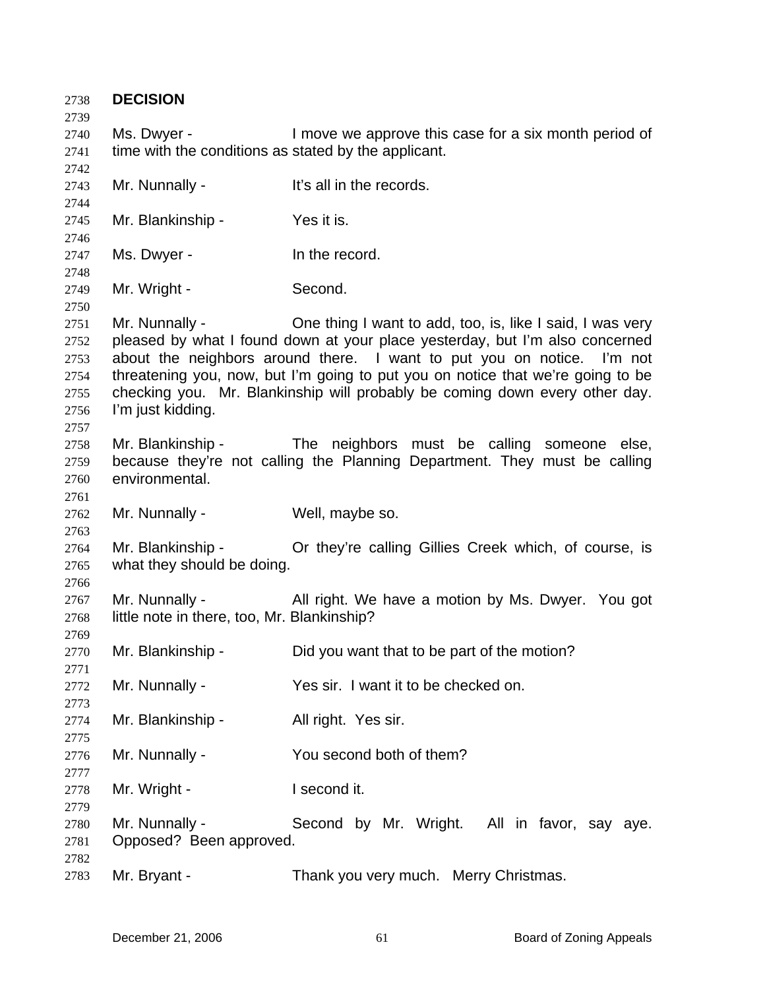| 2738<br>2739                                         | <b>DECISION</b>                                                     |                                                                                                                                                                                                                                                                                                                                                                                       |
|------------------------------------------------------|---------------------------------------------------------------------|---------------------------------------------------------------------------------------------------------------------------------------------------------------------------------------------------------------------------------------------------------------------------------------------------------------------------------------------------------------------------------------|
| 2740<br>2741<br>2742                                 | Ms. Dwyer -<br>time with the conditions as stated by the applicant. | I move we approve this case for a six month period of                                                                                                                                                                                                                                                                                                                                 |
| 2743<br>2744                                         | Mr. Nunnally -                                                      | It's all in the records.                                                                                                                                                                                                                                                                                                                                                              |
| 2745<br>2746                                         | Mr. Blankinship -                                                   | Yes it is.                                                                                                                                                                                                                                                                                                                                                                            |
| 2747<br>2748                                         | Ms. Dwyer -                                                         | In the record.                                                                                                                                                                                                                                                                                                                                                                        |
| 2749<br>2750                                         | Mr. Wright -                                                        | Second.                                                                                                                                                                                                                                                                                                                                                                               |
| 2751<br>2752<br>2753<br>2754<br>2755<br>2756<br>2757 | Mr. Nunnally -<br>I'm just kidding.                                 | One thing I want to add, too, is, like I said, I was very<br>pleased by what I found down at your place yesterday, but I'm also concerned<br>about the neighbors around there. I want to put you on notice. I'm not<br>threatening you, now, but I'm going to put you on notice that we're going to be<br>checking you. Mr. Blankinship will probably be coming down every other day. |
| 2758<br>2759<br>2760<br>2761                         | Mr. Blankinship -<br>environmental.                                 | The neighbors must be calling someone else,<br>because they're not calling the Planning Department. They must be calling                                                                                                                                                                                                                                                              |
| 2762<br>2763                                         | Mr. Nunnally -                                                      | Well, maybe so.                                                                                                                                                                                                                                                                                                                                                                       |
| 2764<br>2765<br>2766                                 | Mr. Blankinship -<br>what they should be doing.                     | Or they're calling Gillies Creek which, of course, is                                                                                                                                                                                                                                                                                                                                 |
| 2767<br>2768<br>2769                                 | Mr. Nunnally -<br>little note in there, too, Mr. Blankinship?       | All right. We have a motion by Ms. Dwyer. You got                                                                                                                                                                                                                                                                                                                                     |
| 2770<br>2771                                         | Mr. Blankinship -                                                   | Did you want that to be part of the motion?                                                                                                                                                                                                                                                                                                                                           |
| 2772<br>2773                                         | Mr. Nunnally -                                                      | Yes sir. I want it to be checked on.                                                                                                                                                                                                                                                                                                                                                  |
| 2774<br>2775                                         | Mr. Blankinship -                                                   | All right. Yes sir.                                                                                                                                                                                                                                                                                                                                                                   |
| 2776                                                 | Mr. Nunnally -                                                      | You second both of them?                                                                                                                                                                                                                                                                                                                                                              |
| 2777<br>2778                                         | Mr. Wright -                                                        | I second it.                                                                                                                                                                                                                                                                                                                                                                          |
| 2779<br>2780<br>2781                                 | Mr. Nunnally -<br>Opposed? Been approved.                           | Second by Mr. Wright. All in favor, say aye.                                                                                                                                                                                                                                                                                                                                          |
| 2782<br>2783                                         | Mr. Bryant -                                                        | Thank you very much. Merry Christmas.                                                                                                                                                                                                                                                                                                                                                 |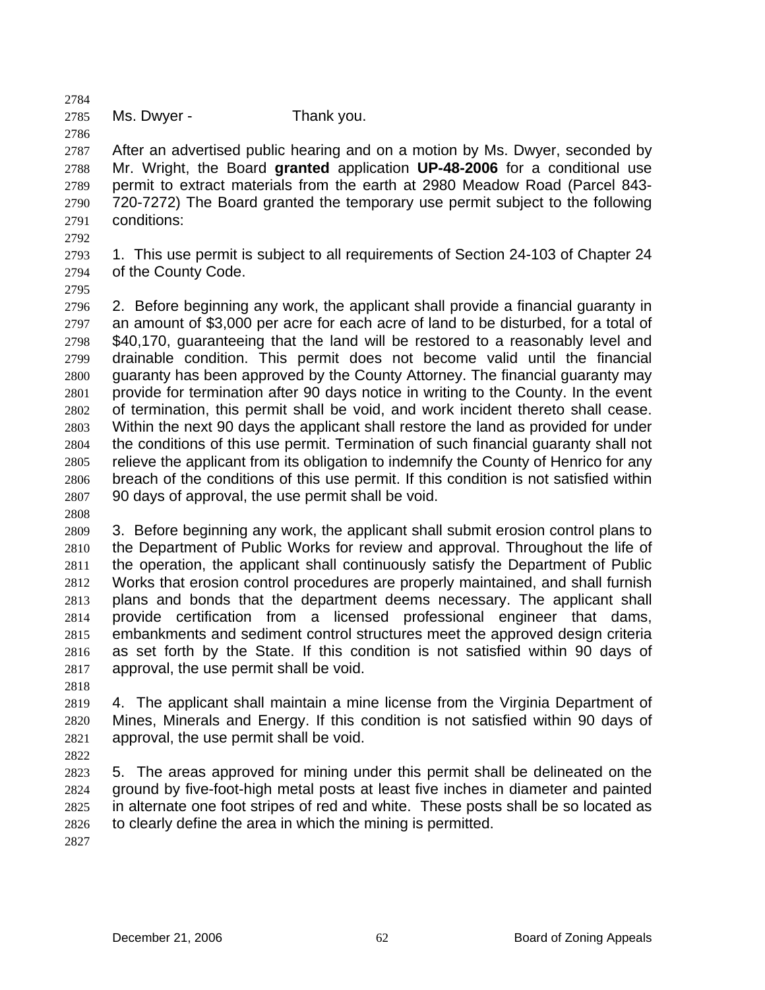2785 Ms. Dwyer - Thank you.

2787 2788 2789 2790 2791 After an advertised public hearing and on a motion by Ms. Dwyer, seconded by Mr. Wright, the Board **granted** application **UP-48-2006** for a conditional use permit to extract materials from the earth at 2980 Meadow Road (Parcel 843- 720-7272) The Board granted the temporary use permit subject to the following conditions:

2792

2784

2786

2793 2794 1. This use permit is subject to all requirements of Section 24-103 of Chapter 24 of the County Code.

2795

2796 2797 2798 2799 2800 2801 2802 2803 2804 2805 2806 2807 2. Before beginning any work, the applicant shall provide a financial guaranty in an amount of \$3,000 per acre for each acre of land to be disturbed, for a total of \$40,170, guaranteeing that the land will be restored to a reasonably level and drainable condition. This permit does not become valid until the financial guaranty has been approved by the County Attorney. The financial guaranty may provide for termination after 90 days notice in writing to the County. In the event of termination, this permit shall be void, and work incident thereto shall cease. Within the next 90 days the applicant shall restore the land as provided for under the conditions of this use permit. Termination of such financial guaranty shall not relieve the applicant from its obligation to indemnify the County of Henrico for any breach of the conditions of this use permit. If this condition is not satisfied within 90 days of approval, the use permit shall be void.

2808

2809 2810 2811 2812 2813 2814 2815 2816 2817 3. Before beginning any work, the applicant shall submit erosion control plans to the Department of Public Works for review and approval. Throughout the life of the operation, the applicant shall continuously satisfy the Department of Public Works that erosion control procedures are properly maintained, and shall furnish plans and bonds that the department deems necessary. The applicant shall provide certification from a licensed professional engineer that dams, embankments and sediment control structures meet the approved design criteria as set forth by the State. If this condition is not satisfied within 90 days of approval, the use permit shall be void.

2818

2819 2820 2821 4. The applicant shall maintain a mine license from the Virginia Department of Mines, Minerals and Energy. If this condition is not satisfied within 90 days of approval, the use permit shall be void.

2822

2823 2824 2825 2826 5. The areas approved for mining under this permit shall be delineated on the ground by five-foot-high metal posts at least five inches in diameter and painted in alternate one foot stripes of red and white. These posts shall be so located as to clearly define the area in which the mining is permitted.

2827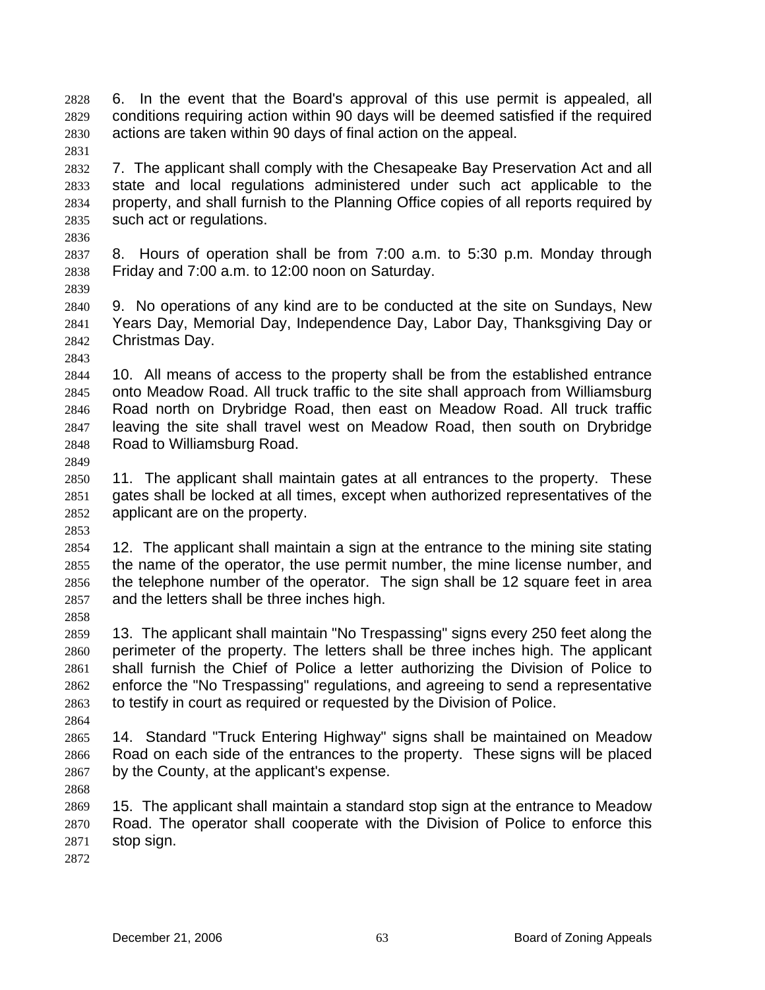6. In the event that the Board's approval of this use permit is appealed, all conditions requiring action within 90 days will be deemed satisfied if the required actions are taken within 90 days of final action on the appeal. 2828 2829 2830

2832 2833 2834 2835 7. The applicant shall comply with the Chesapeake Bay Preservation Act and all state and local regulations administered under such act applicable to the property, and shall furnish to the Planning Office copies of all reports required by such act or regulations.

2836

2831

2837 2838 8. Hours of operation shall be from 7:00 a.m. to 5:30 p.m. Monday through Friday and 7:00 a.m. to 12:00 noon on Saturday.

2839

2840 2841 2842 9. No operations of any kind are to be conducted at the site on Sundays, New Years Day, Memorial Day, Independence Day, Labor Day, Thanksgiving Day or Christmas Day.

2843

2844 2845 2846 2847 2848 10. All means of access to the property shall be from the established entrance onto Meadow Road. All truck traffic to the site shall approach from Williamsburg Road north on Drybridge Road, then east on Meadow Road. All truck traffic leaving the site shall travel west on Meadow Road, then south on Drybridge Road to Williamsburg Road.

2849

2853

2858

2850 2851 2852 11. The applicant shall maintain gates at all entrances to the property. These gates shall be locked at all times, except when authorized representatives of the applicant are on the property.

2854 2855 2856 2857 12. The applicant shall maintain a sign at the entrance to the mining site stating the name of the operator, the use permit number, the mine license number, and the telephone number of the operator. The sign shall be 12 square feet in area and the letters shall be three inches high.

2859 2860 2861 2862 2863 13. The applicant shall maintain "No Trespassing" signs every 250 feet along the perimeter of the property. The letters shall be three inches high. The applicant shall furnish the Chief of Police a letter authorizing the Division of Police to enforce the "No Trespassing" regulations, and agreeing to send a representative to testify in court as required or requested by the Division of Police.

2865 2866 2867 14. Standard "Truck Entering Highway" signs shall be maintained on Meadow Road on each side of the entrances to the property. These signs will be placed by the County, at the applicant's expense.

2868

2864

2869 2870 2871 15. The applicant shall maintain a standard stop sign at the entrance to Meadow Road. The operator shall cooperate with the Division of Police to enforce this stop sign.

2872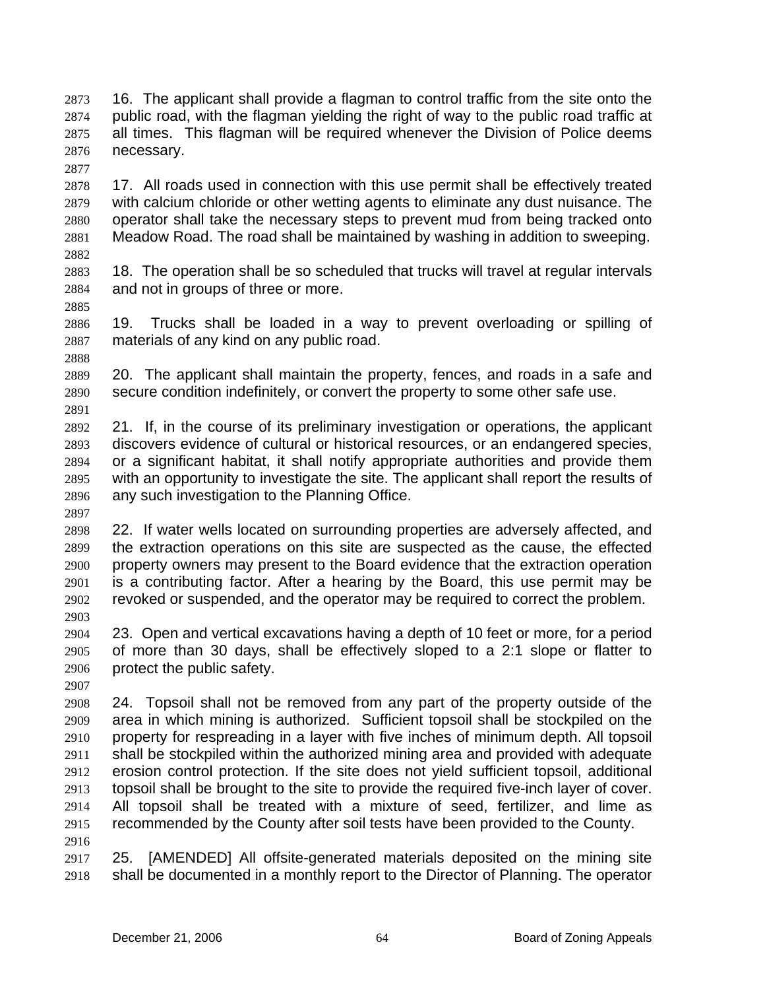16. The applicant shall provide a flagman to control traffic from the site onto the public road, with the flagman yielding the right of way to the public road traffic at all times. This flagman will be required whenever the Division of Police deems necessary. 2873 2874 2875 2876

- 2878 2879 2880 2881 2882 17. All roads used in connection with this use permit shall be effectively treated with calcium chloride or other wetting agents to eliminate any dust nuisance. The operator shall take the necessary steps to prevent mud from being tracked onto Meadow Road. The road shall be maintained by washing in addition to sweeping.
- 2883 2884 18. The operation shall be so scheduled that trucks will travel at regular intervals and not in groups of three or more.
- 2886 2887 2888 19. Trucks shall be loaded in a way to prevent overloading or spilling of materials of any kind on any public road.
- 2889 2890 20. The applicant shall maintain the property, fences, and roads in a safe and secure condition indefinitely, or convert the property to some other safe use.
- 2892 2893 2894 2895 2896 21. If, in the course of its preliminary investigation or operations, the applicant discovers evidence of cultural or historical resources, or an endangered species, or a significant habitat, it shall notify appropriate authorities and provide them with an opportunity to investigate the site. The applicant shall report the results of any such investigation to the Planning Office.
- 2897 2898 22. If water wells located on surrounding properties are adversely affected, and

2899 2900 2901 2902 the extraction operations on this site are suspected as the cause, the effected property owners may present to the Board evidence that the extraction operation is a contributing factor. After a hearing by the Board, this use permit may be revoked or suspended, and the operator may be required to correct the problem.

- 2904 2905 2906 23. Open and vertical excavations having a depth of 10 feet or more, for a period of more than 30 days, shall be effectively sloped to a 2:1 slope or flatter to protect the public safety.
- 2907

2903

2877

2885

2891

2908 2909 2910 2911 2912 2913 2914 2915 2916 24. Topsoil shall not be removed from any part of the property outside of the area in which mining is authorized. Sufficient topsoil shall be stockpiled on the property for respreading in a layer with five inches of minimum depth. All topsoil shall be stockpiled within the authorized mining area and provided with adequate erosion control protection. If the site does not yield sufficient topsoil, additional topsoil shall be brought to the site to provide the required five-inch layer of cover. All topsoil shall be treated with a mixture of seed, fertilizer, and lime as recommended by the County after soil tests have been provided to the County.

2917 2918 25. [AMENDED] All offsite-generated materials deposited on the mining site shall be documented in a monthly report to the Director of Planning. The operator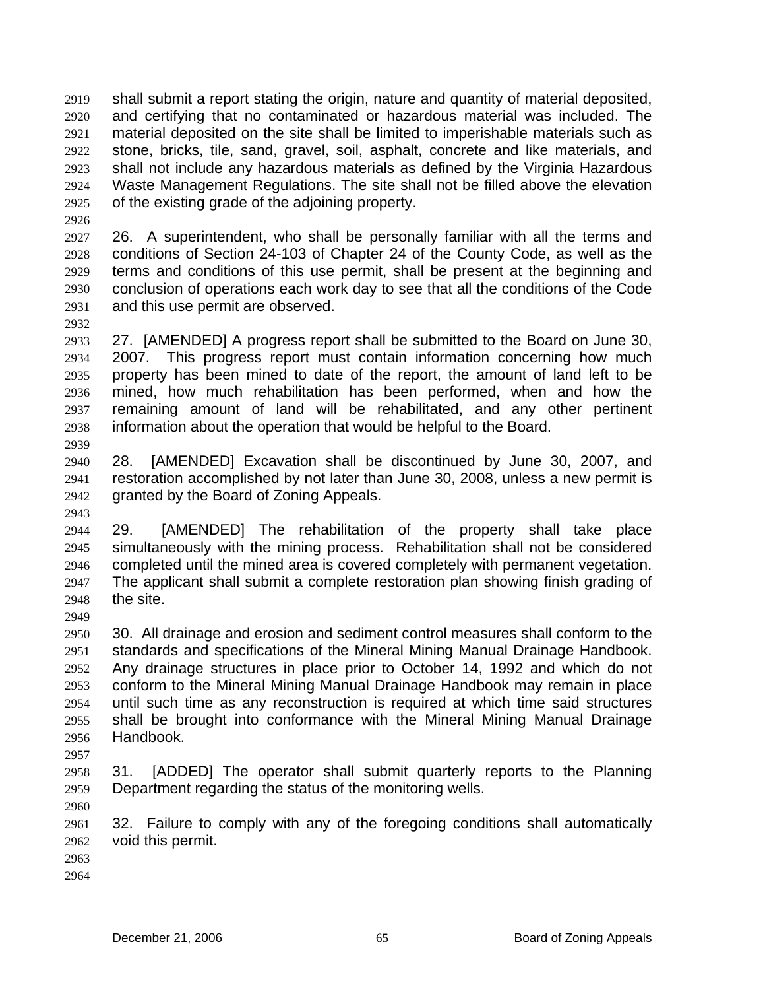shall submit a report stating the origin, nature and quantity of material deposited, and certifying that no contaminated or hazardous material was included. The material deposited on the site shall be limited to imperishable materials such as stone, bricks, tile, sand, gravel, soil, asphalt, concrete and like materials, and shall not include any hazardous materials as defined by the Virginia Hazardous Waste Management Regulations. The site shall not be filled above the elevation of the existing grade of the adjoining property. 2919 2920 2921 2922 2923 2924 2925

2927 2928 2929 2930 2931 26. A superintendent, who shall be personally familiar with all the terms and conditions of Section 24-103 of Chapter 24 of the County Code, as well as the terms and conditions of this use permit, shall be present at the beginning and conclusion of operations each work day to see that all the conditions of the Code and this use permit are observed.

2933 2934 2935 2936 2937 2938 27. [AMENDED] A progress report shall be submitted to the Board on June 30, 2007. This progress report must contain information concerning how much property has been mined to date of the report, the amount of land left to be mined, how much rehabilitation has been performed, when and how the remaining amount of land will be rehabilitated, and any other pertinent information about the operation that would be helpful to the Board.

2940 2941 2942 28. [AMENDED] Excavation shall be discontinued by June 30, 2007, and restoration accomplished by not later than June 30, 2008, unless a new permit is granted by the Board of Zoning Appeals.

2944 2945 2946 2947 2948 29. [AMENDED] The rehabilitation of the property shall take place simultaneously with the mining process. Rehabilitation shall not be considered completed until the mined area is covered completely with permanent vegetation. The applicant shall submit a complete restoration plan showing finish grading of the site.

2950 2951 2952 2953 2954 2955 2956 30. All drainage and erosion and sediment control measures shall conform to the standards and specifications of the Mineral Mining Manual Drainage Handbook. Any drainage structures in place prior to October 14, 1992 and which do not conform to the Mineral Mining Manual Drainage Handbook may remain in place until such time as any reconstruction is required at which time said structures shall be brought into conformance with the Mineral Mining Manual Drainage Handbook.

2957

2926

2932

2939

2943

2949

2958 2959 31. [ADDED] The operator shall submit quarterly reports to the Planning Department regarding the status of the monitoring wells.

2960

2961 2962 32. Failure to comply with any of the foregoing conditions shall automatically void this permit.

2963

2964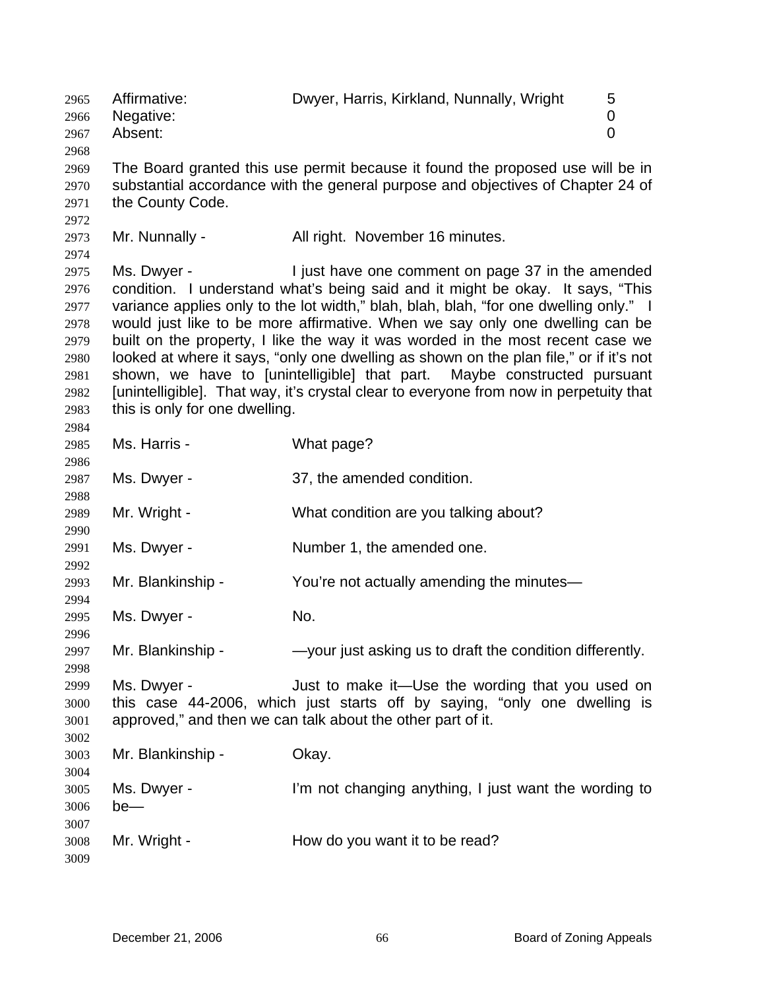2965 Affirmative: Dwyer, Harris, Kirkland, Nunnally, Wright 5 2966 2967 2968 2969 2970 2971 2972 2973 2974 2975 2976 2977 2978 2979 2980 2981 2982 2983 2984 2985 2986 2987 2988 2989 2990 2991 2992 2993 2994 2995 2996 2997 2998 2999 3000 3001 3002 3003 3004 3005 3006 3007 3008 3009 Negative: 0 Absent: 0 The Board granted this use permit because it found the proposed use will be in substantial accordance with the general purpose and objectives of Chapter 24 of the County Code. Mr. Nunnally - All right. November 16 minutes. Ms. Dwyer - Tiust have one comment on page 37 in the amended condition. I understand what's being said and it might be okay. It says, "This variance applies only to the lot width," blah, blah, blah, "for one dwelling only." I would just like to be more affirmative. When we say only one dwelling can be built on the property, I like the way it was worded in the most recent case we looked at where it says, "only one dwelling as shown on the plan file," or if it's not shown, we have to [unintelligible] that part. Maybe constructed pursuant [unintelligible]. That way, it's crystal clear to everyone from now in perpetuity that this is only for one dwelling. Ms. Harris - What page? Ms. Dwyer - 37, the amended condition. Mr. Wright - What condition are you talking about? Ms. Dwyer - Number 1, the amended one. Mr. Blankinship - You're not actually amending the minutes— Ms. Dwyer - No. Mr. Blankinship - — —your just asking us to draft the condition differently. Ms. Dwyer - The Suit to make it—Use the wording that you used on this case 44-2006, which just starts off by saying, "only one dwelling is approved," and then we can talk about the other part of it. Mr. Blankinship - Okay. Ms. Dwyer - I'm not changing anything, I just want the wording to be— Mr. Wright - How do you want it to be read?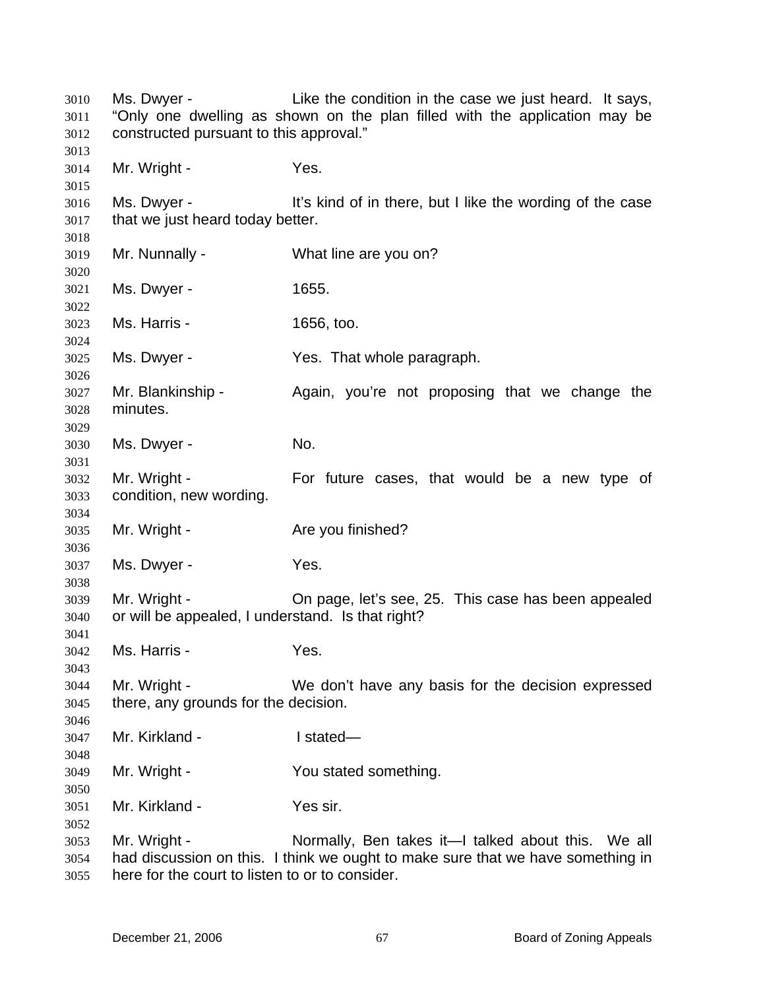Ms. Dwyer - Like the condition in the case we just heard. It says, "Only one dwelling as shown on the plan filled with the application may be constructed pursuant to this approval." Mr. Wright - Yes. Ms. Dwyer - It's kind of in there, but I like the wording of the case that we just heard today better. Mr. Nunnally - What line are you on? Ms. Dwyer - 1655. Ms. Harris - 1656, too. Ms. Dwyer - Yes. That whole paragraph. Mr. Blankinship - Again, you're not proposing that we change the minutes. Ms. Dwyer - No. Mr. Wright - For future cases, that would be a new type of condition, new wording. Mr. Wright - Are you finished? Ms. Dwyer - Yes. Mr. Wright - Chipage, let's see, 25. This case has been appealed or will be appealed, I understand. Is that right? Ms. Harris - Yes. Mr. Wright - We don't have any basis for the decision expressed there, any grounds for the decision. Mr. Kirkland - I stated— Mr. Wright - You stated something. Mr. Kirkland - Yes sir. Mr. Wright - Normally, Ben takes it—I talked about this. We all had discussion on this. I think we ought to make sure that we have something in here for the court to listen to or to consider.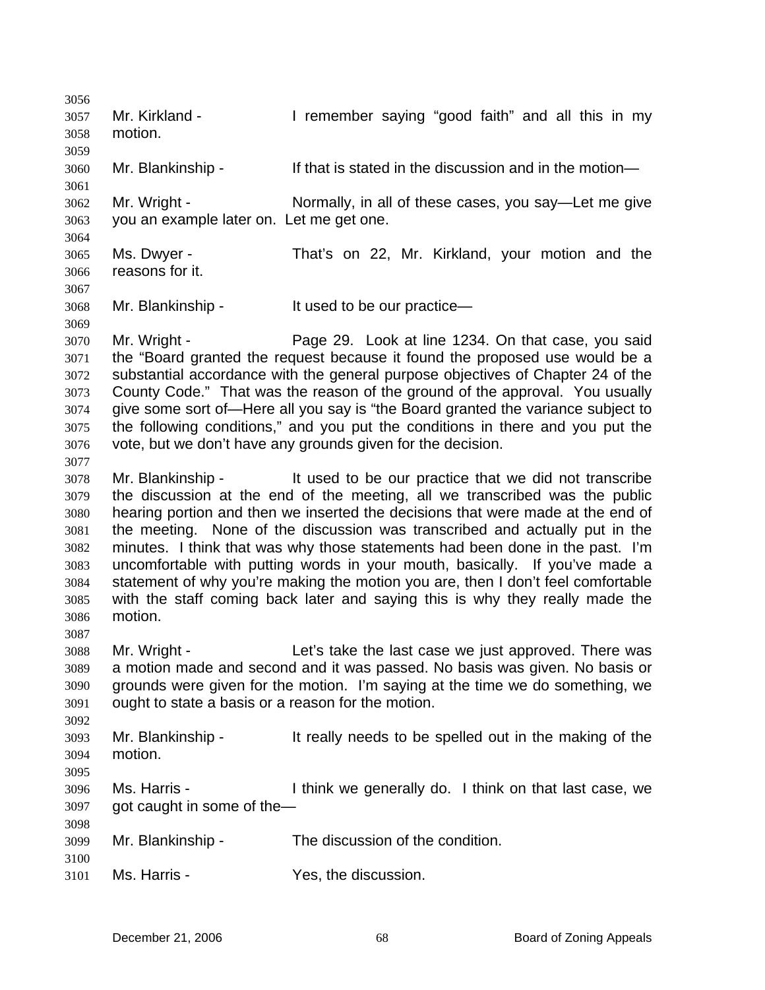3056 3057 3058 3059 3060 3061 3062 3063 3064 3065 3066 3067 3068 3069 3070 3071 3072 3073 3074 3075 3076 3077 3078 3079 3080 3081 3082 3083 3084 3085 3086 3087 3088 3089 3090 3091 3092 3093 3094 3095 3096 3097 3098 3099 3100 3101 Mr. Kirkland - I remember saying "good faith" and all this in my motion. Mr. Blankinship - If that is stated in the discussion and in the motion— Mr. Wright - Normally, in all of these cases, you say—Let me give you an example later on. Let me get one. Ms. Dwyer - That's on 22, Mr. Kirkland, your motion and the reasons for it. Mr. Blankinship - It used to be our practice— Mr. Wright - Page 29. Look at line 1234. On that case, you said the "Board granted the request because it found the proposed use would be a substantial accordance with the general purpose objectives of Chapter 24 of the County Code." That was the reason of the ground of the approval. You usually give some sort of—Here all you say is "the Board granted the variance subject to the following conditions," and you put the conditions in there and you put the vote, but we don't have any grounds given for the decision. Mr. Blankinship - It used to be our practice that we did not transcribe the discussion at the end of the meeting, all we transcribed was the public hearing portion and then we inserted the decisions that were made at the end of the meeting. None of the discussion was transcribed and actually put in the minutes. I think that was why those statements had been done in the past. I'm uncomfortable with putting words in your mouth, basically. If you've made a statement of why you're making the motion you are, then I don't feel comfortable with the staff coming back later and saying this is why they really made the motion. Mr. Wright - Let's take the last case we just approved. There was a motion made and second and it was passed. No basis was given. No basis or grounds were given for the motion. I'm saying at the time we do something, we ought to state a basis or a reason for the motion. Mr. Blankinship - It really needs to be spelled out in the making of the motion. Ms. Harris - Think we generally do. I think on that last case, we got caught in some of the— Mr. Blankinship - The discussion of the condition. Ms. Harris - The Yes, the discussion.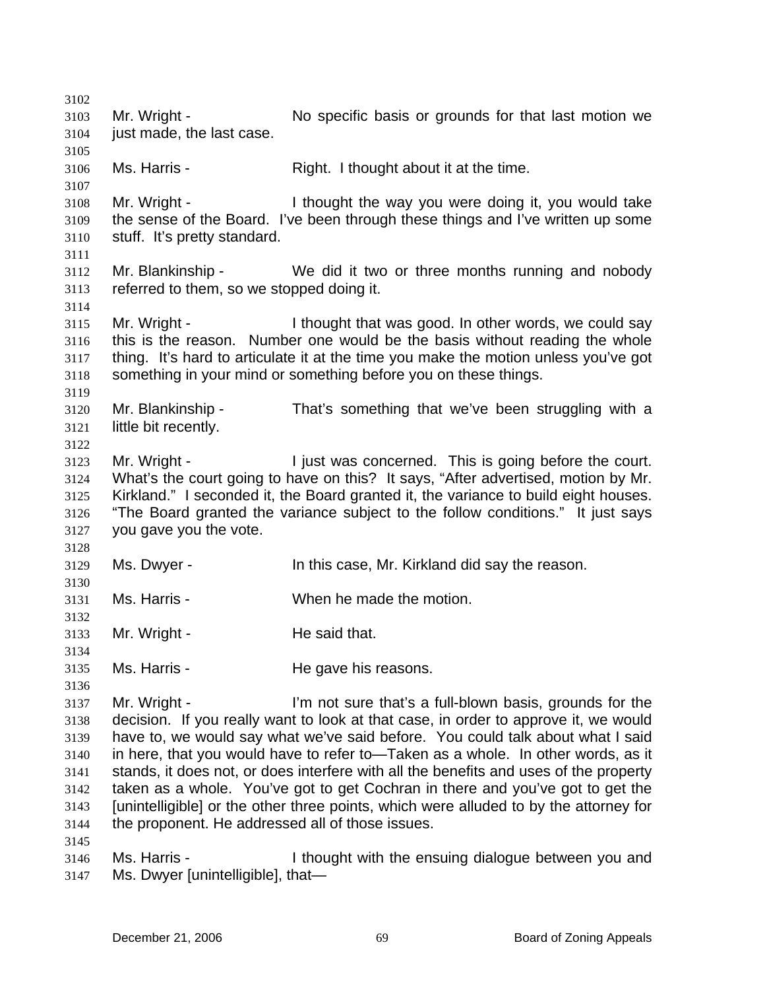3102 3103 3104 3105 3106 3107 3108 3109 3110 3111 3112 3113 3114 3115 3116 3117 3118 3119 3120 3121 3122 3123 3124 3125 3126 3127 3128 3129 3130 3131 3132 3133 3134 3135 3136 3137 3138 3139 3140 3141 3142 3143 3144 3145 3146 3147 Mr. Wright - No specific basis or grounds for that last motion we just made, the last case. Ms. Harris - The Right. I thought about it at the time. Mr. Wright - Thought the way you were doing it, you would take the sense of the Board. I've been through these things and I've written up some stuff. It's pretty standard. Mr. Blankinship - We did it two or three months running and nobody referred to them, so we stopped doing it. Mr. Wright - I thought that was good. In other words, we could say this is the reason. Number one would be the basis without reading the whole thing. It's hard to articulate it at the time you make the motion unless you've got something in your mind or something before you on these things. Mr. Blankinship - That's something that we've been struggling with a little bit recently. Mr. Wright - This is going before the court. What's the court going to have on this? It says, "After advertised, motion by Mr. Kirkland." I seconded it, the Board granted it, the variance to build eight houses. "The Board granted the variance subject to the follow conditions." It just says you gave you the vote. Ms. Dwyer - In this case, Mr. Kirkland did say the reason. Ms. Harris - When he made the motion. Mr. Wright - He said that. Ms. Harris - The gave his reasons. Mr. Wright - The Same of Sure that's a full-blown basis, grounds for the decision. If you really want to look at that case, in order to approve it, we would have to, we would say what we've said before. You could talk about what I said in here, that you would have to refer to—Taken as a whole. In other words, as it stands, it does not, or does interfere with all the benefits and uses of the property taken as a whole. You've got to get Cochran in there and you've got to get the [unintelligible] or the other three points, which were alluded to by the attorney for the proponent. He addressed all of those issues. Ms. Harris - Thought with the ensuing dialogue between you and Ms. Dwyer [unintelligible], that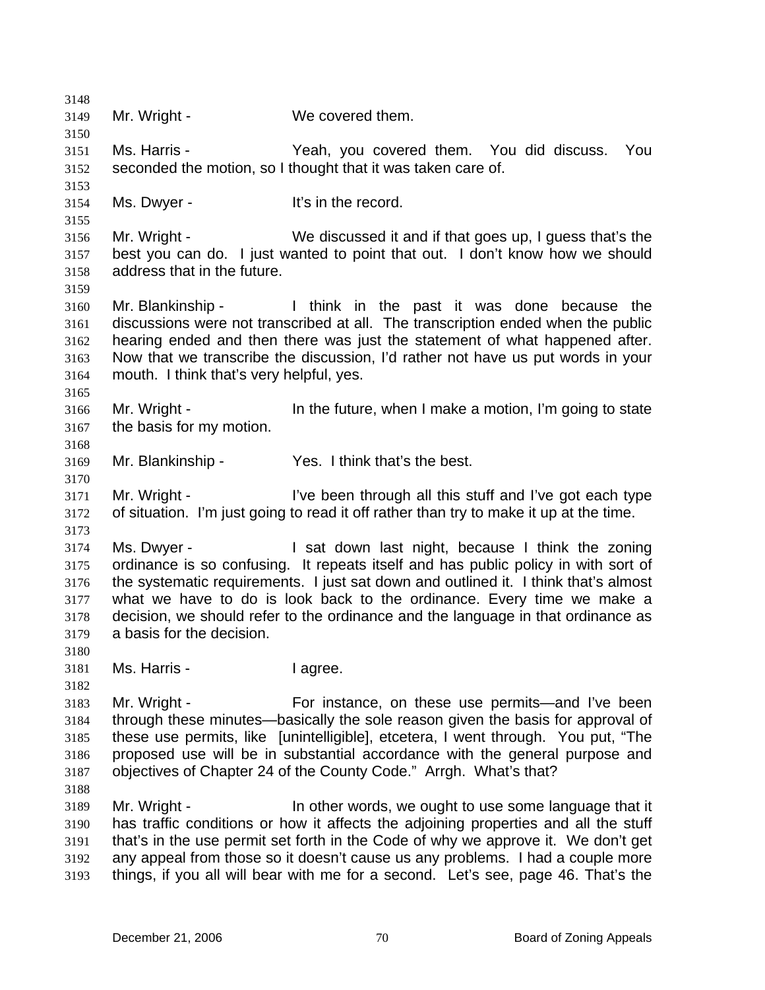3148 3149 3150 3151 3152 3153 3154 3155 3156 3157 3158 3159 3160 3161 3162 3163 3164 3165 3166 3167 3168 3169 3170 3171 3172 3173 3174 3175 3176 3177 3178 3179 3180 3181 3182 3183 3184 3185 3186 3187 3188 3189 3190 3191 3192 3193 Mr. Wright - We covered them. Ms. Harris - Yeah, you covered them. You did discuss. You seconded the motion, so I thought that it was taken care of. Ms. Dwyer - It's in the record. Mr. Wright - We discussed it and if that goes up, I guess that's the best you can do. I just wanted to point that out. I don't know how we should address that in the future. Mr. Blankinship - I think in the past it was done because the discussions were not transcribed at all. The transcription ended when the public hearing ended and then there was just the statement of what happened after. Now that we transcribe the discussion, I'd rather not have us put words in your mouth. I think that's very helpful, yes. Mr. Wright - The future, when I make a motion, I'm going to state the basis for my motion. Mr. Blankinship - Yes. I think that's the best. Mr. Wright - I've been through all this stuff and I've got each type of situation. I'm just going to read it off rather than try to make it up at the time. Ms. Dwyer - I sat down last night, because I think the zoning ordinance is so confusing. It repeats itself and has public policy in with sort of the systematic requirements. I just sat down and outlined it. I think that's almost what we have to do is look back to the ordinance. Every time we make a decision, we should refer to the ordinance and the language in that ordinance as a basis for the decision. Ms. Harris - The I agree. Mr. Wright - For instance, on these use permits—and I've been through these minutes—basically the sole reason given the basis for approval of these use permits, like [unintelligible], etcetera, I went through. You put, "The proposed use will be in substantial accordance with the general purpose and objectives of Chapter 24 of the County Code." Arrgh. What's that? Mr. Wright - The other words, we ought to use some language that it has traffic conditions or how it affects the adjoining properties and all the stuff that's in the use permit set forth in the Code of why we approve it. We don't get any appeal from those so it doesn't cause us any problems. I had a couple more things, if you all will bear with me for a second. Let's see, page 46. That's the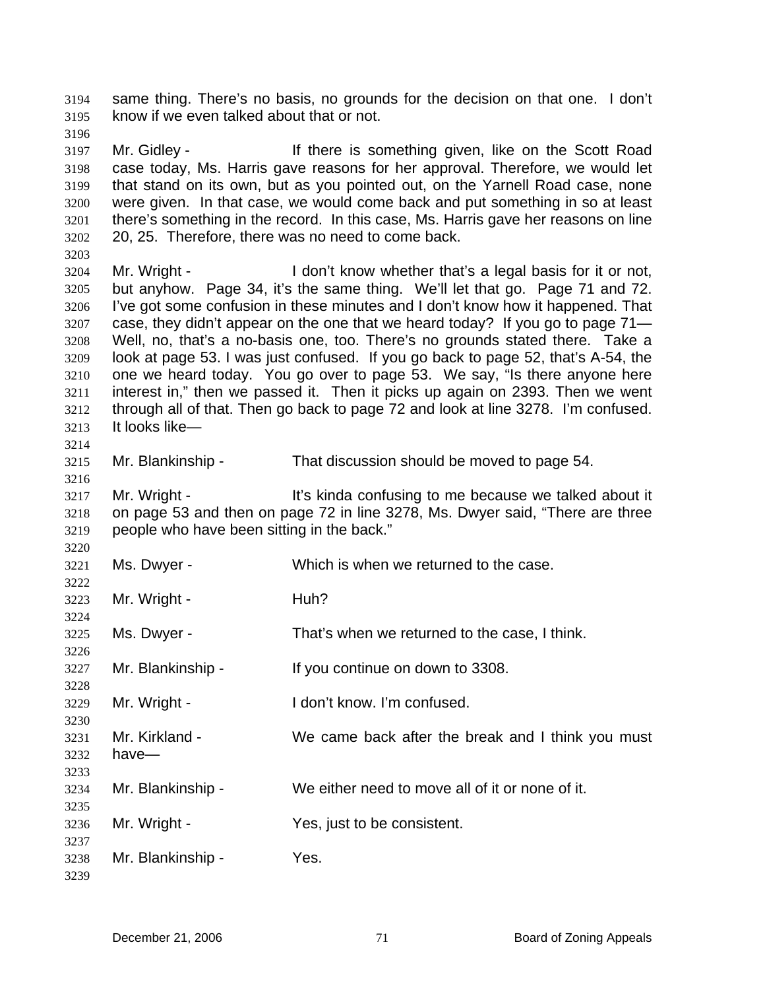same thing. There's no basis, no grounds for the decision on that one. I don't know if we even talked about that or not. 3194 3195

3196

3197 3198 3199 3200 3201 3202 Mr. Gidley - The Muslim of the is something given, like on the Scott Road case today, Ms. Harris gave reasons for her approval. Therefore, we would let that stand on its own, but as you pointed out, on the Yarnell Road case, none were given. In that case, we would come back and put something in so at least there's something in the record. In this case, Ms. Harris gave her reasons on line 20, 25. Therefore, there was no need to come back.

3203

3214

3216

3220

3222

3224

3226

3228

3230

3233

3235

3237

3239

3204 3205 3206 3207 3208 3209 3210 3211 3212 3213 Mr. Wright - The I don't know whether that's a legal basis for it or not, but anyhow. Page 34, it's the same thing. We'll let that go. Page 71 and 72. I've got some confusion in these minutes and I don't know how it happened. That case, they didn't appear on the one that we heard today? If you go to page 71— Well, no, that's a no-basis one, too. There's no grounds stated there. Take a look at page 53. I was just confused. If you go back to page 52, that's A-54, the one we heard today. You go over to page 53. We say, "Is there anyone here interest in," then we passed it. Then it picks up again on 2393. Then we went through all of that. Then go back to page 72 and look at line 3278. I'm confused. It looks like—

3215

Mr. Blankinship - That discussion should be moved to page 54.

3217 3218 3219 Mr. Wright - The Stript of the Confusing to me because we talked about it on page 53 and then on page 72 in line 3278, Ms. Dwyer said, "There are three people who have been sitting in the back."

3221 Ms. Dwyer - Which is when we returned to the case.

3223 Mr. Wright - **Huh?** 

3225 Ms. Dwyer - That's when we returned to the case, I think.

3227 Mr. Blankinship - If you continue on down to 3308.

3229 Mr. Wright - I don't know. I'm confused.

3231 3232 Mr. Kirkland - We came back after the break and I think you must have—

3234 Mr. Blankinship - We either need to move all of it or none of it.

3236 Mr. Wright - The Yes, just to be consistent.

3238 Mr. Blankinship - Yes.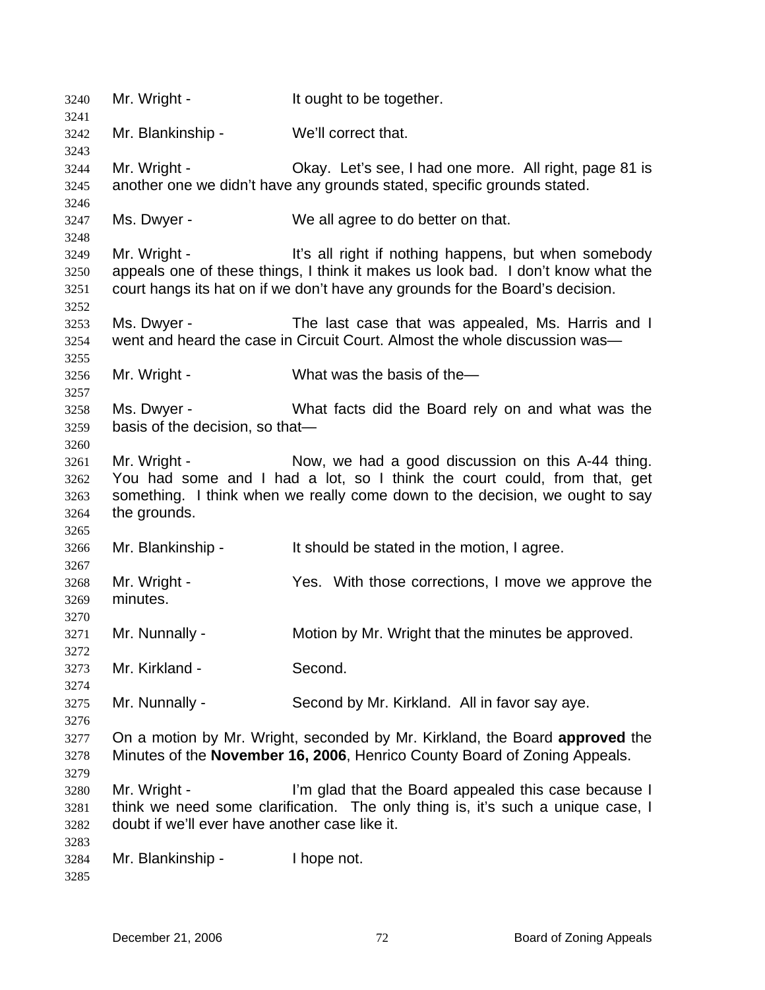| 3240                                 | Mr. Wright -                                                   | It ought to be together.                                                                                                                                                                                                  |
|--------------------------------------|----------------------------------------------------------------|---------------------------------------------------------------------------------------------------------------------------------------------------------------------------------------------------------------------------|
| 3241<br>3242                         | Mr. Blankinship -                                              | We'll correct that.                                                                                                                                                                                                       |
| 3243<br>3244<br>3245                 | Mr. Wright -                                                   | Okay. Let's see, I had one more. All right, page 81 is<br>another one we didn't have any grounds stated, specific grounds stated.                                                                                         |
| 3246<br>3247<br>3248                 | Ms. Dwyer -                                                    | We all agree to do better on that.                                                                                                                                                                                        |
| 3249<br>3250<br>3251                 | Mr. Wright -                                                   | It's all right if nothing happens, but when somebody<br>appeals one of these things, I think it makes us look bad. I don't know what the<br>court hangs its hat on if we don't have any grounds for the Board's decision. |
| 3252<br>3253<br>3254<br>3255         | Ms. Dwyer -                                                    | The last case that was appealed, Ms. Harris and I<br>went and heard the case in Circuit Court. Almost the whole discussion was—                                                                                           |
| 3256<br>3257                         | Mr. Wright -                                                   | What was the basis of the-                                                                                                                                                                                                |
| 3258<br>3259<br>3260                 | Ms. Dwyer -<br>basis of the decision, so that-                 | What facts did the Board rely on and what was the                                                                                                                                                                         |
| 3261<br>3262<br>3263<br>3264<br>3265 | Mr. Wright -<br>the grounds.                                   | Now, we had a good discussion on this A-44 thing.<br>You had some and I had a lot, so I think the court could, from that, get<br>something. I think when we really come down to the decision, we ought to say             |
| 3266<br>3267                         | Mr. Blankinship -                                              | It should be stated in the motion, I agree.                                                                                                                                                                               |
| 3268<br>3269                         | Mr. Wright -<br>minutes.                                       | Yes. With those corrections, I move we approve the                                                                                                                                                                        |
| 3270<br>3271                         | Mr. Nunnally -                                                 | Motion by Mr. Wright that the minutes be approved.                                                                                                                                                                        |
| 3272<br>3273                         | Mr. Kirkland -                                                 | Second.                                                                                                                                                                                                                   |
| 3274<br>3275<br>3276                 | Mr. Nunnally -                                                 | Second by Mr. Kirkland. All in favor say aye.                                                                                                                                                                             |
| 3277<br>3278<br>3279                 |                                                                | On a motion by Mr. Wright, seconded by Mr. Kirkland, the Board approved the<br>Minutes of the November 16, 2006, Henrico County Board of Zoning Appeals.                                                                  |
| 3280<br>3281<br>3282                 | Mr. Wright -<br>doubt if we'll ever have another case like it. | I'm glad that the Board appealed this case because I<br>think we need some clarification. The only thing is, it's such a unique case, I                                                                                   |
| 3283<br>3284<br>3285                 | Mr. Blankinship -                                              | I hope not.                                                                                                                                                                                                               |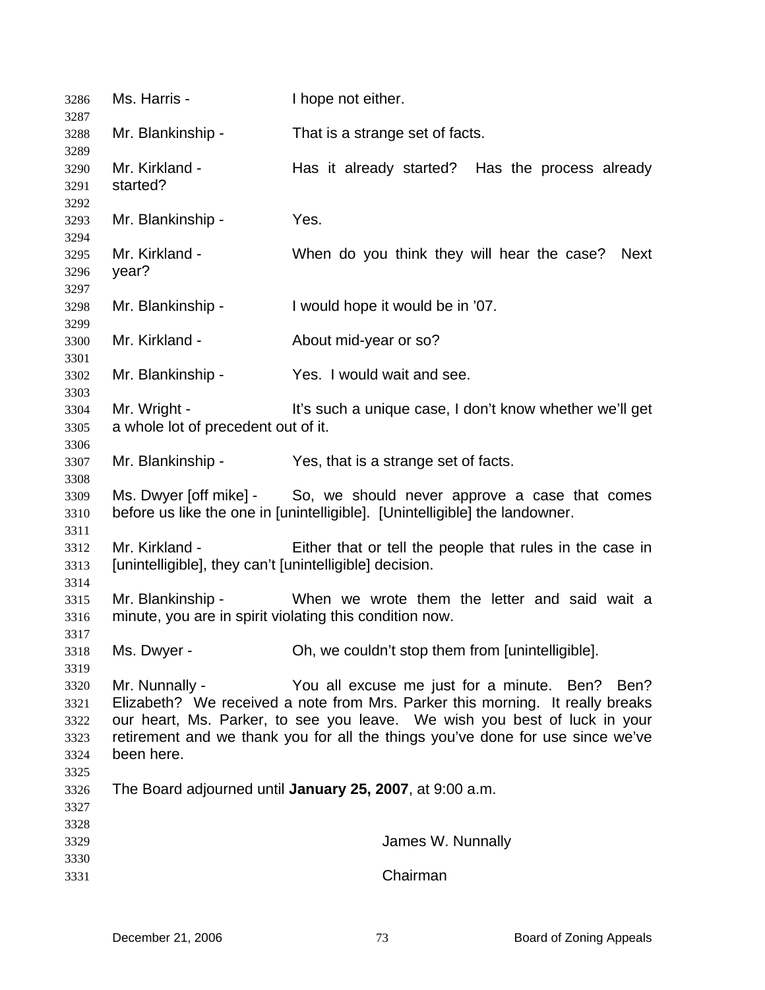| 3286<br>3287                         | Ms. Harris -                                                                                                                                                                                                                                                                                                                   | I hope not either.                                                                                                                                  |
|--------------------------------------|--------------------------------------------------------------------------------------------------------------------------------------------------------------------------------------------------------------------------------------------------------------------------------------------------------------------------------|-----------------------------------------------------------------------------------------------------------------------------------------------------|
| 3288                                 | Mr. Blankinship -                                                                                                                                                                                                                                                                                                              | That is a strange set of facts.                                                                                                                     |
| 3289<br>3290<br>3291<br>3292         | Mr. Kirkland -<br>started?                                                                                                                                                                                                                                                                                                     | Has it already started? Has the process already                                                                                                     |
| 3293<br>3294                         | Mr. Blankinship -                                                                                                                                                                                                                                                                                                              | Yes.                                                                                                                                                |
| 3295<br>3296<br>3297                 | Mr. Kirkland -<br>year?                                                                                                                                                                                                                                                                                                        | When do you think they will hear the case?<br>Next                                                                                                  |
| 3298<br>3299                         | Mr. Blankinship -                                                                                                                                                                                                                                                                                                              | I would hope it would be in '07.                                                                                                                    |
| 3300<br>3301                         | Mr. Kirkland -                                                                                                                                                                                                                                                                                                                 | About mid-year or so?                                                                                                                               |
| 3302<br>3303                         | Mr. Blankinship -                                                                                                                                                                                                                                                                                                              | Yes. I would wait and see.                                                                                                                          |
| 3304<br>3305<br>3306                 | Mr. Wright -<br>a whole lot of precedent out of it.                                                                                                                                                                                                                                                                            | It's such a unique case, I don't know whether we'll get                                                                                             |
| 3307<br>3308                         | Mr. Blankinship -                                                                                                                                                                                                                                                                                                              | Yes, that is a strange set of facts.                                                                                                                |
| 3309<br>3310<br>3311                 |                                                                                                                                                                                                                                                                                                                                | Ms. Dwyer [off mike] - So, we should never approve a case that comes<br>before us like the one in [unintelligible]. [Unintelligible] the landowner. |
| 3312<br>3313                         | Mr. Kirkland -<br>[unintelligible], they can't [unintelligible] decision.                                                                                                                                                                                                                                                      | Either that or tell the people that rules in the case in                                                                                            |
| 3314<br>3315<br>3316                 | Mr. Blankinship -<br>minute, you are in spirit violating this condition now.                                                                                                                                                                                                                                                   | When we wrote them the letter and said wait a                                                                                                       |
| 3317<br>3318<br>3319                 | Ms. Dwyer -                                                                                                                                                                                                                                                                                                                    | Oh, we couldn't stop them from [unintelligible].                                                                                                    |
| 3320<br>3321<br>3322<br>3323<br>3324 | Mr. Nunnally -<br>You all excuse me just for a minute. Ben? Ben?<br>Elizabeth? We received a note from Mrs. Parker this morning. It really breaks<br>our heart, Ms. Parker, to see you leave. We wish you best of luck in your<br>retirement and we thank you for all the things you've done for use since we've<br>been here. |                                                                                                                                                     |
| 3325<br>3326<br>3327                 | The Board adjourned until January 25, 2007, at 9:00 a.m.                                                                                                                                                                                                                                                                       |                                                                                                                                                     |
| 3328<br>3329                         |                                                                                                                                                                                                                                                                                                                                | James W. Nunnally                                                                                                                                   |
| 3330<br>3331                         |                                                                                                                                                                                                                                                                                                                                | Chairman                                                                                                                                            |